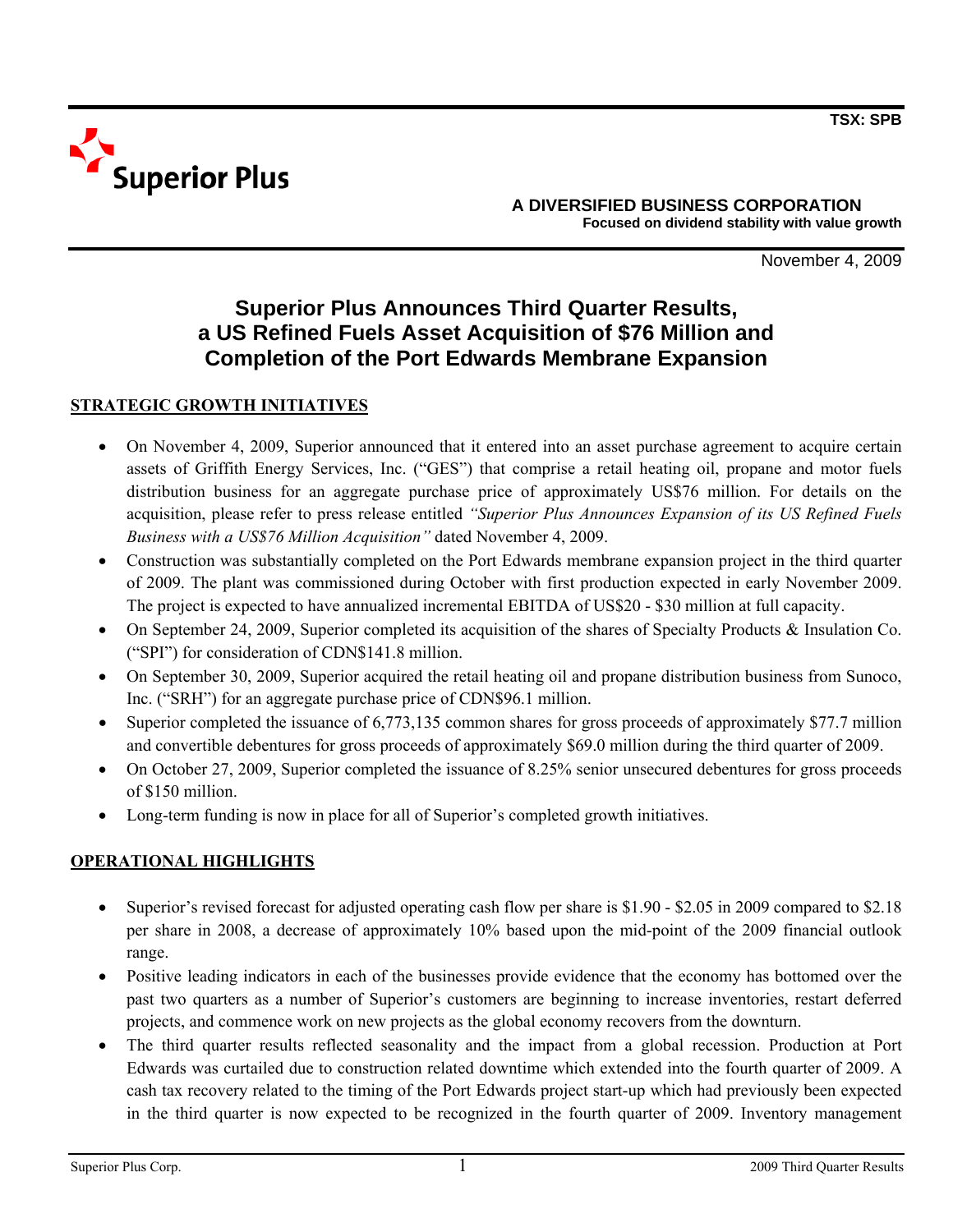

November 4, 2009

# **Superior Plus Announces Third Quarter Results, a US Refined Fuels Asset Acquisition of \$76 Million and Completion of the Port Edwards Membrane Expansion**

# **STRATEGIC GROWTH INITIATIVES**

- On November 4, 2009, Superior announced that it entered into an asset purchase agreement to acquire certain assets of Griffith Energy Services, Inc. ("GES") that comprise a retail heating oil, propane and motor fuels distribution business for an aggregate purchase price of approximately US\$76 million. For details on the acquisition, please refer to press release entitled *"Superior Plus Announces Expansion of its US Refined Fuels Business with a US\$76 Million Acquisition"* dated November 4, 2009.
- Construction was substantially completed on the Port Edwards membrane expansion project in the third quarter of 2009. The plant was commissioned during October with first production expected in early November 2009. The project is expected to have annualized incremental EBITDA of US\$20 - \$30 million at full capacity.
- On September 24, 2009, Superior completed its acquisition of the shares of Specialty Products & Insulation Co. ("SPI") for consideration of CDN\$141.8 million.
- On September 30, 2009, Superior acquired the retail heating oil and propane distribution business from Sunoco, Inc. ("SRH") for an aggregate purchase price of CDN\$96.1 million.
- Superior completed the issuance of 6,773,135 common shares for gross proceeds of approximately \$77.7 million and convertible debentures for gross proceeds of approximately \$69.0 million during the third quarter of 2009.
- On October 27, 2009, Superior completed the issuance of 8.25% senior unsecured debentures for gross proceeds of \$150 million.
- Long-term funding is now in place for all of Superior's completed growth initiatives.

# **OPERATIONAL HIGHLIGHTS**

- Superior's revised forecast for adjusted operating cash flow per share is \$1.90 \$2.05 in 2009 compared to \$2.18 per share in 2008, a decrease of approximately 10% based upon the mid-point of the 2009 financial outlook range.
- Positive leading indicators in each of the businesses provide evidence that the economy has bottomed over the past two quarters as a number of Superior's customers are beginning to increase inventories, restart deferred projects, and commence work on new projects as the global economy recovers from the downturn.
- The third quarter results reflected seasonality and the impact from a global recession. Production at Port Edwards was curtailed due to construction related downtime which extended into the fourth quarter of 2009. A cash tax recovery related to the timing of the Port Edwards project start-up which had previously been expected in the third quarter is now expected to be recognized in the fourth quarter of 2009. Inventory management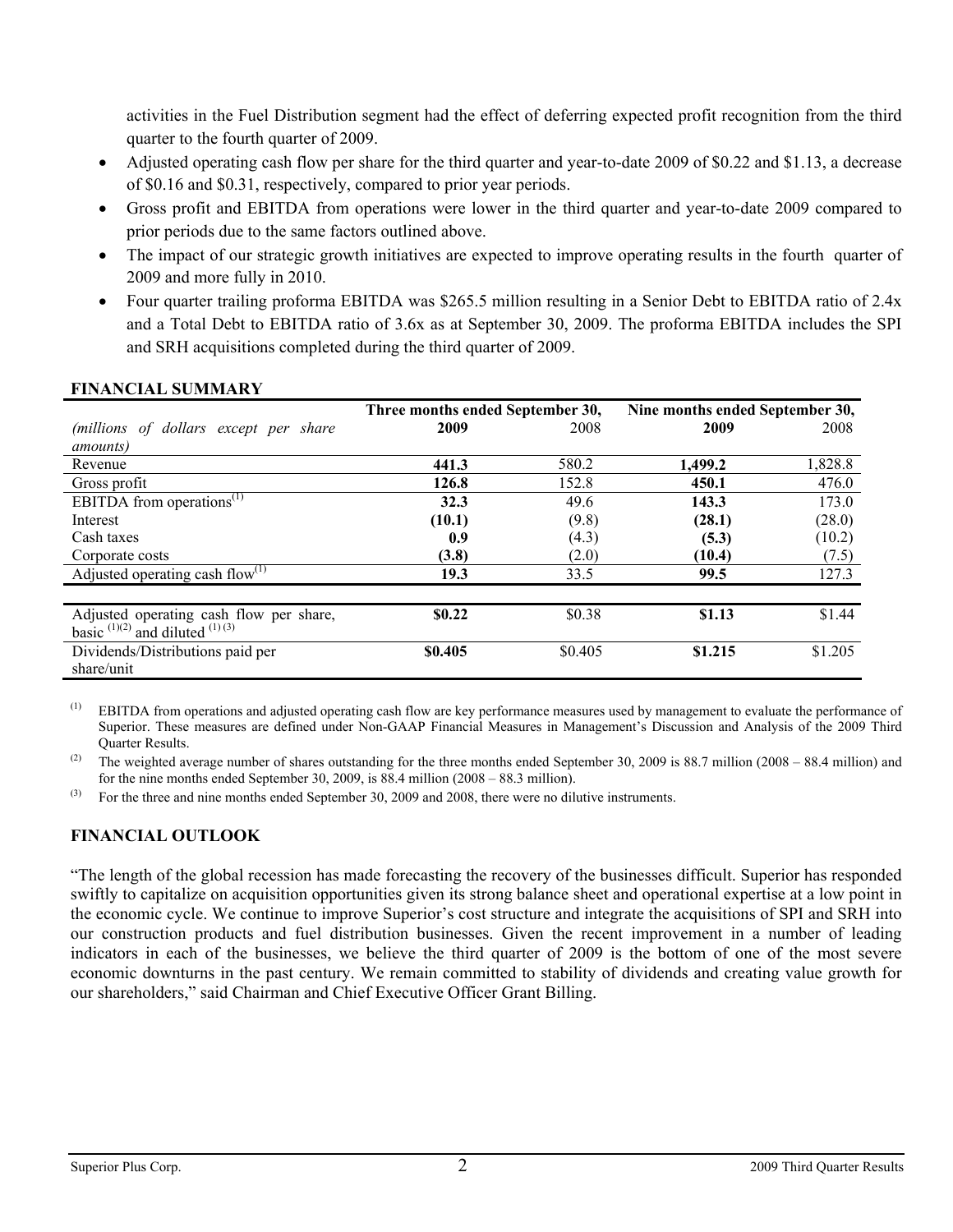activities in the Fuel Distribution segment had the effect of deferring expected profit recognition from the third quarter to the fourth quarter of 2009.

- Adjusted operating cash flow per share for the third quarter and year-to-date 2009 of \$0.22 and \$1.13, a decrease of \$0.16 and \$0.31, respectively, compared to prior year periods.
- Gross profit and EBITDA from operations were lower in the third quarter and year-to-date 2009 compared to prior periods due to the same factors outlined above.
- The impact of our strategic growth initiatives are expected to improve operating results in the fourth quarter of 2009 and more fully in 2010.
- Four quarter trailing proforma EBITDA was \$265.5 million resulting in a Senior Debt to EBITDA ratio of 2.4x and a Total Debt to EBITDA ratio of 3.6x as at September 30, 2009. The proforma EBITDA includes the SPI and SRH acquisitions completed during the third quarter of 2009.

|                                         | Three months ended September 30, |         | Nine months ended September 30, |         |  |
|-----------------------------------------|----------------------------------|---------|---------------------------------|---------|--|
| (millions of dollars except per share   | 2009                             | 2008    | 2009                            | 2008    |  |
| <i>amounts</i> )                        |                                  |         |                                 |         |  |
| Revenue                                 | 441.3                            | 580.2   | 1,499.2                         | 1,828.8 |  |
| Gross profit                            | 126.8                            | 152.8   | 450.1                           | 476.0   |  |
| EBITDA from operations <sup>(1)</sup>   | 32.3                             | 49.6    | 143.3                           | 173.0   |  |
| Interest                                | (10.1)                           | (9.8)   | (28.1)                          | (28.0)  |  |
| Cash taxes                              | 0.9                              | (4.3)   | (5.3)                           | (10.2)  |  |
| Corporate costs                         | (3.8)                            | (2.0)   | (10.4)                          | (7.5)   |  |
| Adjusted operating cash flow $^{(1)}$   | 19.3                             | 33.5    | 99.5                            | 127.3   |  |
|                                         |                                  |         |                                 |         |  |
| Adjusted operating cash flow per share, | \$0.22                           | \$0.38  | \$1.13                          | \$1.44  |  |
| basic $(1)(2)$ and diluted $(1)(3)$     |                                  |         |                                 |         |  |
| Dividends/Distributions paid per        | \$0.405                          | \$0.405 | \$1.215                         | \$1.205 |  |
| share/unit                              |                                  |         |                                 |         |  |

### **FINANCIAL SUMMARY**

 $<sup>(1)</sup>$  EBITDA from operations and adjusted operating cash flow are key performance measures used by management to evaluate the performance of</sup> Superior. These measures are defined under Non-GAAP Financial Measures in Management's Discussion and Analysis of the 2009 Third Quarter Results.

<sup>(2)</sup> The weighted average number of shares outstanding for the three months ended September 30, 2009 is 88.7 million (2008 – 88.4 million) and for the nine months ended September 30, 2009, is 88.4 million (2008 – 88.3 million).

(3) For the three and nine months ended September 30, 2009 and 2008, there were no dilutive instruments.

# **FINANCIAL OUTLOOK**

"The length of the global recession has made forecasting the recovery of the businesses difficult. Superior has responded swiftly to capitalize on acquisition opportunities given its strong balance sheet and operational expertise at a low point in the economic cycle. We continue to improve Superior's cost structure and integrate the acquisitions of SPI and SRH into our construction products and fuel distribution businesses. Given the recent improvement in a number of leading indicators in each of the businesses, we believe the third quarter of 2009 is the bottom of one of the most severe economic downturns in the past century. We remain committed to stability of dividends and creating value growth for our shareholders," said Chairman and Chief Executive Officer Grant Billing.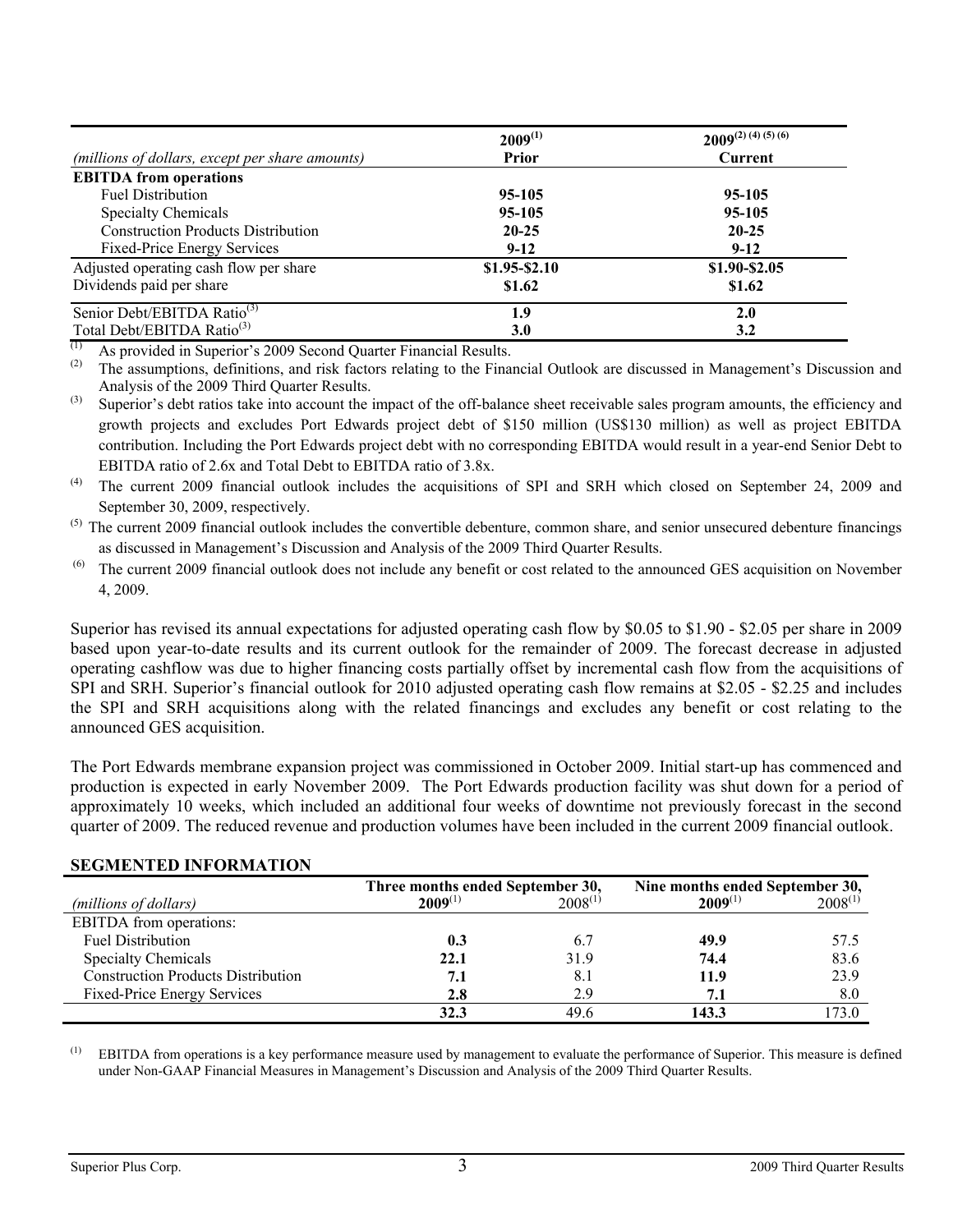|                                                 | $2009^{(1)}$  | $2009^{(2)(4)(5)(6)}$ |
|-------------------------------------------------|---------------|-----------------------|
| (millions of dollars, except per share amounts) | Prior         | Current               |
| <b>EBITDA</b> from operations                   |               |                       |
| <b>Fuel Distribution</b>                        | 95-105        | 95-105                |
| <b>Specialty Chemicals</b>                      | 95-105        | 95-105                |
| <b>Construction Products Distribution</b>       | $20 - 25$     | $20 - 25$             |
| <b>Fixed-Price Energy Services</b>              | $9-12$        | $9-12$                |
| Adjusted operating cash flow per share          | $$1.95-S2.10$ | \$1.90-\$2.05         |
| Dividends paid per share                        | \$1.62        | \$1.62                |
| Senior Debt/EBITDA Ratio <sup>(3)</sup>         | 1.9           | 2.0                   |
| Total Debt/EBITDA Ratio <sup>(3)</sup>          | <b>3.0</b>    | 3.2                   |

(1) As provided in Superior's 2009 Second Quarter Financial Results.<br>(2) The essumptions, definitions, and risk fectors relating to the Einem

The assumptions, definitions, and risk factors relating to the Financial Outlook are discussed in Management's Discussion and Analysis of the 2009 Third Quarter Results.

<sup>(3)</sup> Superior's debt ratios take into account the impact of the off-balance sheet receivable sales program amounts, the efficiency and growth projects and excludes Port Edwards project debt of \$150 million (US\$130 million) as well as project EBITDA contribution. Including the Port Edwards project debt with no corresponding EBITDA would result in a year-end Senior Debt to EBITDA ratio of 2.6x and Total Debt to EBITDA ratio of 3.8x.

(4) The current 2009 financial outlook includes the acquisitions of SPI and SRH which closed on September 24, 2009 and September 30, 2009, respectively.

 $<sup>(5)</sup>$  The current 2009 financial outlook includes the convertible debenture, common share, and senior unsecured debenture financings</sup> as discussed in Management's Discussion and Analysis of the 2009 Third Quarter Results.

 (6) The current 2009 financial outlook does not include any benefit or cost related to the announced GES acquisition on November 4, 2009.

Superior has revised its annual expectations for adjusted operating cash flow by \$0.05 to \$1.90 - \$2.05 per share in 2009 based upon year-to-date results and its current outlook for the remainder of 2009. The forecast decrease in adjusted operating cashflow was due to higher financing costs partially offset by incremental cash flow from the acquisitions of SPI and SRH. Superior's financial outlook for 2010 adjusted operating cash flow remains at \$2.05 - \$2.25 and includes the SPI and SRH acquisitions along with the related financings and excludes any benefit or cost relating to the announced GES acquisition.

The Port Edwards membrane expansion project was commissioned in October 2009. Initial start-up has commenced and production is expected in early November 2009. The Port Edwards production facility was shut down for a period of approximately 10 weeks, which included an additional four weeks of downtime not previously forecast in the second quarter of 2009. The reduced revenue and production volumes have been included in the current 2009 financial outlook.

|                                           | Three months ended September 30, |              | Nine months ended September 30, |              |
|-------------------------------------------|----------------------------------|--------------|---------------------------------|--------------|
| (millions of dollars)                     | $2009^{(1)}$                     | $2008^{(1)}$ | $2009^{(1)}$                    | $2008^{(1)}$ |
| EBITDA from operations:                   |                                  |              |                                 |              |
| <b>Fuel Distribution</b>                  | 0.3                              | 6.7          | 49.9                            | 57.5         |
| <b>Specialty Chemicals</b>                | 22.1                             | 31.9         | 74.4                            | 83.6         |
| <b>Construction Products Distribution</b> | 7.1                              | 8.1          | 11.9                            | 23.9         |
| <b>Fixed-Price Energy Services</b>        | 2.8                              | 2.9          | 7.1                             | 8.0          |
|                                           | 32.3                             | 49.6         | 143.3                           | 173 0        |

### **SEGMENTED INFORMATION**

(1) EBITDA from operations is a key performance measure used by management to evaluate the performance of Superior. This measure is defined under Non-GAAP Financial Measures in Management's Discussion and Analysis of the 2009 Third Quarter Results.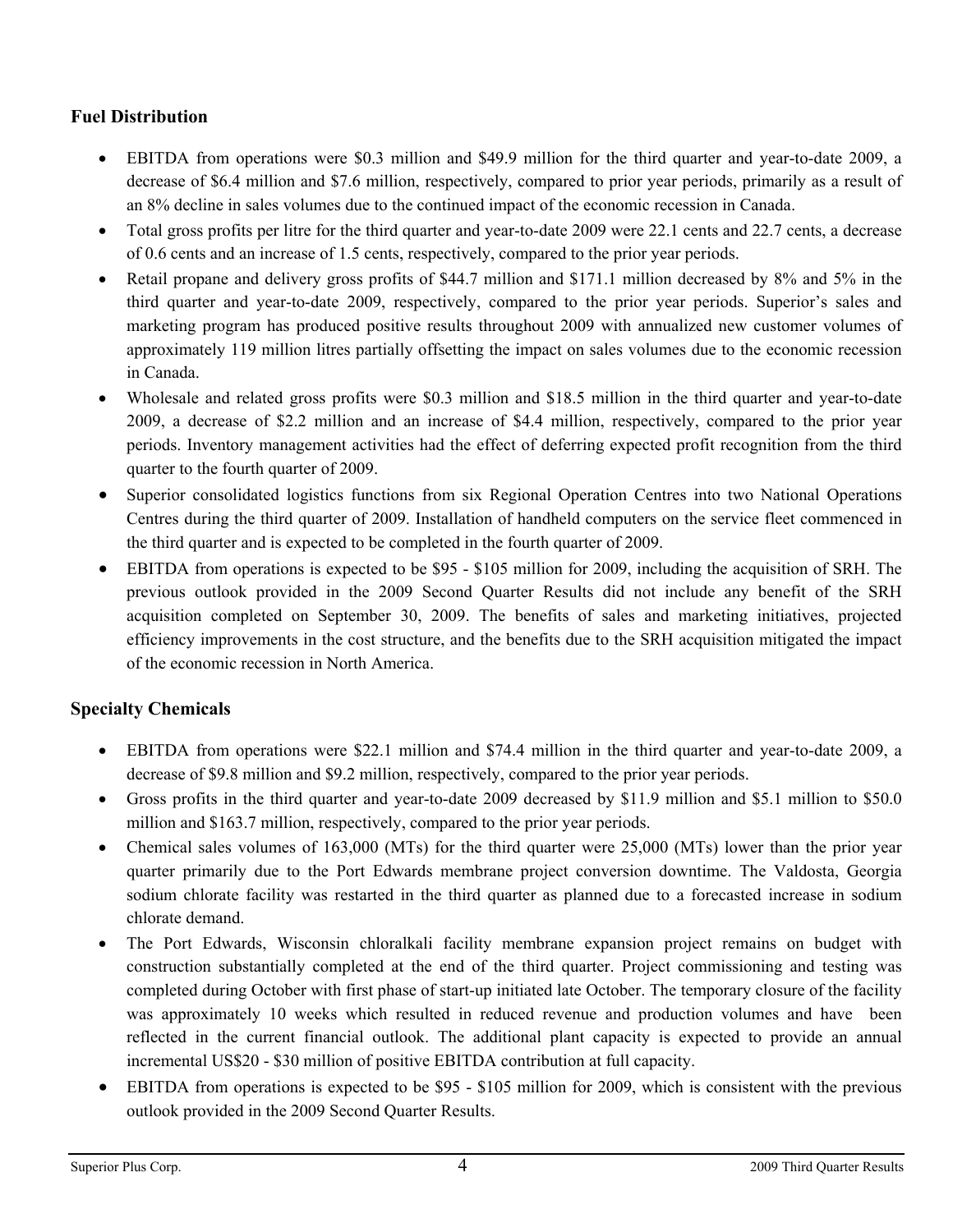# **Fuel Distribution**

- EBITDA from operations were \$0.3 million and \$49.9 million for the third quarter and year-to-date 2009, a decrease of \$6.4 million and \$7.6 million, respectively, compared to prior year periods, primarily as a result of an 8% decline in sales volumes due to the continued impact of the economic recession in Canada.
- Total gross profits per litre for the third quarter and year-to-date 2009 were 22.1 cents and 22.7 cents, a decrease of 0.6 cents and an increase of 1.5 cents, respectively, compared to the prior year periods.
- Retail propane and delivery gross profits of \$44.7 million and \$171.1 million decreased by 8% and 5% in the third quarter and year-to-date 2009, respectively, compared to the prior year periods. Superior's sales and marketing program has produced positive results throughout 2009 with annualized new customer volumes of approximately 119 million litres partially offsetting the impact on sales volumes due to the economic recession in Canada.
- Wholesale and related gross profits were \$0.3 million and \$18.5 million in the third quarter and year-to-date 2009, a decrease of \$2.2 million and an increase of \$4.4 million, respectively, compared to the prior year periods. Inventory management activities had the effect of deferring expected profit recognition from the third quarter to the fourth quarter of 2009.
- Superior consolidated logistics functions from six Regional Operation Centres into two National Operations Centres during the third quarter of 2009. Installation of handheld computers on the service fleet commenced in the third quarter and is expected to be completed in the fourth quarter of 2009.
- EBITDA from operations is expected to be \$95 \$105 million for 2009, including the acquisition of SRH. The previous outlook provided in the 2009 Second Quarter Results did not include any benefit of the SRH acquisition completed on September 30, 2009. The benefits of sales and marketing initiatives, projected efficiency improvements in the cost structure, and the benefits due to the SRH acquisition mitigated the impact of the economic recession in North America.

# **Specialty Chemicals**

- EBITDA from operations were \$22.1 million and \$74.4 million in the third quarter and year-to-date 2009, a decrease of \$9.8 million and \$9.2 million, respectively, compared to the prior year periods.
- Gross profits in the third quarter and year-to-date 2009 decreased by \$11.9 million and \$5.1 million to \$50.0 million and \$163.7 million, respectively, compared to the prior year periods.
- Chemical sales volumes of 163,000 (MTs) for the third quarter were 25,000 (MTs) lower than the prior year quarter primarily due to the Port Edwards membrane project conversion downtime. The Valdosta, Georgia sodium chlorate facility was restarted in the third quarter as planned due to a forecasted increase in sodium chlorate demand.
- The Port Edwards, Wisconsin chloralkali facility membrane expansion project remains on budget with construction substantially completed at the end of the third quarter. Project commissioning and testing was completed during October with first phase of start-up initiated late October. The temporary closure of the facility was approximately 10 weeks which resulted in reduced revenue and production volumes and have been reflected in the current financial outlook. The additional plant capacity is expected to provide an annual incremental US\$20 - \$30 million of positive EBITDA contribution at full capacity.
- EBITDA from operations is expected to be \$95 \$105 million for 2009, which is consistent with the previous outlook provided in the 2009 Second Quarter Results.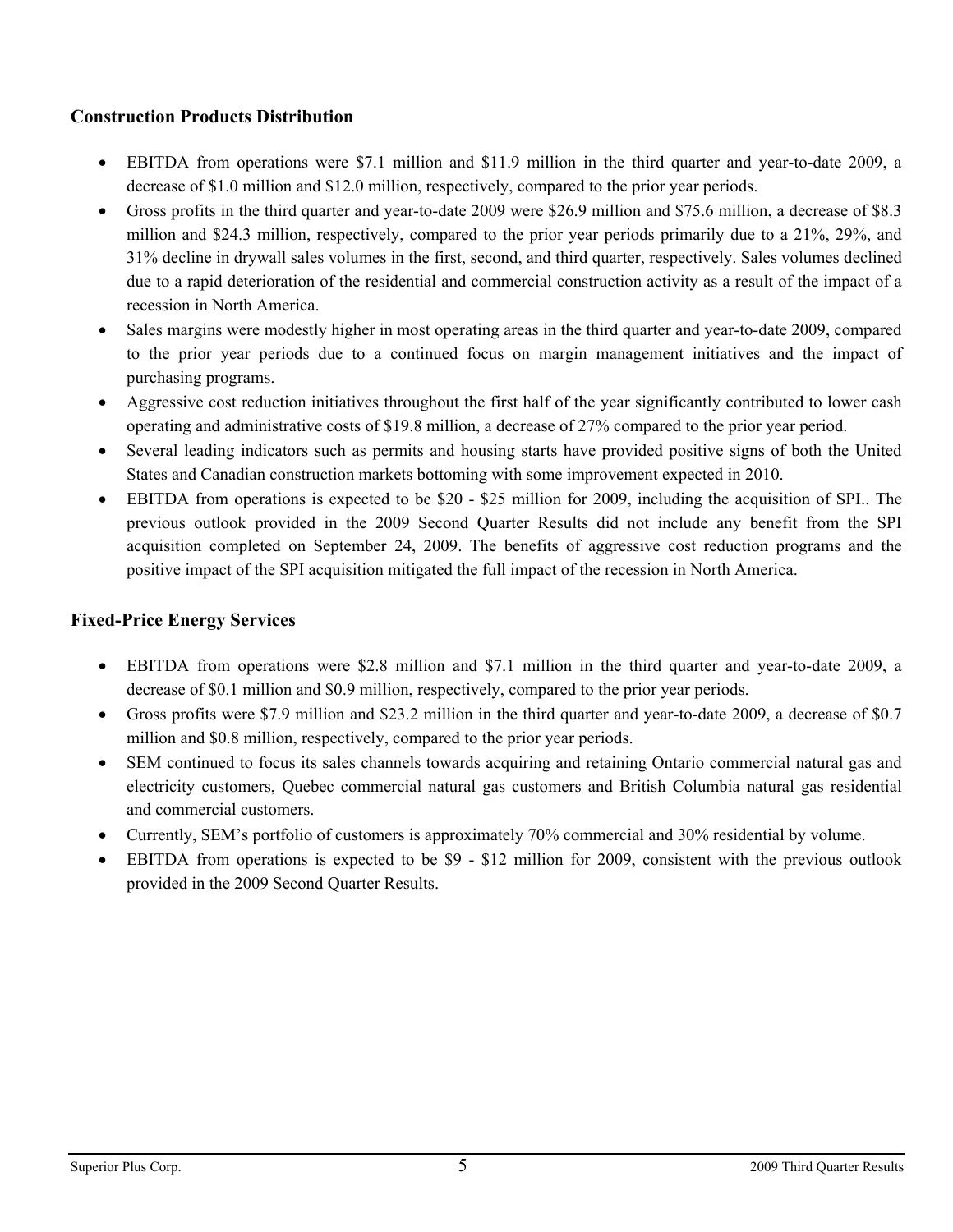# **Construction Products Distribution**

- EBITDA from operations were \$7.1 million and \$11.9 million in the third quarter and year-to-date 2009, a decrease of \$1.0 million and \$12.0 million, respectively, compared to the prior year periods.
- Gross profits in the third quarter and year-to-date 2009 were \$26.9 million and \$75.6 million, a decrease of \$8.3 million and \$24.3 million, respectively, compared to the prior year periods primarily due to a 21%, 29%, and 31% decline in drywall sales volumes in the first, second, and third quarter, respectively. Sales volumes declined due to a rapid deterioration of the residential and commercial construction activity as a result of the impact of a recession in North America.
- Sales margins were modestly higher in most operating areas in the third quarter and year-to-date 2009, compared to the prior year periods due to a continued focus on margin management initiatives and the impact of purchasing programs.
- Aggressive cost reduction initiatives throughout the first half of the year significantly contributed to lower cash operating and administrative costs of \$19.8 million, a decrease of 27% compared to the prior year period.
- Several leading indicators such as permits and housing starts have provided positive signs of both the United States and Canadian construction markets bottoming with some improvement expected in 2010.
- EBITDA from operations is expected to be \$20 \$25 million for 2009, including the acquisition of SPI.. The previous outlook provided in the 2009 Second Quarter Results did not include any benefit from the SPI acquisition completed on September 24, 2009. The benefits of aggressive cost reduction programs and the positive impact of the SPI acquisition mitigated the full impact of the recession in North America.

# **Fixed-Price Energy Services**

- EBITDA from operations were \$2.8 million and \$7.1 million in the third quarter and year-to-date 2009, a decrease of \$0.1 million and \$0.9 million, respectively, compared to the prior year periods.
- Gross profits were \$7.9 million and \$23.2 million in the third quarter and year-to-date 2009, a decrease of \$0.7 million and \$0.8 million, respectively, compared to the prior year periods.
- SEM continued to focus its sales channels towards acquiring and retaining Ontario commercial natural gas and electricity customers, Quebec commercial natural gas customers and British Columbia natural gas residential and commercial customers.
- Currently, SEM's portfolio of customers is approximately 70% commercial and 30% residential by volume.
- EBITDA from operations is expected to be \$9 \$12 million for 2009, consistent with the previous outlook provided in the 2009 Second Quarter Results.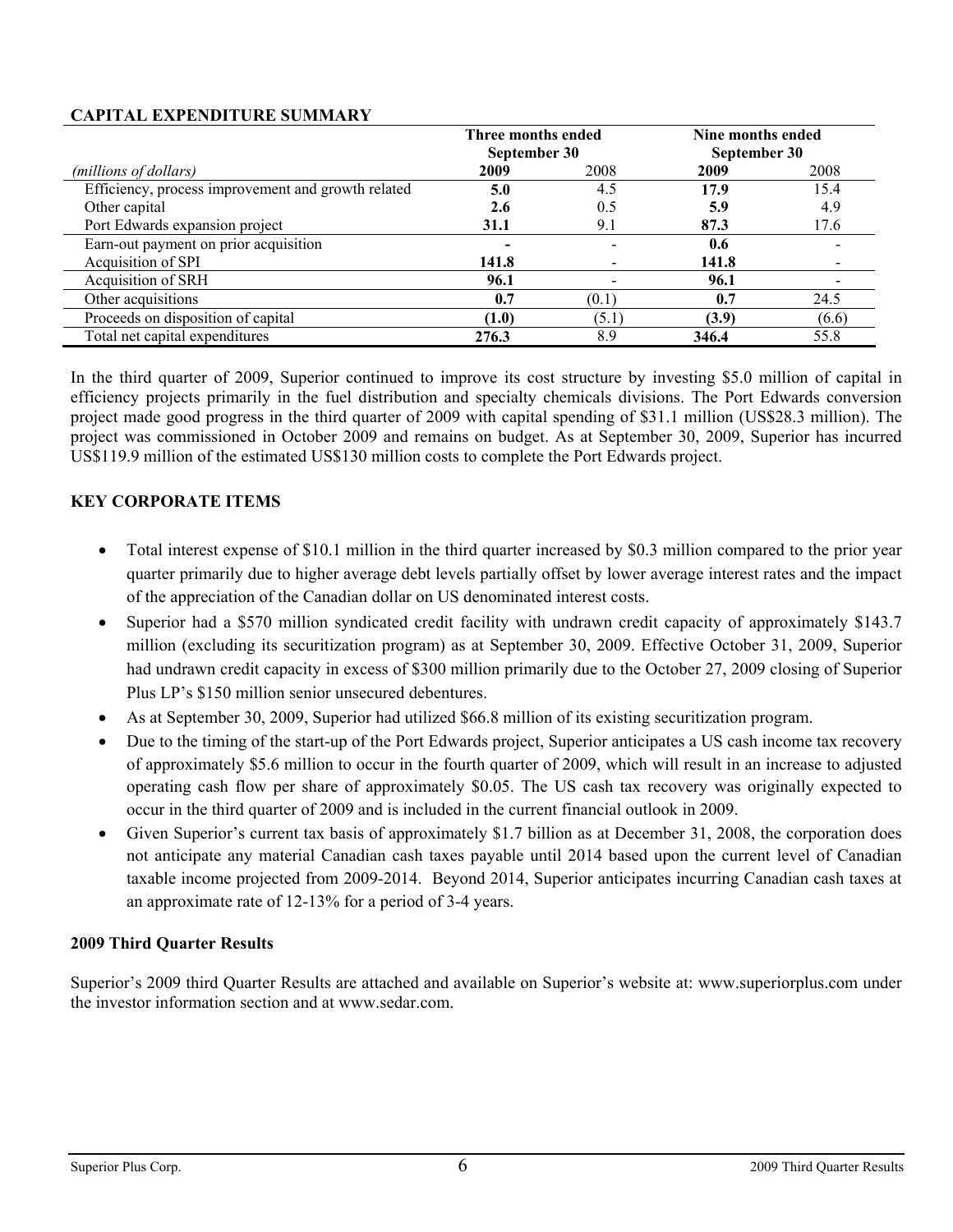# **CAPITAL EXPENDITURE SUMMARY**

|                                                    | Three months ended<br>September 30 |       | Nine months ended<br>September 30 |       |
|----------------------------------------------------|------------------------------------|-------|-----------------------------------|-------|
| (millions of dollars)                              | 2009                               | 2008  | 2009                              | 2008  |
| Efficiency, process improvement and growth related | 5.0                                | 4.5   | 17.9                              | 15.4  |
| Other capital                                      | 2.6                                | 0.5   | 5.9                               | 4.9   |
| Port Edwards expansion project                     | 31.1                               | 9.1   | 87.3                              | 17.6  |
| Earn-out payment on prior acquisition              |                                    |       | 0.6                               |       |
| Acquisition of SPI                                 | 141.8                              |       | 141.8                             |       |
| Acquisition of SRH                                 | 96.1                               |       | 96.1                              |       |
| Other acquisitions                                 | 0.7                                | (0.1) | 0.7                               | 24.5  |
| Proceeds on disposition of capital                 | (1.0)                              | (5.1) | (3.9)                             | (6.6) |
| Total net capital expenditures                     | 276.3                              | 8.9   | 346.4                             | 55.8  |

In the third quarter of 2009, Superior continued to improve its cost structure by investing \$5.0 million of capital in efficiency projects primarily in the fuel distribution and specialty chemicals divisions. The Port Edwards conversion project made good progress in the third quarter of 2009 with capital spending of \$31.1 million (US\$28.3 million). The project was commissioned in October 2009 and remains on budget. As at September 30, 2009, Superior has incurred US\$119.9 million of the estimated US\$130 million costs to complete the Port Edwards project.

# **KEY CORPORATE ITEMS**

- Total interest expense of \$10.1 million in the third quarter increased by \$0.3 million compared to the prior year quarter primarily due to higher average debt levels partially offset by lower average interest rates and the impact of the appreciation of the Canadian dollar on US denominated interest costs.
- Superior had a \$570 million syndicated credit facility with undrawn credit capacity of approximately \$143.7 million (excluding its securitization program) as at September 30, 2009. Effective October 31, 2009, Superior had undrawn credit capacity in excess of \$300 million primarily due to the October 27, 2009 closing of Superior Plus LP's \$150 million senior unsecured debentures.
- As at September 30, 2009, Superior had utilized \$66.8 million of its existing securitization program.
- Due to the timing of the start-up of the Port Edwards project, Superior anticipates a US cash income tax recovery of approximately \$5.6 million to occur in the fourth quarter of 2009, which will result in an increase to adjusted operating cash flow per share of approximately \$0.05. The US cash tax recovery was originally expected to occur in the third quarter of 2009 and is included in the current financial outlook in 2009.
- Given Superior's current tax basis of approximately \$1.7 billion as at December 31, 2008, the corporation does not anticipate any material Canadian cash taxes payable until 2014 based upon the current level of Canadian taxable income projected from 2009-2014. Beyond 2014, Superior anticipates incurring Canadian cash taxes at an approximate rate of 12-13% for a period of 3-4 years.

### **2009 Third Quarter Results**

Superior's 2009 third Quarter Results are attached and available on Superior's website at: www.superiorplus.com under the investor information section and at www.sedar.com.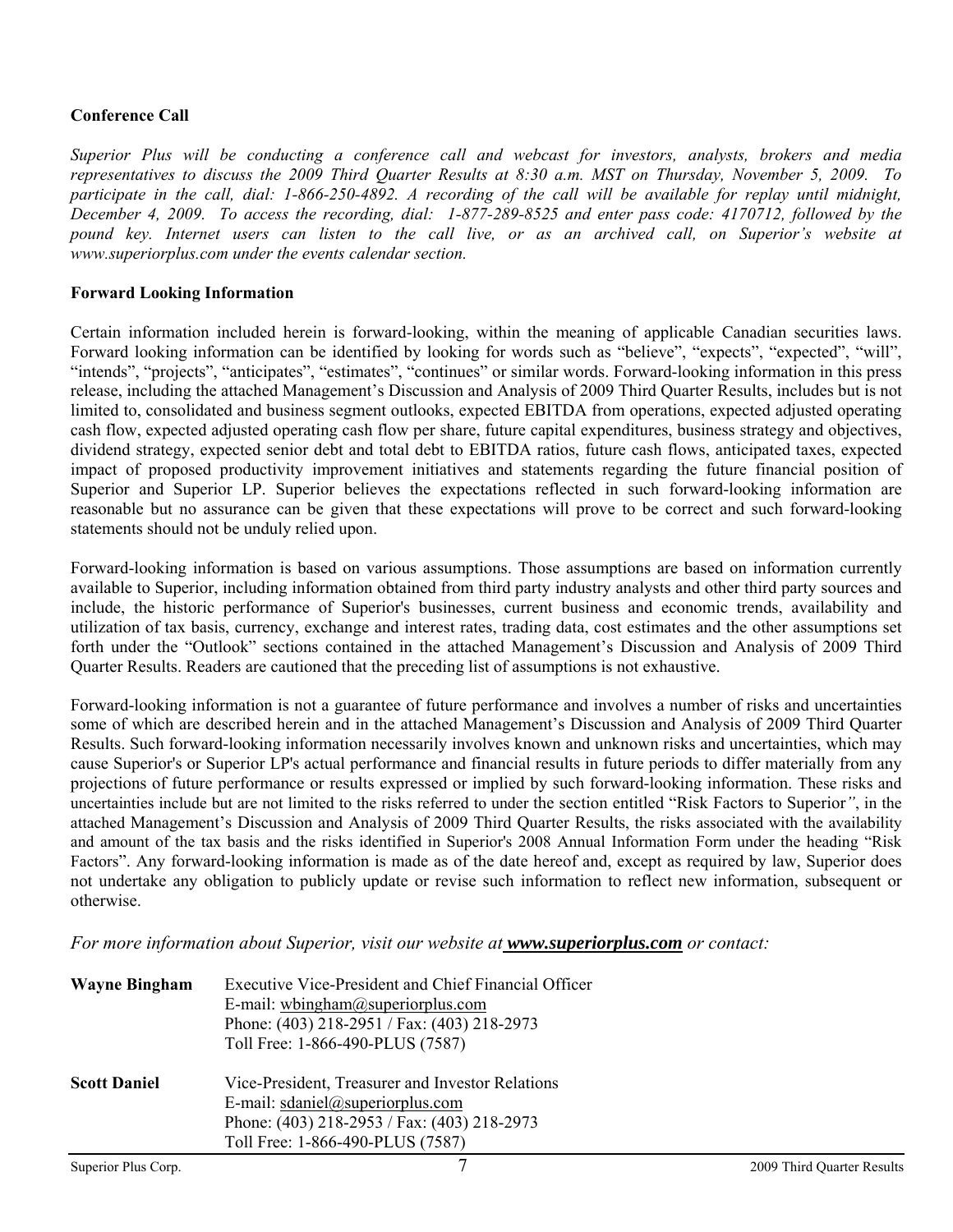### **Conference Call**

*Superior Plus will be conducting a conference call and webcast for investors, analysts, brokers and media representatives to discuss the 2009 Third Quarter Results at 8:30 a.m. MST on Thursday, November 5, 2009. To participate in the call, dial: 1-866-250-4892. A recording of the call will be available for replay until midnight, December 4, 2009. To access the recording, dial: 1-877-289-8525 and enter pass code: 4170712, followed by the pound key. Internet users can listen to the call live, or as an archived call, on Superior's website at www.superiorplus.com under the events calendar section.* 

### **Forward Looking Information**

Certain information included herein is forward-looking, within the meaning of applicable Canadian securities laws. Forward looking information can be identified by looking for words such as "believe", "expects", "expected", "will", "intends", "projects", "anticipates", "estimates", "continues" or similar words. Forward-looking information in this press release, including the attached Management's Discussion and Analysis of 2009 Third Quarter Results, includes but is not limited to, consolidated and business segment outlooks, expected EBITDA from operations, expected adjusted operating cash flow, expected adjusted operating cash flow per share, future capital expenditures, business strategy and objectives, dividend strategy, expected senior debt and total debt to EBITDA ratios, future cash flows, anticipated taxes, expected impact of proposed productivity improvement initiatives and statements regarding the future financial position of Superior and Superior LP. Superior believes the expectations reflected in such forward-looking information are reasonable but no assurance can be given that these expectations will prove to be correct and such forward-looking statements should not be unduly relied upon.

Forward-looking information is based on various assumptions. Those assumptions are based on information currently available to Superior, including information obtained from third party industry analysts and other third party sources and include, the historic performance of Superior's businesses, current business and economic trends, availability and utilization of tax basis, currency, exchange and interest rates, trading data, cost estimates and the other assumptions set forth under the "Outlook" sections contained in the attached Management's Discussion and Analysis of 2009 Third Quarter Results. Readers are cautioned that the preceding list of assumptions is not exhaustive.

Forward-looking information is not a guarantee of future performance and involves a number of risks and uncertainties some of which are described herein and in the attached Management's Discussion and Analysis of 2009 Third Quarter Results. Such forward-looking information necessarily involves known and unknown risks and uncertainties, which may cause Superior's or Superior LP's actual performance and financial results in future periods to differ materially from any projections of future performance or results expressed or implied by such forward-looking information. These risks and uncertainties include but are not limited to the risks referred to under the section entitled "Risk Factors to Superior*"*, in the attached Management's Discussion and Analysis of 2009 Third Quarter Results, the risks associated with the availability and amount of the tax basis and the risks identified in Superior's 2008 Annual Information Form under the heading "Risk Factors". Any forward-looking information is made as of the date hereof and, except as required by law, Superior does not undertake any obligation to publicly update or revise such information to reflect new information, subsequent or otherwise.

*For more information about Superior, visit our website at www.superiorplus.com or contact:* 

| <b>Wayne Bingham</b> | <b>Executive Vice-President and Chief Financial Officer</b><br>E-mail: whingham@superiorplus.com<br>Phone: (403) 218-2951 / Fax: (403) 218-2973<br>Toll Free: 1-866-490-PLUS (7587) |
|----------------------|-------------------------------------------------------------------------------------------------------------------------------------------------------------------------------------|
| <b>Scott Daniel</b>  | Vice-President, Treasurer and Investor Relations<br>E-mail: sdaniel@superiorplus.com<br>Phone: (403) 218-2953 / Fax: (403) 218-2973<br>Toll Free: 1-866-490-PLUS (7587)             |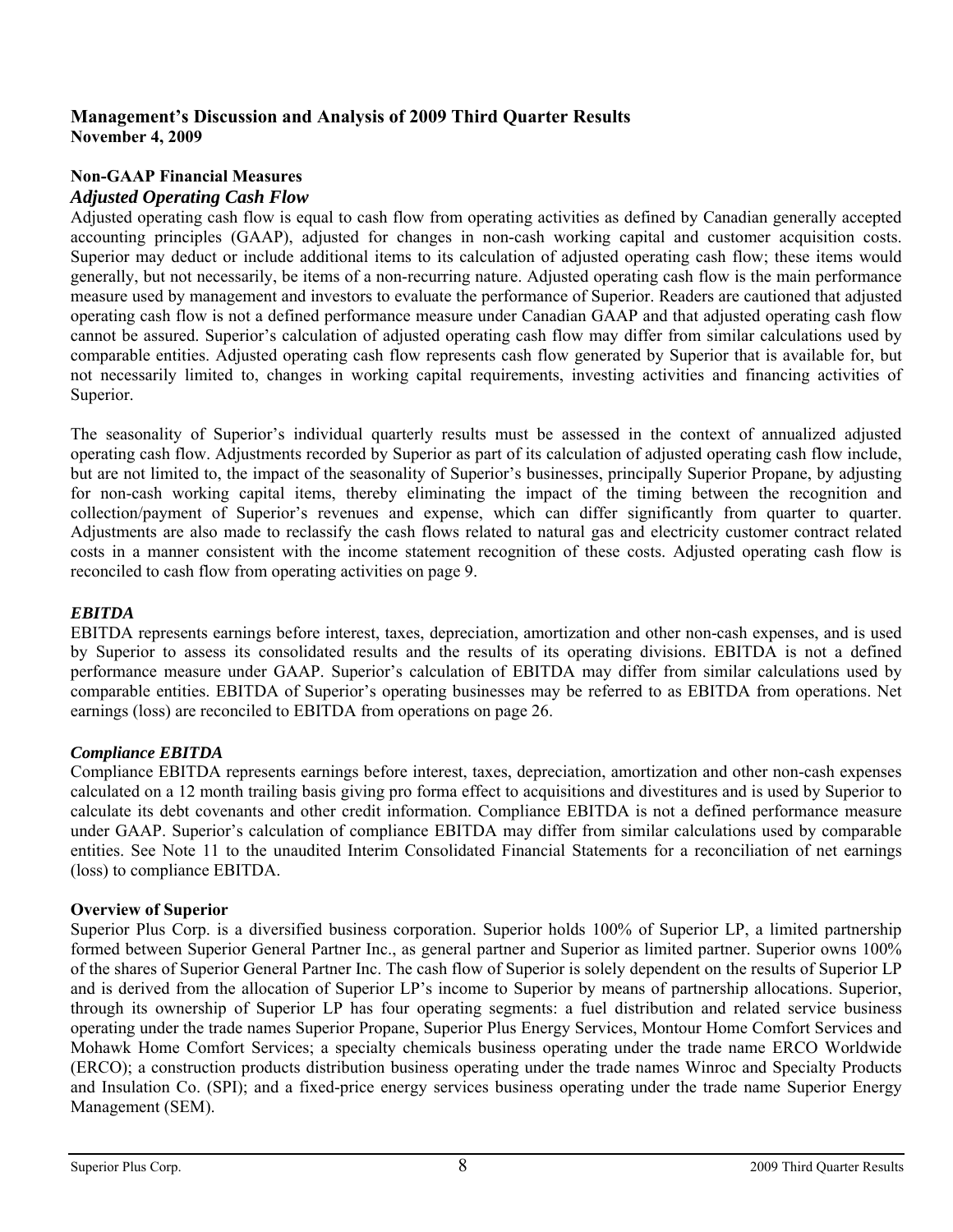# **Management's Discussion and Analysis of 2009 Third Quarter Results November 4, 2009**

# **Non-GAAP Financial Measures**

# *Adjusted Operating Cash Flow*

Adjusted operating cash flow is equal to cash flow from operating activities as defined by Canadian generally accepted accounting principles (GAAP), adjusted for changes in non-cash working capital and customer acquisition costs. Superior may deduct or include additional items to its calculation of adjusted operating cash flow; these items would generally, but not necessarily, be items of a non-recurring nature. Adjusted operating cash flow is the main performance measure used by management and investors to evaluate the performance of Superior. Readers are cautioned that adjusted operating cash flow is not a defined performance measure under Canadian GAAP and that adjusted operating cash flow cannot be assured. Superior's calculation of adjusted operating cash flow may differ from similar calculations used by comparable entities. Adjusted operating cash flow represents cash flow generated by Superior that is available for, but not necessarily limited to, changes in working capital requirements, investing activities and financing activities of Superior.

The seasonality of Superior's individual quarterly results must be assessed in the context of annualized adjusted operating cash flow. Adjustments recorded by Superior as part of its calculation of adjusted operating cash flow include, but are not limited to, the impact of the seasonality of Superior's businesses, principally Superior Propane, by adjusting for non-cash working capital items, thereby eliminating the impact of the timing between the recognition and collection/payment of Superior's revenues and expense, which can differ significantly from quarter to quarter. Adjustments are also made to reclassify the cash flows related to natural gas and electricity customer contract related costs in a manner consistent with the income statement recognition of these costs. Adjusted operating cash flow is reconciled to cash flow from operating activities on page 9.

# *EBITDA*

EBITDA represents earnings before interest, taxes, depreciation, amortization and other non-cash expenses, and is used by Superior to assess its consolidated results and the results of its operating divisions. EBITDA is not a defined performance measure under GAAP. Superior's calculation of EBITDA may differ from similar calculations used by comparable entities. EBITDA of Superior's operating businesses may be referred to as EBITDA from operations. Net earnings (loss) are reconciled to EBITDA from operations on page 26.

# *Compliance EBITDA*

Compliance EBITDA represents earnings before interest, taxes, depreciation, amortization and other non-cash expenses calculated on a 12 month trailing basis giving pro forma effect to acquisitions and divestitures and is used by Superior to calculate its debt covenants and other credit information. Compliance EBITDA is not a defined performance measure under GAAP. Superior's calculation of compliance EBITDA may differ from similar calculations used by comparable entities. See Note 11 to the unaudited Interim Consolidated Financial Statements for a reconciliation of net earnings (loss) to compliance EBITDA.

# **Overview of Superior**

Superior Plus Corp. is a diversified business corporation. Superior holds 100% of Superior LP, a limited partnership formed between Superior General Partner Inc., as general partner and Superior as limited partner. Superior owns 100% of the shares of Superior General Partner Inc. The cash flow of Superior is solely dependent on the results of Superior LP and is derived from the allocation of Superior LP's income to Superior by means of partnership allocations. Superior, through its ownership of Superior LP has four operating segments: a fuel distribution and related service business operating under the trade names Superior Propane, Superior Plus Energy Services, Montour Home Comfort Services and Mohawk Home Comfort Services; a specialty chemicals business operating under the trade name ERCO Worldwide (ERCO); a construction products distribution business operating under the trade names Winroc and Specialty Products and Insulation Co. (SPI); and a fixed-price energy services business operating under the trade name Superior Energy Management (SEM).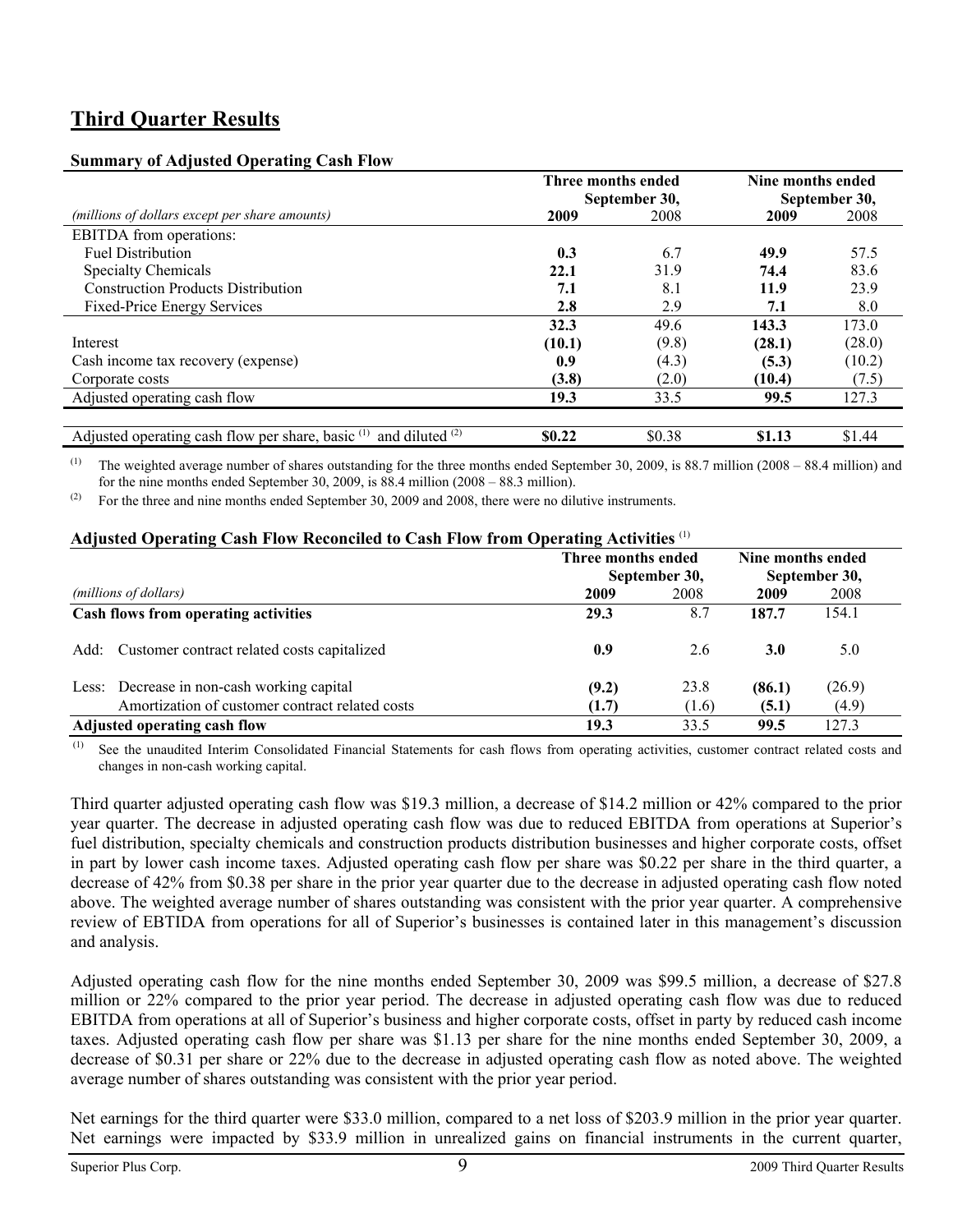# **Third Quarter Results**

### **Summary of Adjusted Operating Cash Flow**

| $\overline{ }$                                                        |                                     |        |                                    |        |
|-----------------------------------------------------------------------|-------------------------------------|--------|------------------------------------|--------|
|                                                                       | Three months ended<br>September 30, |        | Nine months ended<br>September 30, |        |
| (millions of dollars except per share amounts)                        | 2009                                | 2008   | 2009                               | 2008   |
| <b>EBITDA</b> from operations:                                        |                                     |        |                                    |        |
| <b>Fuel Distribution</b>                                              | 0.3                                 | 6.7    | 49.9                               | 57.5   |
| <b>Specialty Chemicals</b>                                            | 22.1                                | 31.9   | 74.4                               | 83.6   |
| <b>Construction Products Distribution</b>                             | 7.1                                 | 8.1    | 11.9                               | 23.9   |
| <b>Fixed-Price Energy Services</b>                                    | 2.8                                 | 2.9    | 7.1                                | 8.0    |
|                                                                       | 32.3                                | 49.6   | 143.3                              | 173.0  |
| Interest                                                              | (10.1)                              | (9.8)  | (28.1)                             | (28.0) |
| Cash income tax recovery (expense)                                    | 0.9                                 | (4.3)  | (5.3)                              | (10.2) |
| Corporate costs                                                       | (3.8)                               | (2.0)  | (10.4)                             | (7.5)  |
| Adjusted operating cash flow                                          | 19.3                                | 33.5   | 99.5                               | 127.3  |
|                                                                       |                                     |        |                                    |        |
| Adjusted operating cash flow per share, basic $(1)$ and diluted $(2)$ | \$0.22                              | \$0.38 | \$1.13                             | \$1.44 |

<sup>(1)</sup> The weighted average number of shares outstanding for the three months ended September 30, 2009, is 88.7 million (2008 – 88.4 million) and for the nine months ended September 30, 2009, is 88.4 million (2008 – 88.3 million).

(2) For the three and nine months ended September 30, 2009 and 2008, there were no dilutive instruments.

### **Adjusted Operating Cash Flow Reconciled to Cash Flow from Operating Activities** (1)

|                       | Three months ended<br>September 30,              |       | Nine months ended<br>September 30, |        |        |
|-----------------------|--------------------------------------------------|-------|------------------------------------|--------|--------|
| (millions of dollars) |                                                  | 2009  | 2008                               | 2009   | 2008   |
|                       | <b>Cash flows from operating activities</b>      | 29.3  | 8.7                                | 187.7  | 154.1  |
|                       | Add: Customer contract related costs capitalized | 0.9   | 2.6                                | 3.0    | 5.0    |
|                       | Less: Decrease in non-cash working capital       | (9.2) | 23.8                               | (86.1) | (26.9) |
|                       | Amortization of customer contract related costs  | (1.7) | (1.6)                              | (5.1)  | (4.9)  |
|                       | Adjusted operating cash flow                     | 19.3  | 33.5                               | 99.5   | 127.3  |

 (1) See the unaudited Interim Consolidated Financial Statements for cash flows from operating activities, customer contract related costs and changes in non-cash working capital.

Third quarter adjusted operating cash flow was \$19.3 million, a decrease of \$14.2 million or 42% compared to the prior year quarter. The decrease in adjusted operating cash flow was due to reduced EBITDA from operations at Superior's fuel distribution, specialty chemicals and construction products distribution businesses and higher corporate costs, offset in part by lower cash income taxes. Adjusted operating cash flow per share was \$0.22 per share in the third quarter, a decrease of 42% from \$0.38 per share in the prior year quarter due to the decrease in adjusted operating cash flow noted above. The weighted average number of shares outstanding was consistent with the prior year quarter. A comprehensive review of EBTIDA from operations for all of Superior's businesses is contained later in this management's discussion and analysis.

Adjusted operating cash flow for the nine months ended September 30, 2009 was \$99.5 million, a decrease of \$27.8 million or 22% compared to the prior year period. The decrease in adjusted operating cash flow was due to reduced EBITDA from operations at all of Superior's business and higher corporate costs, offset in party by reduced cash income taxes. Adjusted operating cash flow per share was \$1.13 per share for the nine months ended September 30, 2009, a decrease of \$0.31 per share or 22% due to the decrease in adjusted operating cash flow as noted above. The weighted average number of shares outstanding was consistent with the prior year period.

Net earnings for the third quarter were \$33.0 million, compared to a net loss of \$203.9 million in the prior year quarter. Net earnings were impacted by \$33.9 million in unrealized gains on financial instruments in the current quarter,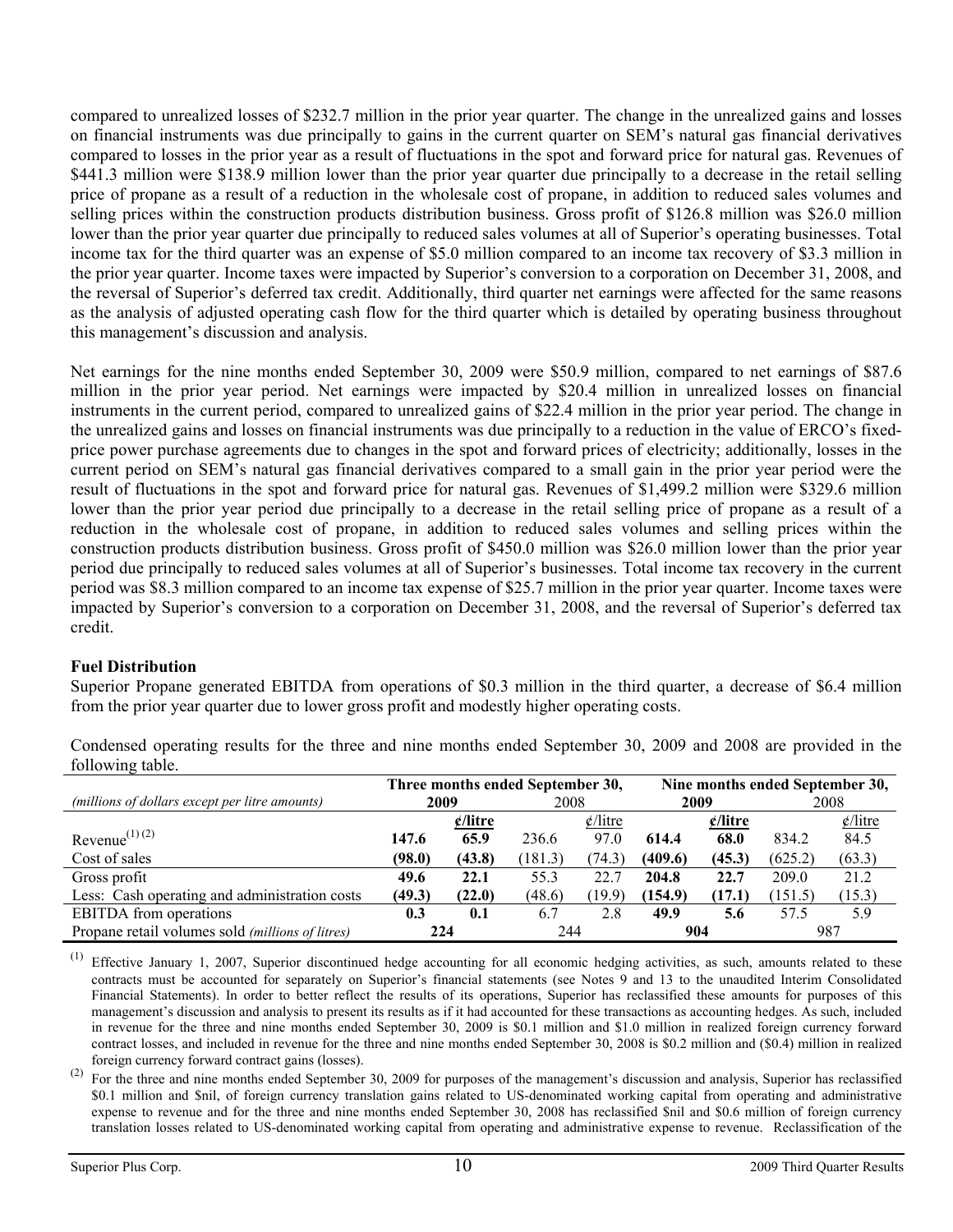compared to unrealized losses of \$232.7 million in the prior year quarter. The change in the unrealized gains and losses on financial instruments was due principally to gains in the current quarter on SEM's natural gas financial derivatives compared to losses in the prior year as a result of fluctuations in the spot and forward price for natural gas. Revenues of \$441.3 million were \$138.9 million lower than the prior year quarter due principally to a decrease in the retail selling price of propane as a result of a reduction in the wholesale cost of propane, in addition to reduced sales volumes and selling prices within the construction products distribution business. Gross profit of \$126.8 million was \$26.0 million lower than the prior year quarter due principally to reduced sales volumes at all of Superior's operating businesses. Total income tax for the third quarter was an expense of \$5.0 million compared to an income tax recovery of \$3.3 million in the prior year quarter. Income taxes were impacted by Superior's conversion to a corporation on December 31, 2008, and the reversal of Superior's deferred tax credit. Additionally, third quarter net earnings were affected for the same reasons as the analysis of adjusted operating cash flow for the third quarter which is detailed by operating business throughout this management's discussion and analysis.

Net earnings for the nine months ended September 30, 2009 were \$50.9 million, compared to net earnings of \$87.6 million in the prior year period. Net earnings were impacted by \$20.4 million in unrealized losses on financial instruments in the current period, compared to unrealized gains of \$22.4 million in the prior year period. The change in the unrealized gains and losses on financial instruments was due principally to a reduction in the value of ERCO's fixedprice power purchase agreements due to changes in the spot and forward prices of electricity; additionally, losses in the current period on SEM's natural gas financial derivatives compared to a small gain in the prior year period were the result of fluctuations in the spot and forward price for natural gas. Revenues of \$1,499.2 million were \$329.6 million lower than the prior year period due principally to a decrease in the retail selling price of propane as a result of a reduction in the wholesale cost of propane, in addition to reduced sales volumes and selling prices within the construction products distribution business. Gross profit of \$450.0 million was \$26.0 million lower than the prior year period due principally to reduced sales volumes at all of Superior's businesses. Total income tax recovery in the current period was \$8.3 million compared to an income tax expense of \$25.7 million in the prior year quarter. Income taxes were impacted by Superior's conversion to a corporation on December 31, 2008, and the reversal of Superior's deferred tax credit.

### **Fuel Distribution**

Superior Propane generated EBITDA from operations of \$0.3 million in the third quarter, a decrease of \$6.4 million from the prior year quarter due to lower gross profit and modestly higher operating costs.

|                                                  | Three months ended September 30, |                                 |         |                                   | Nine months ended September 30, |                   |         |                                   |
|--------------------------------------------------|----------------------------------|---------------------------------|---------|-----------------------------------|---------------------------------|-------------------|---------|-----------------------------------|
| (millions of dollars except per litre amounts)   | 2009                             |                                 | 2008    |                                   | 2009                            |                   |         | 2008                              |
|                                                  |                                  | $\frac{\cancel{c}}{\cancel{h}}$ |         | $\frac{\cancel{c}}{\text{litre}}$ |                                 | $\epsilon$ /litre |         | $\frac{\cancel{c}}{\text{litre}}$ |
| Revenue <sup>(1)(2)</sup>                        | 147.6                            | 65.9                            | 236.6   | 97.0                              | 614.4                           | 68.0              | 834.2   | 84.5                              |
| Cost of sales                                    | (98.0)                           | (43.8)                          | (181.3) | (74.3)                            | (409.6)                         | (45.3)            | (625.2) | (63.3)                            |
| Gross profit                                     | 49.6                             | 22.1                            | 55.3    | 22.7                              | 204.8                           | 22.7              | 209.0   | 21.2                              |
| Less: Cash operating and administration costs    | (49.3)                           | (22.0)                          | (48.6)  | (19.9)                            | (154.9)                         | (17.1)            | (151.5) | 15.3)                             |
| <b>EBITDA</b> from operations                    | 0.3                              | 0.1                             | 6.7     | 2.8                               | 49.9                            | 5.6               | 57.5    | 5.9                               |
| Propane retail volumes sold (millions of litres) | 224                              |                                 | 244     |                                   | 904                             |                   |         | 987                               |

Condensed operating results for the three and nine months ended September 30, 2009 and 2008 are provided in the following table.

 $<sup>(1)</sup>$  Effective January 1, 2007, Superior discontinued hedge accounting for all economic hedging activities, as such, amounts related to these</sup> contracts must be accounted for separately on Superior's financial statements (see Notes 9 and 13 to the unaudited Interim Consolidated Financial Statements). In order to better reflect the results of its operations, Superior has reclassified these amounts for purposes of this management's discussion and analysis to present its results as if it had accounted for these transactions as accounting hedges. As such, included in revenue for the three and nine months ended September 30, 2009 is \$0.1 million and \$1.0 million in realized foreign currency forward contract losses, and included in revenue for the three and nine months ended September 30, 2008 is \$0.2 million and (\$0.4) million in realized foreign currency forward contract gains (losses).

<sup>(2)</sup> For the three and nine months ended September 30, 2009 for purposes of the management's discussion and analysis, Superior has reclassified \$0.1 million and \$nil, of foreign currency translation gains related to US-denominated working capital from operating and administrative expense to revenue and for the three and nine months ended September 30, 2008 has reclassified \$nil and \$0.6 million of foreign currency translation losses related to US-denominated working capital from operating and administrative expense to revenue. Reclassification of the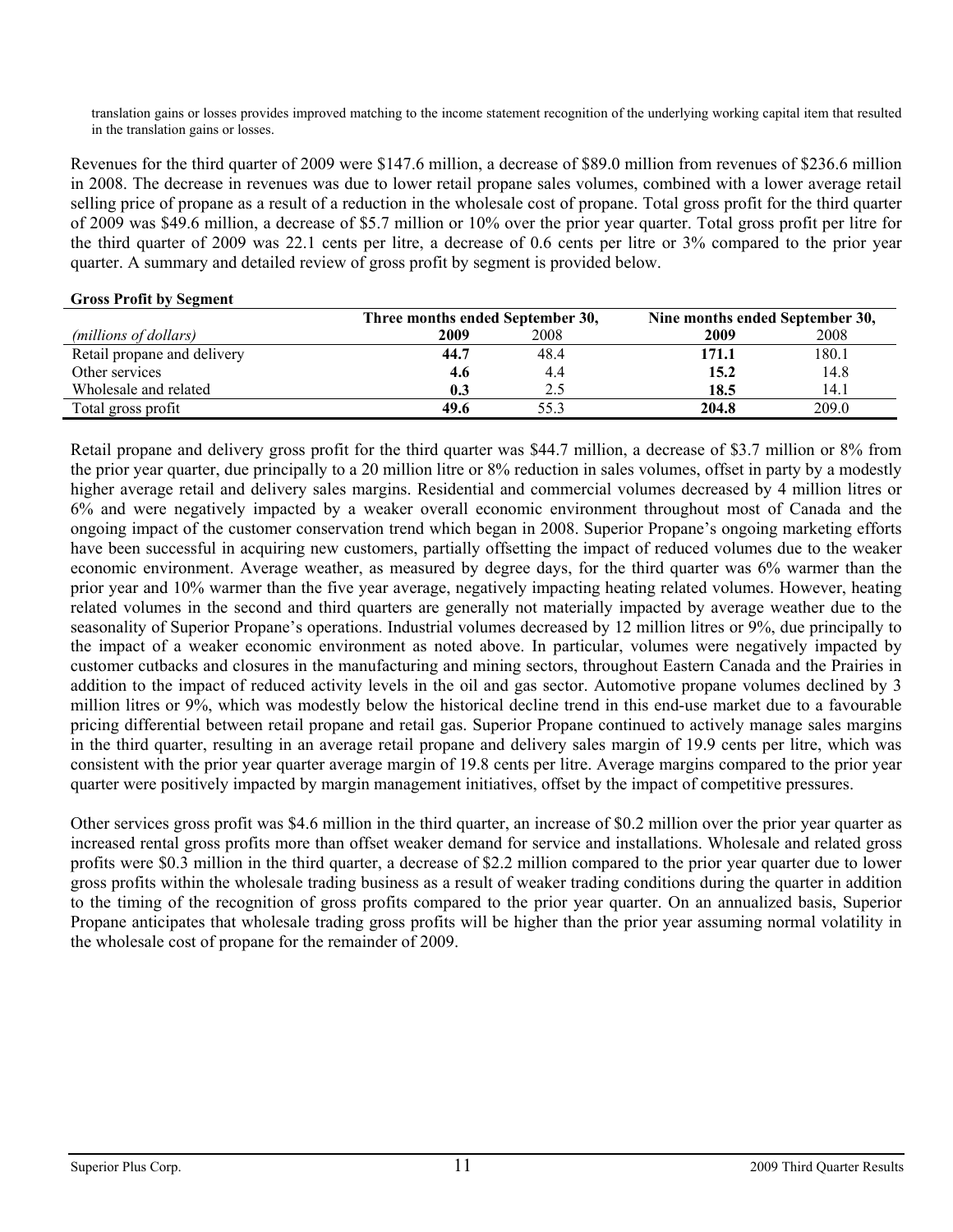translation gains or losses provides improved matching to the income statement recognition of the underlying working capital item that resulted in the translation gains or losses.

Revenues for the third quarter of 2009 were \$147.6 million, a decrease of \$89.0 million from revenues of \$236.6 million in 2008. The decrease in revenues was due to lower retail propane sales volumes, combined with a lower average retail selling price of propane as a result of a reduction in the wholesale cost of propane. Total gross profit for the third quarter of 2009 was \$49.6 million, a decrease of \$5.7 million or 10% over the prior year quarter. Total gross profit per litre for the third quarter of 2009 was 22.1 cents per litre, a decrease of 0.6 cents per litre or 3% compared to the prior year quarter. A summary and detailed review of gross profit by segment is provided below.

|      |      | Nine months ended September 30,  |       |  |
|------|------|----------------------------------|-------|--|
| 2009 | 2008 | 2009                             | 2008  |  |
| 44.7 | 48.4 | 171.1                            | 180.1 |  |
| 4.6  | 4.4  | 15.2                             | 14.8  |  |
| 0.3  | 2.5  | 18.5                             | 14.1  |  |
| 49.6 |      | 204.8                            | 209.0 |  |
|      |      | Three months ended September 30, |       |  |

Retail propane and delivery gross profit for the third quarter was \$44.7 million, a decrease of \$3.7 million or 8% from the prior year quarter, due principally to a 20 million litre or 8% reduction in sales volumes, offset in party by a modestly higher average retail and delivery sales margins. Residential and commercial volumes decreased by 4 million litres or 6% and were negatively impacted by a weaker overall economic environment throughout most of Canada and the ongoing impact of the customer conservation trend which began in 2008. Superior Propane's ongoing marketing efforts have been successful in acquiring new customers, partially offsetting the impact of reduced volumes due to the weaker economic environment. Average weather, as measured by degree days, for the third quarter was 6% warmer than the prior year and 10% warmer than the five year average, negatively impacting heating related volumes. However, heating related volumes in the second and third quarters are generally not materially impacted by average weather due to the seasonality of Superior Propane's operations. Industrial volumes decreased by 12 million litres or 9%, due principally to the impact of a weaker economic environment as noted above. In particular, volumes were negatively impacted by customer cutbacks and closures in the manufacturing and mining sectors, throughout Eastern Canada and the Prairies in addition to the impact of reduced activity levels in the oil and gas sector. Automotive propane volumes declined by 3 million litres or 9%, which was modestly below the historical decline trend in this end-use market due to a favourable pricing differential between retail propane and retail gas. Superior Propane continued to actively manage sales margins in the third quarter, resulting in an average retail propane and delivery sales margin of 19.9 cents per litre, which was consistent with the prior year quarter average margin of 19.8 cents per litre. Average margins compared to the prior year quarter were positively impacted by margin management initiatives, offset by the impact of competitive pressures.

Other services gross profit was \$4.6 million in the third quarter, an increase of \$0.2 million over the prior year quarter as increased rental gross profits more than offset weaker demand for service and installations. Wholesale and related gross profits were \$0.3 million in the third quarter, a decrease of \$2.2 million compared to the prior year quarter due to lower gross profits within the wholesale trading business as a result of weaker trading conditions during the quarter in addition to the timing of the recognition of gross profits compared to the prior year quarter. On an annualized basis, Superior Propane anticipates that wholesale trading gross profits will be higher than the prior year assuming normal volatility in the wholesale cost of propane for the remainder of 2009.

**Gross Profit by Segment**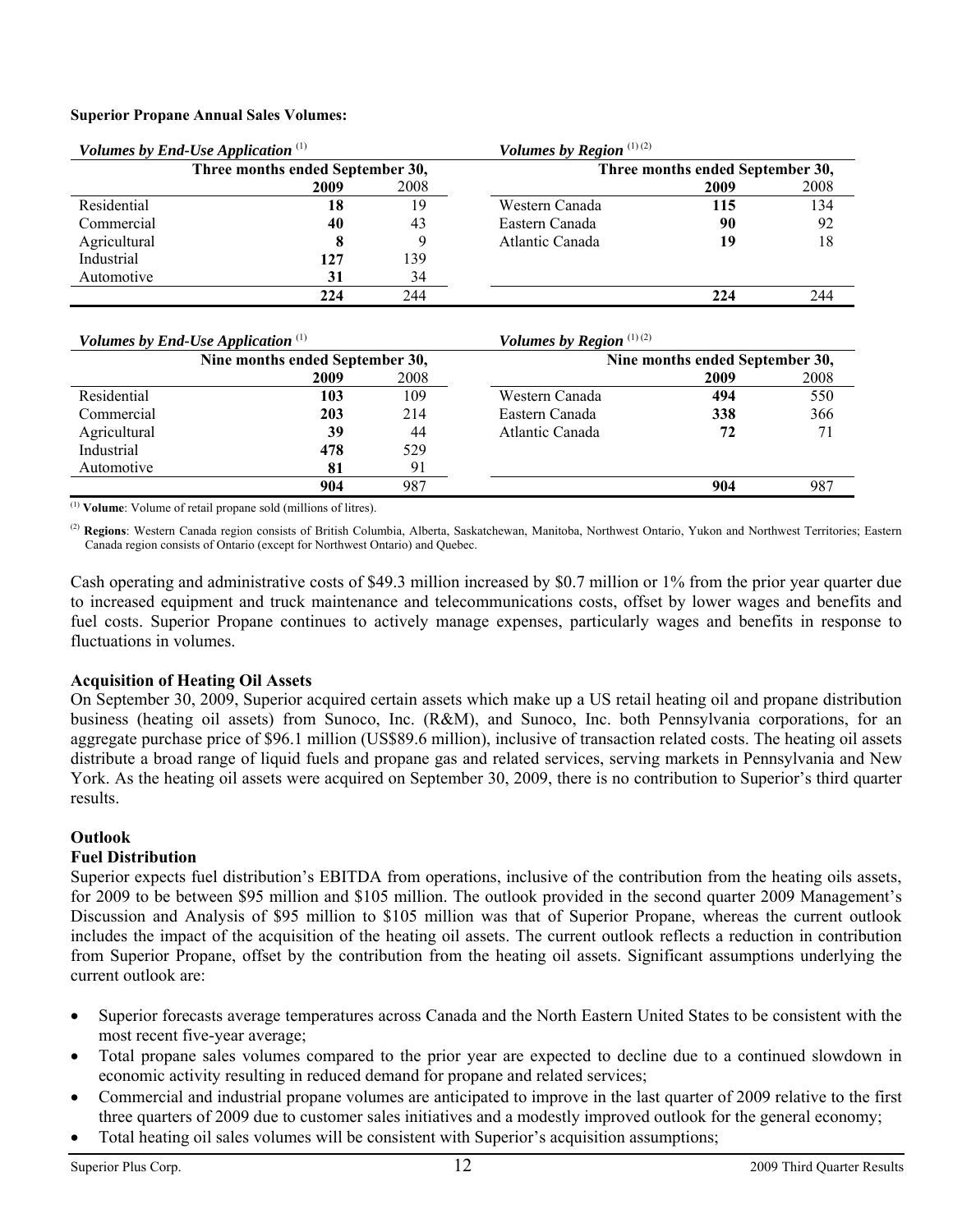#### **Superior Propane Annual Sales Volumes:**

| Volumes by End-Use Application $(1)$ |      |      | Volumes by Region $(1)(2)$       |      |      |
|--------------------------------------|------|------|----------------------------------|------|------|
| Three months ended September 30,     |      |      | Three months ended September 30, |      |      |
|                                      | 2009 | 2008 |                                  | 2009 | 2008 |
| Residential                          | 18   | 19   | Western Canada                   | 115  | 134  |
| Commercial                           | 40   | 43   | Eastern Canada                   | 90   | 92   |
| Agricultural                         |      |      | Atlantic Canada                  | 19   | 18   |
| Industrial                           | 127  | 139  |                                  |      |      |
| Automotive                           | 31   | 34   |                                  |      |      |
|                                      | 224  | 244  |                                  | 224  | 244  |
|                                      |      |      |                                  |      |      |

| Volumes by End-Use Application $(1)$ |                                  |      | Volumes by Region $(1)(2)$ |  |  |
|--------------------------------------|----------------------------------|------|----------------------------|--|--|
|                                      | Three months ended September 30, |      | Three months en            |  |  |
|                                      | 2009                             | 2008 |                            |  |  |
| Residential                          |                                  |      | Western Canada             |  |  |
|                                      | $\mathbf{A}$                     |      | $\Gamma$ $\Gamma$ 1.       |  |  |

|                                 | Volumes by End-Use Application $(1)$ |      | Volumes by Region $(1)(2)$      |      |      |
|---------------------------------|--------------------------------------|------|---------------------------------|------|------|
| Nine months ended September 30, |                                      |      | Nine months ended September 30, |      |      |
|                                 | 2009                                 | 2008 |                                 | 2009 | 2008 |
| Residential                     | 103                                  | 109  | Western Canada                  | 494  | 550  |
| Commercial                      | 203                                  | 214  | Eastern Canada                  | 338  | 366  |
| Agricultural                    | 39                                   | 44   | Atlantic Canada                 | 72   | 71   |
| Industrial                      | 478                                  | 529  |                                 |      |      |
| Automotive                      | 81                                   | 91   |                                 |      |      |
|                                 | 904                                  | 987  |                                 | 904  | 987  |

(1) **Volume**: Volume of retail propane sold (millions of litres).

(2) **Regions**: Western Canada region consists of British Columbia, Alberta, Saskatchewan, Manitoba, Northwest Ontario, Yukon and Northwest Territories; Eastern Canada region consists of Ontario (except for Northwest Ontario) and Quebec.

Cash operating and administrative costs of \$49.3 million increased by \$0.7 million or 1% from the prior year quarter due to increased equipment and truck maintenance and telecommunications costs, offset by lower wages and benefits and fuel costs. Superior Propane continues to actively manage expenses, particularly wages and benefits in response to fluctuations in volumes.

### **Acquisition of Heating Oil Assets**

On September 30, 2009, Superior acquired certain assets which make up a US retail heating oil and propane distribution business (heating oil assets) from Sunoco, Inc. (R&M), and Sunoco, Inc. both Pennsylvania corporations, for an aggregate purchase price of \$96.1 million (US\$89.6 million), inclusive of transaction related costs. The heating oil assets distribute a broad range of liquid fuels and propane gas and related services, serving markets in Pennsylvania and New York. As the heating oil assets were acquired on September 30, 2009, there is no contribution to Superior's third quarter results.

### **Outlook**

### **Fuel Distribution**

Superior expects fuel distribution's EBITDA from operations, inclusive of the contribution from the heating oils assets, for 2009 to be between \$95 million and \$105 million. The outlook provided in the second quarter 2009 Management's Discussion and Analysis of \$95 million to \$105 million was that of Superior Propane, whereas the current outlook includes the impact of the acquisition of the heating oil assets. The current outlook reflects a reduction in contribution from Superior Propane, offset by the contribution from the heating oil assets. Significant assumptions underlying the current outlook are:

- Superior forecasts average temperatures across Canada and the North Eastern United States to be consistent with the most recent five-year average;
- Total propane sales volumes compared to the prior year are expected to decline due to a continued slowdown in economic activity resulting in reduced demand for propane and related services;
- Commercial and industrial propane volumes are anticipated to improve in the last quarter of 2009 relative to the first three quarters of 2009 due to customer sales initiatives and a modestly improved outlook for the general economy;
- Total heating oil sales volumes will be consistent with Superior's acquisition assumptions;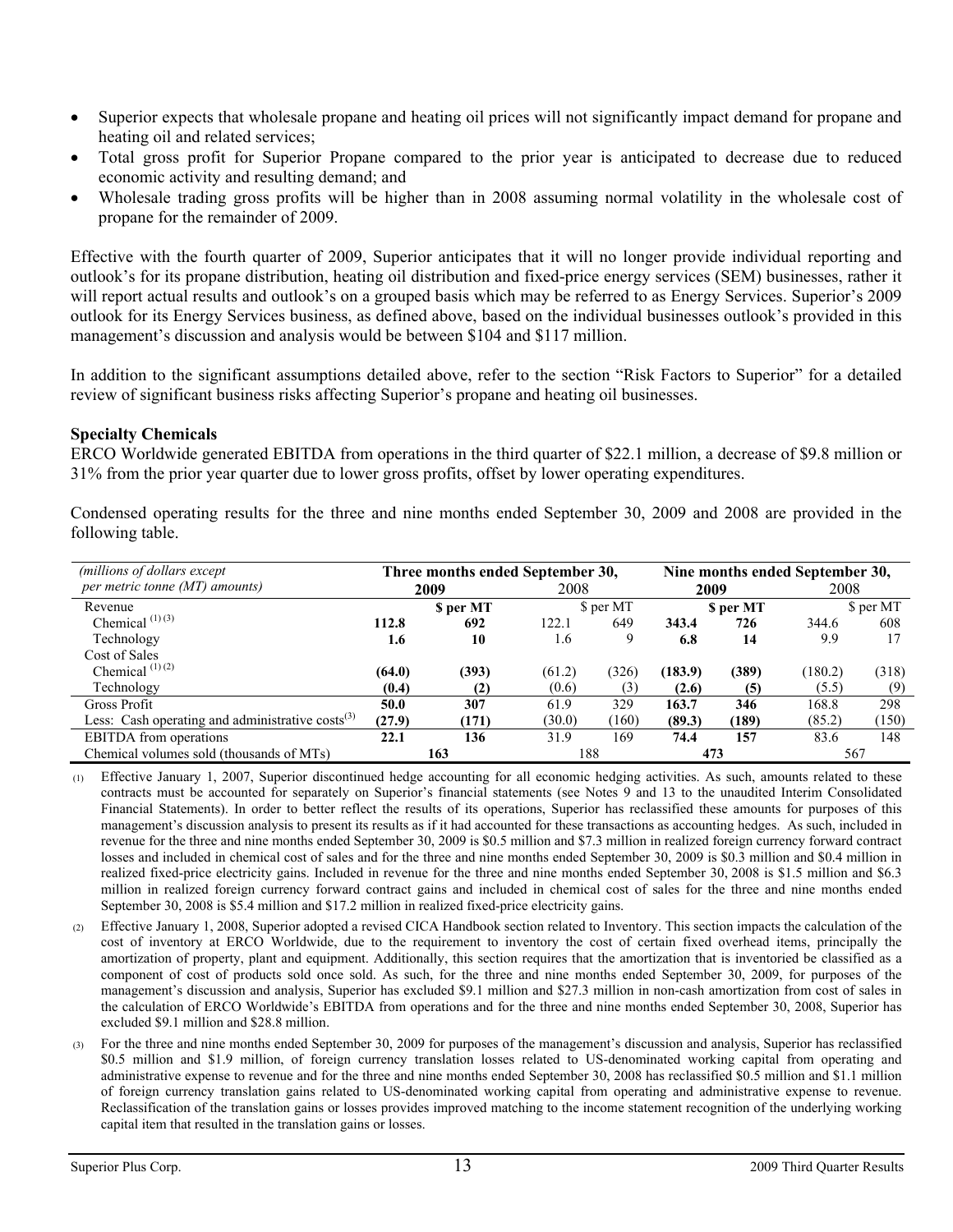- Superior expects that wholesale propane and heating oil prices will not significantly impact demand for propane and heating oil and related services;
- Total gross profit for Superior Propane compared to the prior year is anticipated to decrease due to reduced economic activity and resulting demand; and
- Wholesale trading gross profits will be higher than in 2008 assuming normal volatility in the wholesale cost of propane for the remainder of 2009.

Effective with the fourth quarter of 2009, Superior anticipates that it will no longer provide individual reporting and outlook's for its propane distribution, heating oil distribution and fixed-price energy services (SEM) businesses, rather it will report actual results and outlook's on a grouped basis which may be referred to as Energy Services. Superior's 2009 outlook for its Energy Services business, as defined above, based on the individual businesses outlook's provided in this management's discussion and analysis would be between \$104 and \$117 million.

In addition to the significant assumptions detailed above, refer to the section "Risk Factors to Superior" for a detailed review of significant business risks affecting Superior's propane and heating oil businesses.

### **Specialty Chemicals**

ERCO Worldwide generated EBITDA from operations in the third quarter of \$22.1 million, a decrease of \$9.8 million or 31% from the prior year quarter due to lower gross profits, offset by lower operating expenditures.

Condensed operating results for the three and nine months ended September 30, 2009 and 2008 are provided in the following table.

| (millions of dollars except                           | Three months ended September 30, |          |        |           | Nine months ended September 30, |           |         |           |
|-------------------------------------------------------|----------------------------------|----------|--------|-----------|---------------------------------|-----------|---------|-----------|
| per metric tonne (MT) amounts)                        |                                  | 2009     | 2008   |           | 2009                            |           | 2008    |           |
| Revenue                                               |                                  | S per MT |        | \$ per MT |                                 | \$ per MT |         | \$ per MT |
| Chemical $(1)(3)$                                     | 112.8                            | 692      | 122.1  | 649       | 343.4                           | 726       | 344.6   | 608       |
| Technology                                            | 1.6                              | 10       | 1.6    | 9         | 6.8                             | 14        | 9.9     |           |
| Cost of Sales                                         |                                  |          |        |           |                                 |           |         |           |
| Chemical <sup><math>(1)(2)</math></sup>               | (64.0)                           | (393)    | (61.2) | (326)     | (183.9)                         | (389)     | (180.2) | (318)     |
| Technology                                            | (0.4)                            | (2)      | (0.6)  | (3)       | (2.6)                           | (5)       | (5.5)   | (9)       |
| Gross Profit                                          | 50.0                             | 307      | 61.9   | 329       | 163.7                           | 346       | 168.8   | 298       |
| Less: Cash operating and administrative $costs^{(3)}$ | (27.9)                           | (171)    | (30.0) | (160)     | (89.3)                          | (189)     | (85.2)  | (150)     |
| <b>EBITDA</b> from operations                         | 22.1                             | 136      | 31.9   | 169       | 74.4                            | 157       | 83.6    | 148       |
| Chemical volumes sold (thousands of MTs)              |                                  | 163      | 188    |           | 473                             |           | 567     |           |

<sup>(1)</sup> Effective January 1, 2007, Superior discontinued hedge accounting for all economic hedging activities. As such, amounts related to these contracts must be accounted for separately on Superior's financial statements (see Notes 9 and 13 to the unaudited Interim Consolidated Financial Statements). In order to better reflect the results of its operations, Superior has reclassified these amounts for purposes of this management's discussion analysis to present its results as if it had accounted for these transactions as accounting hedges. As such, included in revenue for the three and nine months ended September 30, 2009 is \$0.5 million and \$7.3 million in realized foreign currency forward contract losses and included in chemical cost of sales and for the three and nine months ended September 30, 2009 is \$0.3 million and \$0.4 million in realized fixed-price electricity gains. Included in revenue for the three and nine months ended September 30, 2008 is \$1.5 million and \$6.3 million in realized foreign currency forward contract gains and included in chemical cost of sales for the three and nine months ended September 30, 2008 is \$5.4 million and \$17.2 million in realized fixed-price electricity gains.

<sup>(2)</sup> Effective January 1, 2008, Superior adopted a revised CICA Handbook section related to Inventory. This section impacts the calculation of the cost of inventory at ERCO Worldwide, due to the requirement to inventory the cost of certain fixed overhead items, principally the amortization of property, plant and equipment. Additionally, this section requires that the amortization that is inventoried be classified as a component of cost of products sold once sold. As such, for the three and nine months ended September 30, 2009, for purposes of the management's discussion and analysis, Superior has excluded \$9.1 million and \$27.3 million in non-cash amortization from cost of sales in the calculation of ERCO Worldwide's EBITDA from operations and for the three and nine months ended September 30, 2008, Superior has excluded \$9.1 million and \$28.8 million.

<sup>(3)</sup> For the three and nine months ended September 30, 2009 for purposes of the management's discussion and analysis, Superior has reclassified \$0.5 million and \$1.9 million, of foreign currency translation losses related to US-denominated working capital from operating and administrative expense to revenue and for the three and nine months ended September 30, 2008 has reclassified \$0.5 million and \$1.1 million of foreign currency translation gains related to US-denominated working capital from operating and administrative expense to revenue. Reclassification of the translation gains or losses provides improved matching to the income statement recognition of the underlying working capital item that resulted in the translation gains or losses.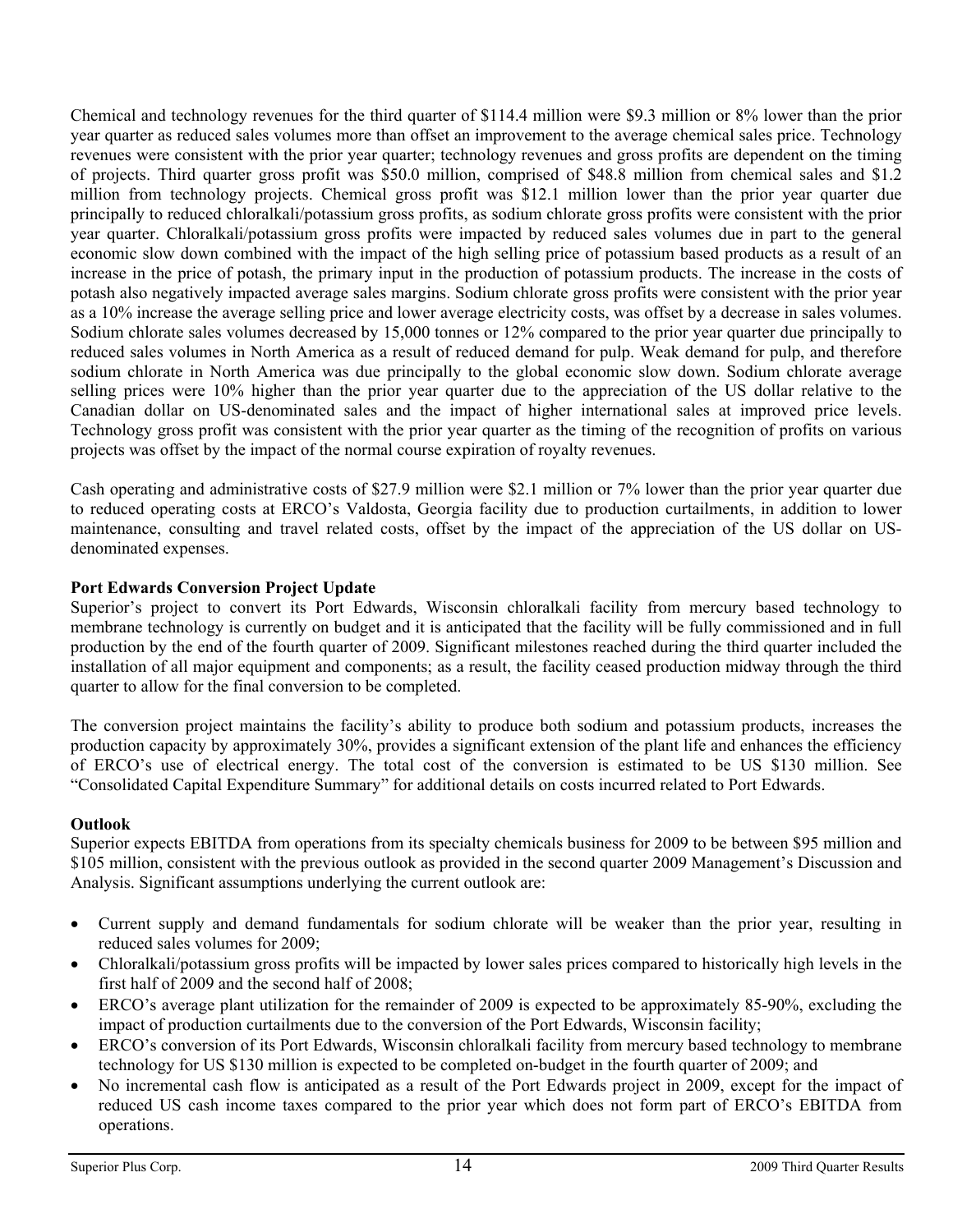Chemical and technology revenues for the third quarter of \$114.4 million were \$9.3 million or 8% lower than the prior year quarter as reduced sales volumes more than offset an improvement to the average chemical sales price. Technology revenues were consistent with the prior year quarter; technology revenues and gross profits are dependent on the timing of projects. Third quarter gross profit was \$50.0 million, comprised of \$48.8 million from chemical sales and \$1.2 million from technology projects. Chemical gross profit was \$12.1 million lower than the prior year quarter due principally to reduced chloralkali/potassium gross profits, as sodium chlorate gross profits were consistent with the prior year quarter. Chloralkali/potassium gross profits were impacted by reduced sales volumes due in part to the general economic slow down combined with the impact of the high selling price of potassium based products as a result of an increase in the price of potash, the primary input in the production of potassium products. The increase in the costs of potash also negatively impacted average sales margins. Sodium chlorate gross profits were consistent with the prior year as a 10% increase the average selling price and lower average electricity costs, was offset by a decrease in sales volumes. Sodium chlorate sales volumes decreased by 15,000 tonnes or 12% compared to the prior year quarter due principally to reduced sales volumes in North America as a result of reduced demand for pulp. Weak demand for pulp, and therefore sodium chlorate in North America was due principally to the global economic slow down. Sodium chlorate average selling prices were 10% higher than the prior year quarter due to the appreciation of the US dollar relative to the Canadian dollar on US-denominated sales and the impact of higher international sales at improved price levels. Technology gross profit was consistent with the prior year quarter as the timing of the recognition of profits on various projects was offset by the impact of the normal course expiration of royalty revenues.

Cash operating and administrative costs of \$27.9 million were \$2.1 million or 7% lower than the prior year quarter due to reduced operating costs at ERCO's Valdosta, Georgia facility due to production curtailments, in addition to lower maintenance, consulting and travel related costs, offset by the impact of the appreciation of the US dollar on USdenominated expenses.

# **Port Edwards Conversion Project Update**

Superior's project to convert its Port Edwards, Wisconsin chloralkali facility from mercury based technology to membrane technology is currently on budget and it is anticipated that the facility will be fully commissioned and in full production by the end of the fourth quarter of 2009. Significant milestones reached during the third quarter included the installation of all major equipment and components; as a result, the facility ceased production midway through the third quarter to allow for the final conversion to be completed.

The conversion project maintains the facility's ability to produce both sodium and potassium products, increases the production capacity by approximately 30%, provides a significant extension of the plant life and enhances the efficiency of ERCO's use of electrical energy. The total cost of the conversion is estimated to be US \$130 million. See "Consolidated Capital Expenditure Summary" for additional details on costs incurred related to Port Edwards.

### **Outlook**

Superior expects EBITDA from operations from its specialty chemicals business for 2009 to be between \$95 million and \$105 million, consistent with the previous outlook as provided in the second quarter 2009 Management's Discussion and Analysis. Significant assumptions underlying the current outlook are:

- Current supply and demand fundamentals for sodium chlorate will be weaker than the prior year, resulting in reduced sales volumes for 2009;
- Chloralkali/potassium gross profits will be impacted by lower sales prices compared to historically high levels in the first half of 2009 and the second half of 2008;
- ERCO's average plant utilization for the remainder of 2009 is expected to be approximately 85-90%, excluding the impact of production curtailments due to the conversion of the Port Edwards, Wisconsin facility;
- ERCO's conversion of its Port Edwards, Wisconsin chloralkali facility from mercury based technology to membrane technology for US \$130 million is expected to be completed on-budget in the fourth quarter of 2009; and
- No incremental cash flow is anticipated as a result of the Port Edwards project in 2009, except for the impact of reduced US cash income taxes compared to the prior year which does not form part of ERCO's EBITDA from operations.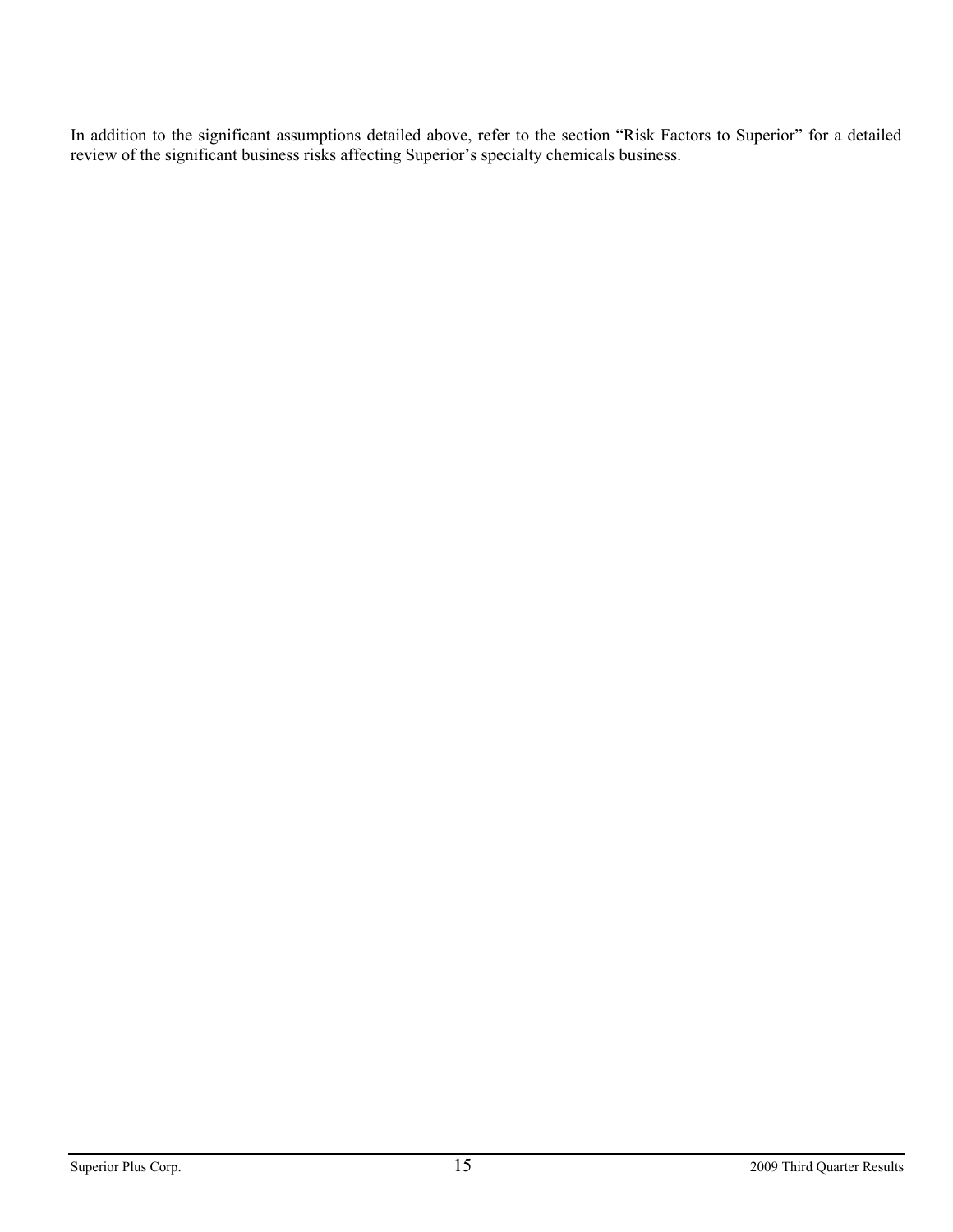In addition to the significant assumptions detailed above, refer to the section "Risk Factors to Superior" for a detailed review of the significant business risks affecting Superior's specialty chemicals business.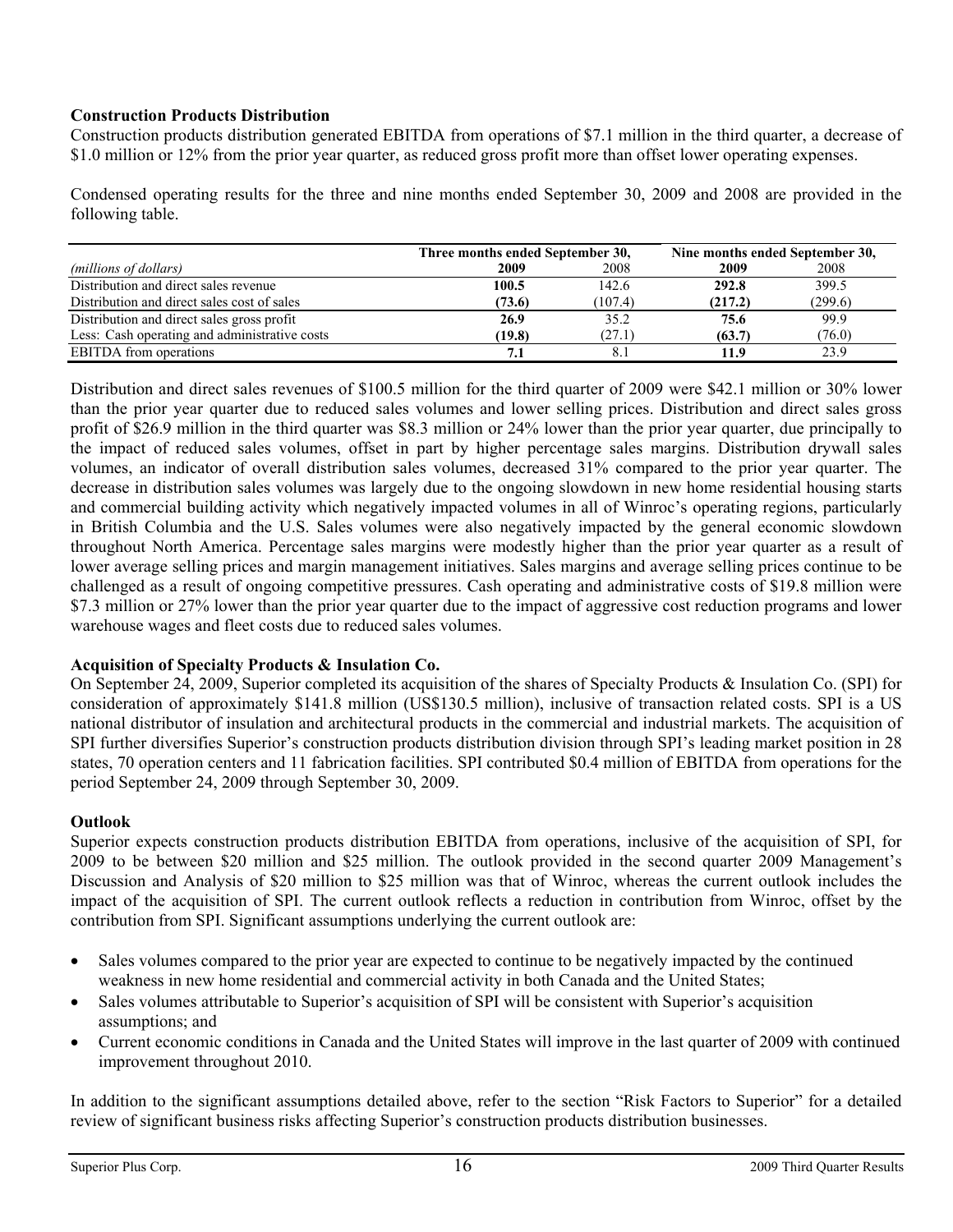# **Construction Products Distribution**

Construction products distribution generated EBITDA from operations of \$7.1 million in the third quarter, a decrease of \$1.0 million or 12% from the prior year quarter, as reduced gross profit more than offset lower operating expenses.

Condensed operating results for the three and nine months ended September 30, 2009 and 2008 are provided in the following table.

|                                               | Three months ended September 30, |         | Nine months ended September 30, |         |  |
|-----------------------------------------------|----------------------------------|---------|---------------------------------|---------|--|
| (millions of dollars)                         | 2009                             | 2008    | 2009                            | 2008    |  |
| Distribution and direct sales revenue         | 100.5                            | 142.6   | 292.8                           | 399.5   |  |
| Distribution and direct sales cost of sales   | (73.6)                           | (107.4) | (217.2)                         | (299.6) |  |
| Distribution and direct sales gross profit    | 26.9                             | 35.2    | 75.6                            | 99.9    |  |
| Less: Cash operating and administrative costs | (19.8)                           | (27.1)  | (63.7)                          | (76.0)  |  |
| <b>EBITDA</b> from operations                 | 7.1                              | 8.1     | 11.9                            | 23.9    |  |

Distribution and direct sales revenues of \$100.5 million for the third quarter of 2009 were \$42.1 million or 30% lower than the prior year quarter due to reduced sales volumes and lower selling prices. Distribution and direct sales gross profit of \$26.9 million in the third quarter was \$8.3 million or 24% lower than the prior year quarter, due principally to the impact of reduced sales volumes, offset in part by higher percentage sales margins. Distribution drywall sales volumes, an indicator of overall distribution sales volumes, decreased 31% compared to the prior year quarter. The decrease in distribution sales volumes was largely due to the ongoing slowdown in new home residential housing starts and commercial building activity which negatively impacted volumes in all of Winroc's operating regions, particularly in British Columbia and the U.S. Sales volumes were also negatively impacted by the general economic slowdown throughout North America. Percentage sales margins were modestly higher than the prior year quarter as a result of lower average selling prices and margin management initiatives. Sales margins and average selling prices continue to be challenged as a result of ongoing competitive pressures. Cash operating and administrative costs of \$19.8 million were \$7.3 million or 27% lower than the prior year quarter due to the impact of aggressive cost reduction programs and lower warehouse wages and fleet costs due to reduced sales volumes.

### **Acquisition of Specialty Products & Insulation Co.**

On September 24, 2009, Superior completed its acquisition of the shares of Specialty Products & Insulation Co. (SPI) for consideration of approximately \$141.8 million (US\$130.5 million), inclusive of transaction related costs. SPI is a US national distributor of insulation and architectural products in the commercial and industrial markets. The acquisition of SPI further diversifies Superior's construction products distribution division through SPI's leading market position in 28 states, 70 operation centers and 11 fabrication facilities. SPI contributed \$0.4 million of EBITDA from operations for the period September 24, 2009 through September 30, 2009.

# **Outlook**

Superior expects construction products distribution EBITDA from operations, inclusive of the acquisition of SPI, for 2009 to be between \$20 million and \$25 million. The outlook provided in the second quarter 2009 Management's Discussion and Analysis of \$20 million to \$25 million was that of Winroc, whereas the current outlook includes the impact of the acquisition of SPI. The current outlook reflects a reduction in contribution from Winroc, offset by the contribution from SPI. Significant assumptions underlying the current outlook are:

- Sales volumes compared to the prior year are expected to continue to be negatively impacted by the continued weakness in new home residential and commercial activity in both Canada and the United States;
- Sales volumes attributable to Superior's acquisition of SPI will be consistent with Superior's acquisition assumptions; and
- Current economic conditions in Canada and the United States will improve in the last quarter of 2009 with continued improvement throughout 2010.

In addition to the significant assumptions detailed above, refer to the section "Risk Factors to Superior" for a detailed review of significant business risks affecting Superior's construction products distribution businesses.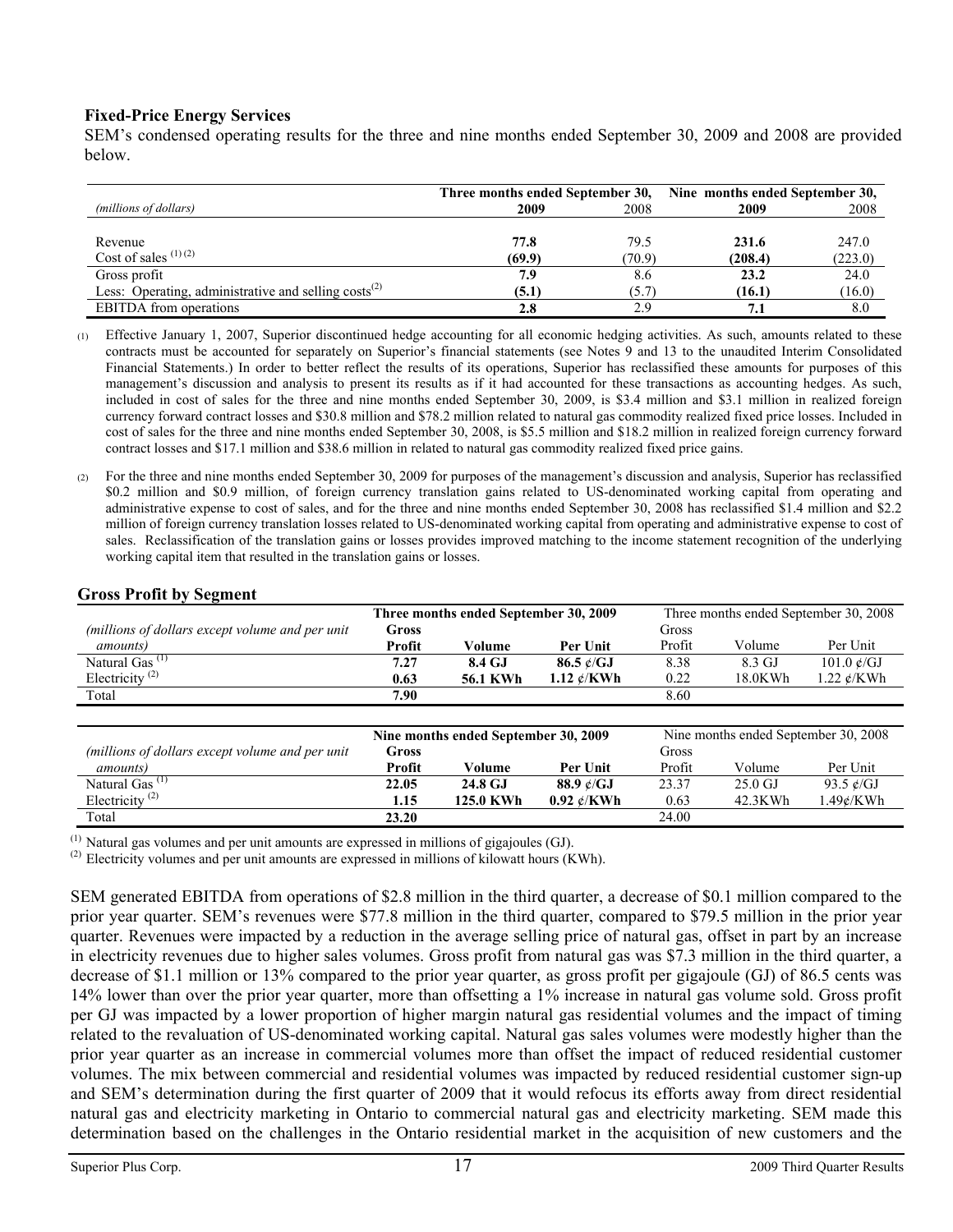### **Fixed-Price Energy Services**

SEM's condensed operating results for the three and nine months ended September 30, 2009 and 2008 are provided below.

|                                                           | Three months ended September 30, |        | Nine months ended September 30, |         |  |  |  |
|-----------------------------------------------------------|----------------------------------|--------|---------------------------------|---------|--|--|--|
| (millions of dollars)                                     | 2009                             | 2008   | 2009                            | 2008    |  |  |  |
|                                                           |                                  |        |                                 |         |  |  |  |
| Revenue                                                   | 77.8                             | 79.5   | 231.6                           | 247.0   |  |  |  |
| Cost of sales $(1)(2)$                                    | (69.9)                           | (70.9) | (208.4)                         | (223.0) |  |  |  |
| Gross profit                                              | 7.9                              | 8.6    | 23.2                            | 24.0    |  |  |  |
| Less: Operating, administrative and selling $costs^{(2)}$ | (5.1)                            | (5.7)  | (16.1)                          | (16.0)  |  |  |  |
| <b>EBITDA</b> from operations                             | 2.8                              | 2.9    | 7.1                             | 8.0     |  |  |  |

(1) Effective January 1, 2007, Superior discontinued hedge accounting for all economic hedging activities. As such, amounts related to these contracts must be accounted for separately on Superior's financial statements (see Notes 9 and 13 to the unaudited Interim Consolidated Financial Statements.) In order to better reflect the results of its operations, Superior has reclassified these amounts for purposes of this management's discussion and analysis to present its results as if it had accounted for these transactions as accounting hedges. As such, included in cost of sales for the three and nine months ended September 30, 2009, is \$3.4 million and \$3.1 million in realized foreign currency forward contract losses and \$30.8 million and \$78.2 million related to natural gas commodity realized fixed price losses. Included in cost of sales for the three and nine months ended September 30, 2008, is \$5.5 million and \$18.2 million in realized foreign currency forward contract losses and \$17.1 million and \$38.6 million in related to natural gas commodity realized fixed price gains.

(2) For the three and nine months ended September 30, 2009 for purposes of the management's discussion and analysis, Superior has reclassified \$0.2 million and \$0.9 million, of foreign currency translation gains related to US-denominated working capital from operating and administrative expense to cost of sales, and for the three and nine months ended September 30, 2008 has reclassified \$1.4 million and \$2.2 million of foreign currency translation losses related to US-denominated working capital from operating and administrative expense to cost of sales. Reclassification of the translation gains or losses provides improved matching to the income statement recognition of the underlying working capital item that resulted in the translation gains or losses.

### **Gross Profit by Segment**

|                                                  |              | Three months ended September 30, 2009 |                        |        |                                      | Three months ended September 30, 2008 |
|--------------------------------------------------|--------------|---------------------------------------|------------------------|--------|--------------------------------------|---------------------------------------|
| (millions of dollars except volume and per unit  | Gross        |                                       |                        | Gross  |                                      |                                       |
| <i>amounts</i> )                                 | Profit       | Volume                                | Per Unit               | Profit | Volume                               | Per Unit                              |
| Natural Gas <sup>(1)</sup>                       | 7.27         | 8.4 GJ                                | 86.5 $\ell$ /GJ        | 8.38   | 8.3 GJ                               | 101.0 $\mathcal{C}/\text{GJ}$         |
| Electricity <sup><math>(2)</math></sup>          | 0.63         | <b>56.1 KWh</b>                       | 1.12 $\ell$ /KWh       | 0.22   | 18.0KWh                              | $1.22 \text{ }\mathcal{C}/KWh$        |
| Total                                            | 7.90         |                                       |                        | 8.60   |                                      |                                       |
|                                                  |              |                                       |                        |        |                                      |                                       |
|                                                  |              | Nine months ended September 30, 2009  |                        |        | Nine months ended September 30, 2008 |                                       |
| (millions of dollars except volume and per unit) | <b>Gross</b> |                                       |                        | Gross  |                                      |                                       |
| <i>amounts</i> )                                 | Profit       | Volume                                | Per Unit               | Profit | Volume                               | Per Unit                              |
| Natural Gas $(1)$                                | 22.05        | 24.8 GJ                               | 88.9 $\ell$ /GJ        | 23.37  | $25.0 \text{ GJ}$                    | 93.5 $\epsilon$ /GJ                   |
| Electricity <sup>(2)</sup>                       | 1.15         | 125.0 KWh                             | $0.92 \ \epsilon$ /KWh | 0.63   | 42.3KWh                              | $1.49 \times$ /KWh                    |
| Total                                            | 23.20        |                                       |                        | 24.00  |                                      |                                       |

 $<sup>(1)</sup>$  Natural gas volumes and per unit amounts are expressed in millions of gigajoules (GJ).</sup>

 $^{(2)}$  Electricity volumes and per unit amounts are expressed in millions of kilowatt hours (KWh).

SEM generated EBITDA from operations of \$2.8 million in the third quarter, a decrease of \$0.1 million compared to the prior year quarter. SEM's revenues were \$77.8 million in the third quarter, compared to \$79.5 million in the prior year quarter. Revenues were impacted by a reduction in the average selling price of natural gas, offset in part by an increase in electricity revenues due to higher sales volumes. Gross profit from natural gas was \$7.3 million in the third quarter, a decrease of \$1.1 million or 13% compared to the prior year quarter, as gross profit per gigajoule (GJ) of 86.5 cents was 14% lower than over the prior year quarter, more than offsetting a 1% increase in natural gas volume sold. Gross profit per GJ was impacted by a lower proportion of higher margin natural gas residential volumes and the impact of timing related to the revaluation of US-denominated working capital. Natural gas sales volumes were modestly higher than the prior year quarter as an increase in commercial volumes more than offset the impact of reduced residential customer volumes. The mix between commercial and residential volumes was impacted by reduced residential customer sign-up and SEM's determination during the first quarter of 2009 that it would refocus its efforts away from direct residential natural gas and electricity marketing in Ontario to commercial natural gas and electricity marketing. SEM made this determination based on the challenges in the Ontario residential market in the acquisition of new customers and the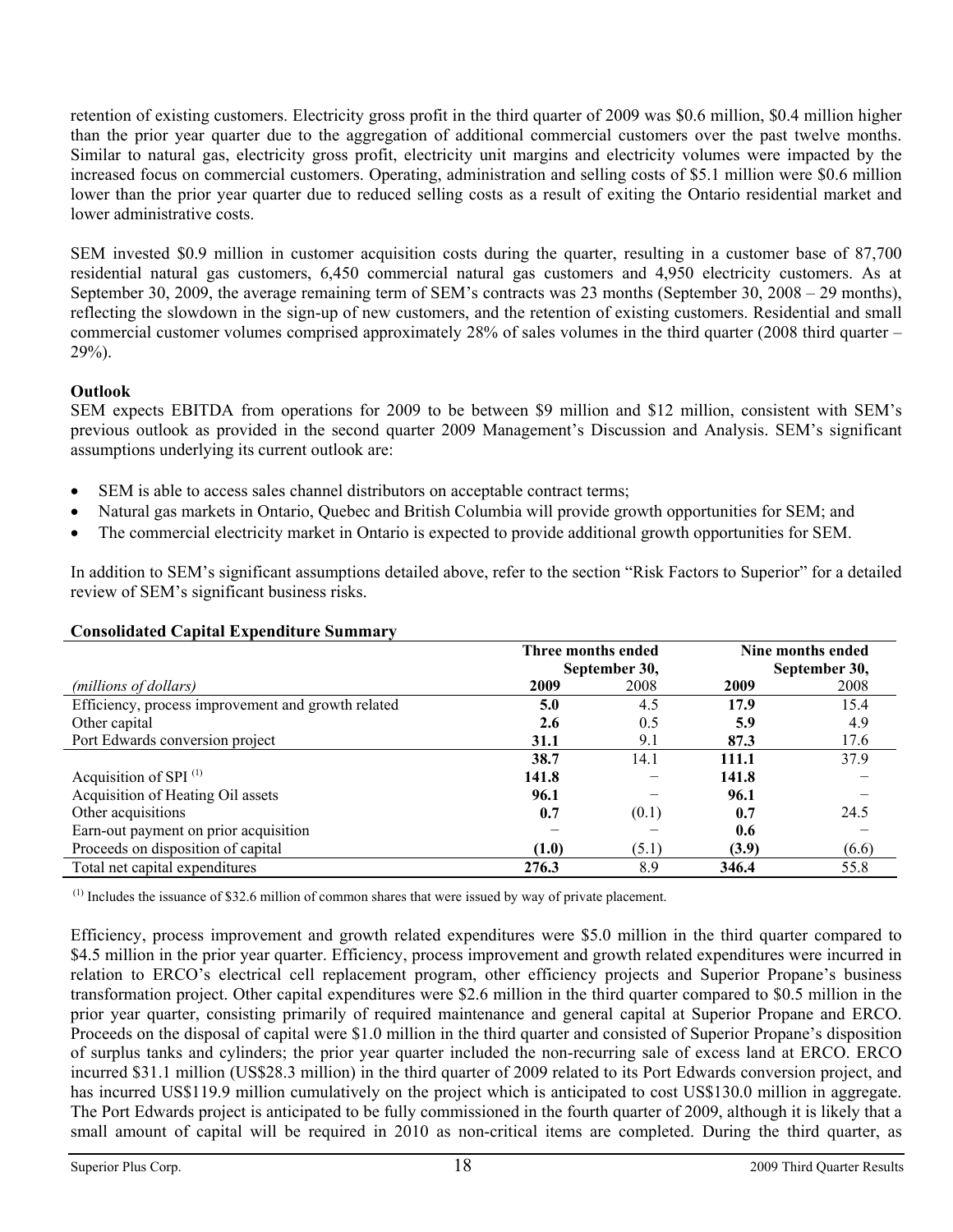retention of existing customers. Electricity gross profit in the third quarter of 2009 was \$0.6 million, \$0.4 million higher than the prior year quarter due to the aggregation of additional commercial customers over the past twelve months. Similar to natural gas, electricity gross profit, electricity unit margins and electricity volumes were impacted by the increased focus on commercial customers. Operating, administration and selling costs of \$5.1 million were \$0.6 million lower than the prior year quarter due to reduced selling costs as a result of exiting the Ontario residential market and lower administrative costs.

SEM invested \$0.9 million in customer acquisition costs during the quarter, resulting in a customer base of 87,700 residential natural gas customers, 6,450 commercial natural gas customers and 4,950 electricity customers. As at September 30, 2009, the average remaining term of SEM's contracts was 23 months (September 30, 2008 – 29 months), reflecting the slowdown in the sign-up of new customers, and the retention of existing customers. Residential and small commercial customer volumes comprised approximately 28% of sales volumes in the third quarter (2008 third quarter – 29%).

### **Outlook**

SEM expects EBITDA from operations for 2009 to be between \$9 million and \$12 million, consistent with SEM's previous outlook as provided in the second quarter 2009 Management's Discussion and Analysis. SEM's significant assumptions underlying its current outlook are:

- SEM is able to access sales channel distributors on acceptable contract terms;
- Natural gas markets in Ontario, Quebec and British Columbia will provide growth opportunities for SEM; and
- The commercial electricity market in Ontario is expected to provide additional growth opportunities for SEM.

In addition to SEM's significant assumptions detailed above, refer to the section "Risk Factors to Superior" for a detailed review of SEM's significant business risks.

|                                                    | Three months ended |       | Nine months ended |               |  |
|----------------------------------------------------|--------------------|-------|-------------------|---------------|--|
|                                                    | September 30,      |       |                   | September 30, |  |
| (millions of dollars)                              | 2009               | 2008  | 2009              | 2008          |  |
| Efficiency, process improvement and growth related | 5.0                | 4.5   | 17.9              | 15.4          |  |
| Other capital                                      | 2.6                | 0.5   | 5.9               | 4.9           |  |
| Port Edwards conversion project                    | 31.1               | 9.1   | 87.3              | 17.6          |  |
|                                                    | 38.7               | 14.1  | 111.1             | 37.9          |  |
| Acquisition of SPI $^{(1)}$                        | 141.8              |       | 141.8             |               |  |
| Acquisition of Heating Oil assets                  | 96.1               |       | 96.1              |               |  |
| Other acquisitions                                 | 0.7                | (0.1) | 0.7               | 24.5          |  |
| Earn-out payment on prior acquisition              |                    |       | 0.6               |               |  |
| Proceeds on disposition of capital                 | (1.0)              | (5.1) | (3.9)             | (6.6)         |  |
| Total net capital expenditures                     | 276.3              | 8.9   | 346.4             | 55.8          |  |

### **Consolidated Capital Expenditure Summary**

 $<sup>(1)</sup>$  Includes the issuance of \$32.6 million of common shares that were issued by way of private placement.</sup>

Efficiency, process improvement and growth related expenditures were \$5.0 million in the third quarter compared to \$4.5 million in the prior year quarter. Efficiency, process improvement and growth related expenditures were incurred in relation to ERCO's electrical cell replacement program, other efficiency projects and Superior Propane's business transformation project. Other capital expenditures were \$2.6 million in the third quarter compared to \$0.5 million in the prior year quarter, consisting primarily of required maintenance and general capital at Superior Propane and ERCO. Proceeds on the disposal of capital were \$1.0 million in the third quarter and consisted of Superior Propane's disposition of surplus tanks and cylinders; the prior year quarter included the non-recurring sale of excess land at ERCO. ERCO incurred \$31.1 million (US\$28.3 million) in the third quarter of 2009 related to its Port Edwards conversion project, and has incurred US\$119.9 million cumulatively on the project which is anticipated to cost US\$130.0 million in aggregate. The Port Edwards project is anticipated to be fully commissioned in the fourth quarter of 2009, although it is likely that a small amount of capital will be required in 2010 as non-critical items are completed. During the third quarter, as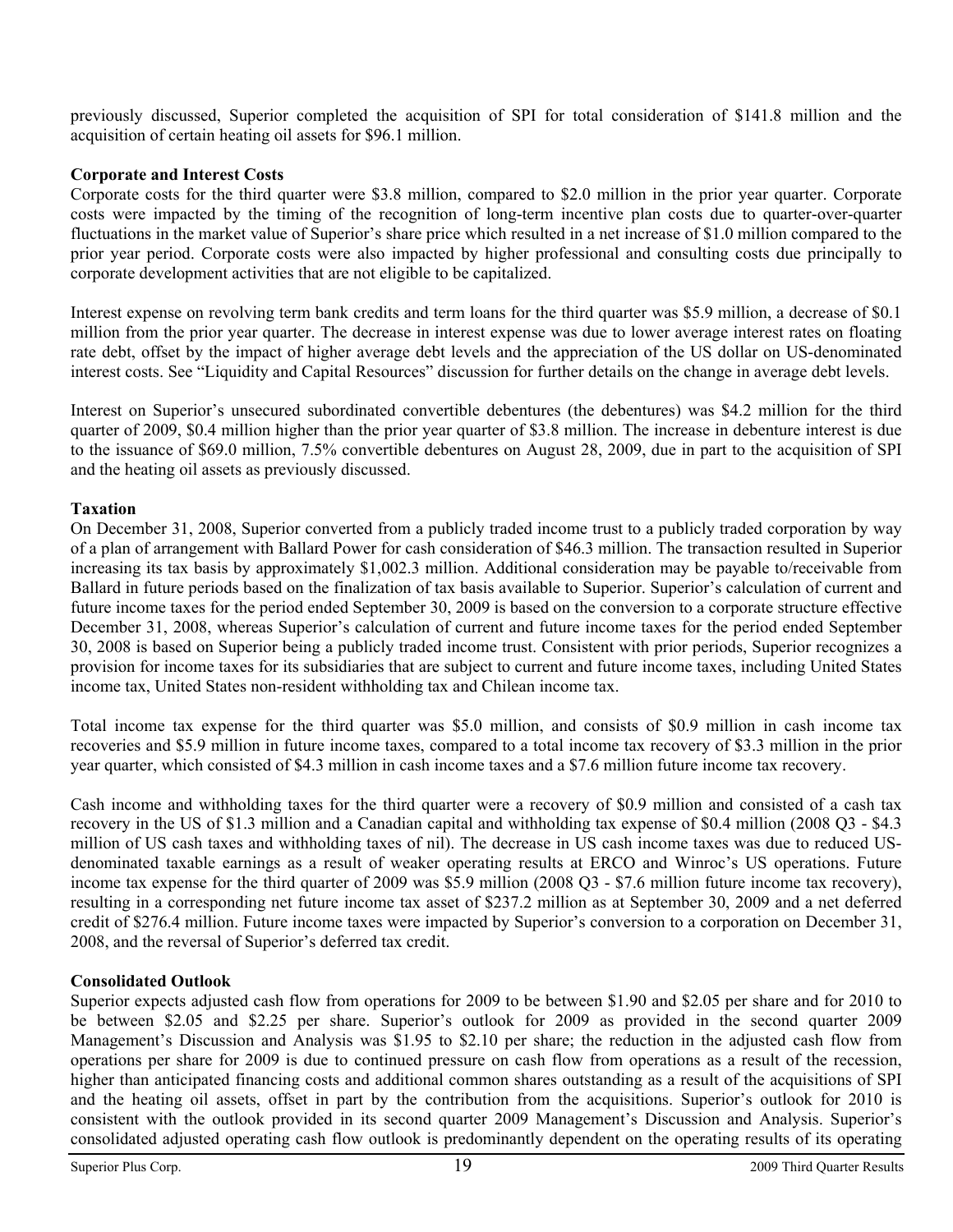previously discussed, Superior completed the acquisition of SPI for total consideration of \$141.8 million and the acquisition of certain heating oil assets for \$96.1 million.

# **Corporate and Interest Costs**

Corporate costs for the third quarter were \$3.8 million, compared to \$2.0 million in the prior year quarter. Corporate costs were impacted by the timing of the recognition of long-term incentive plan costs due to quarter-over-quarter fluctuations in the market value of Superior's share price which resulted in a net increase of \$1.0 million compared to the prior year period. Corporate costs were also impacted by higher professional and consulting costs due principally to corporate development activities that are not eligible to be capitalized.

Interest expense on revolving term bank credits and term loans for the third quarter was \$5.9 million, a decrease of \$0.1 million from the prior year quarter. The decrease in interest expense was due to lower average interest rates on floating rate debt, offset by the impact of higher average debt levels and the appreciation of the US dollar on US-denominated interest costs. See "Liquidity and Capital Resources" discussion for further details on the change in average debt levels.

Interest on Superior's unsecured subordinated convertible debentures (the debentures) was \$4.2 million for the third quarter of 2009, \$0.4 million higher than the prior year quarter of \$3.8 million. The increase in debenture interest is due to the issuance of \$69.0 million, 7.5% convertible debentures on August 28, 2009, due in part to the acquisition of SPI and the heating oil assets as previously discussed.

### **Taxation**

On December 31, 2008, Superior converted from a publicly traded income trust to a publicly traded corporation by way of a plan of arrangement with Ballard Power for cash consideration of \$46.3 million. The transaction resulted in Superior increasing its tax basis by approximately \$1,002.3 million. Additional consideration may be payable to/receivable from Ballard in future periods based on the finalization of tax basis available to Superior. Superior's calculation of current and future income taxes for the period ended September 30, 2009 is based on the conversion to a corporate structure effective December 31, 2008, whereas Superior's calculation of current and future income taxes for the period ended September 30, 2008 is based on Superior being a publicly traded income trust. Consistent with prior periods, Superior recognizes a provision for income taxes for its subsidiaries that are subject to current and future income taxes, including United States income tax, United States non-resident withholding tax and Chilean income tax.

Total income tax expense for the third quarter was \$5.0 million, and consists of \$0.9 million in cash income tax recoveries and \$5.9 million in future income taxes, compared to a total income tax recovery of \$3.3 million in the prior year quarter, which consisted of \$4.3 million in cash income taxes and a \$7.6 million future income tax recovery.

Cash income and withholding taxes for the third quarter were a recovery of \$0.9 million and consisted of a cash tax recovery in the US of \$1.3 million and a Canadian capital and withholding tax expense of \$0.4 million (2008 Q3 - \$4.3 million of US cash taxes and withholding taxes of nil). The decrease in US cash income taxes was due to reduced USdenominated taxable earnings as a result of weaker operating results at ERCO and Winroc's US operations. Future income tax expense for the third quarter of 2009 was \$5.9 million (2008 Q3 - \$7.6 million future income tax recovery), resulting in a corresponding net future income tax asset of \$237.2 million as at September 30, 2009 and a net deferred credit of \$276.4 million. Future income taxes were impacted by Superior's conversion to a corporation on December 31, 2008, and the reversal of Superior's deferred tax credit.

### **Consolidated Outlook**

Superior expects adjusted cash flow from operations for 2009 to be between \$1.90 and \$2.05 per share and for 2010 to be between \$2.05 and \$2.25 per share. Superior's outlook for 2009 as provided in the second quarter 2009 Management's Discussion and Analysis was \$1.95 to \$2.10 per share; the reduction in the adjusted cash flow from operations per share for 2009 is due to continued pressure on cash flow from operations as a result of the recession, higher than anticipated financing costs and additional common shares outstanding as a result of the acquisitions of SPI and the heating oil assets, offset in part by the contribution from the acquisitions. Superior's outlook for 2010 is consistent with the outlook provided in its second quarter 2009 Management's Discussion and Analysis. Superior's consolidated adjusted operating cash flow outlook is predominantly dependent on the operating results of its operating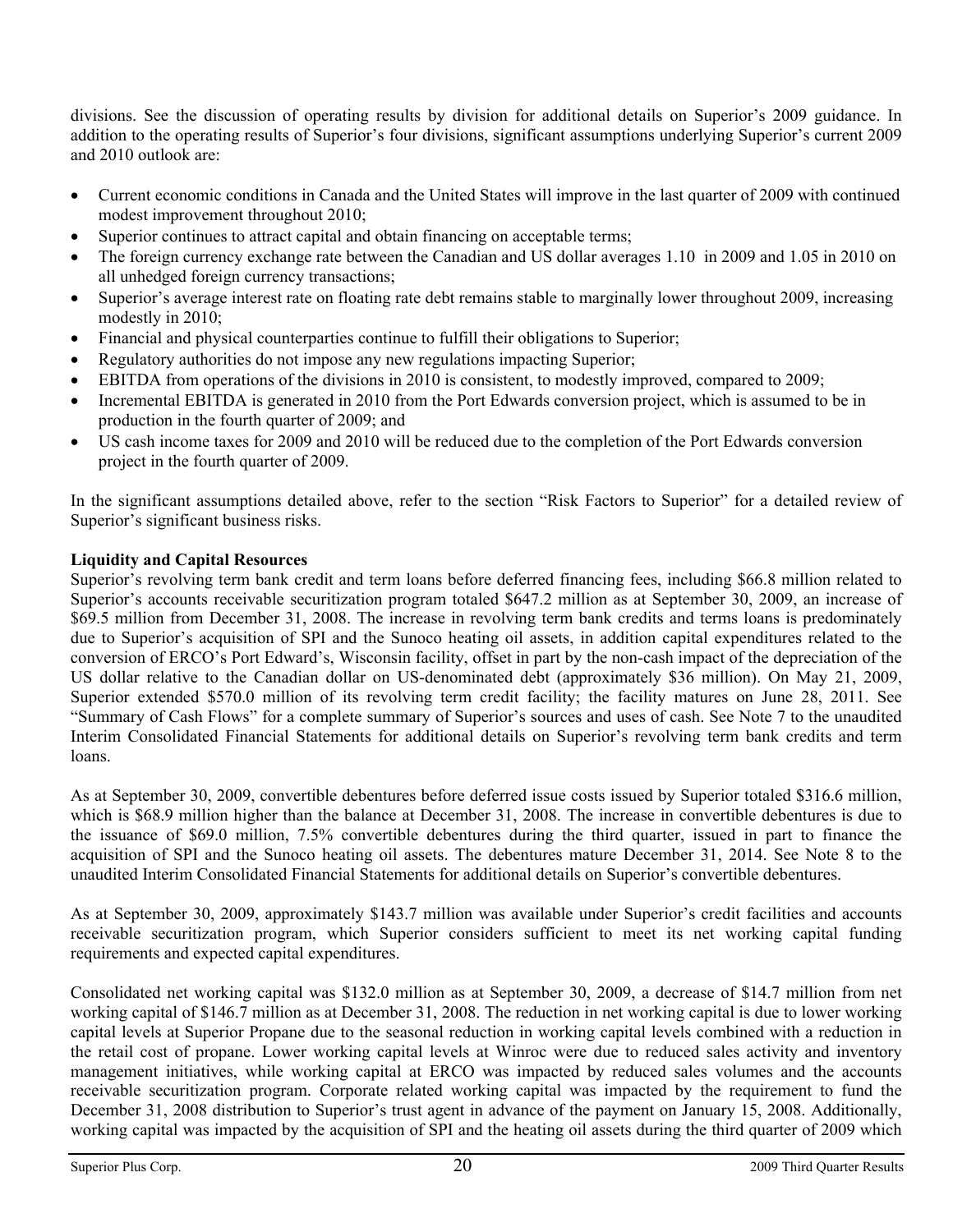divisions. See the discussion of operating results by division for additional details on Superior's 2009 guidance. In addition to the operating results of Superior's four divisions, significant assumptions underlying Superior's current 2009 and 2010 outlook are:

- Current economic conditions in Canada and the United States will improve in the last quarter of 2009 with continued modest improvement throughout 2010;
- Superior continues to attract capital and obtain financing on acceptable terms;
- The foreign currency exchange rate between the Canadian and US dollar averages 1.10 in 2009 and 1.05 in 2010 on all unhedged foreign currency transactions;
- Superior's average interest rate on floating rate debt remains stable to marginally lower throughout 2009, increasing modestly in 2010;
- Financial and physical counterparties continue to fulfill their obligations to Superior;
- Regulatory authorities do not impose any new regulations impacting Superior;
- EBITDA from operations of the divisions in 2010 is consistent, to modestly improved, compared to 2009;
- Incremental EBITDA is generated in 2010 from the Port Edwards conversion project, which is assumed to be in production in the fourth quarter of 2009; and
- US cash income taxes for 2009 and 2010 will be reduced due to the completion of the Port Edwards conversion project in the fourth quarter of 2009.

In the significant assumptions detailed above, refer to the section "Risk Factors to Superior" for a detailed review of Superior's significant business risks.

# **Liquidity and Capital Resources**

Superior's revolving term bank credit and term loans before deferred financing fees, including \$66.8 million related to Superior's accounts receivable securitization program totaled \$647.2 million as at September 30, 2009, an increase of \$69.5 million from December 31, 2008. The increase in revolving term bank credits and terms loans is predominately due to Superior's acquisition of SPI and the Sunoco heating oil assets, in addition capital expenditures related to the conversion of ERCO's Port Edward's, Wisconsin facility, offset in part by the non-cash impact of the depreciation of the US dollar relative to the Canadian dollar on US-denominated debt (approximately \$36 million). On May 21, 2009, Superior extended \$570.0 million of its revolving term credit facility; the facility matures on June 28, 2011. See "Summary of Cash Flows" for a complete summary of Superior's sources and uses of cash. See Note 7 to the unaudited Interim Consolidated Financial Statements for additional details on Superior's revolving term bank credits and term loans.

As at September 30, 2009, convertible debentures before deferred issue costs issued by Superior totaled \$316.6 million, which is \$68.9 million higher than the balance at December 31, 2008. The increase in convertible debentures is due to the issuance of \$69.0 million, 7.5% convertible debentures during the third quarter, issued in part to finance the acquisition of SPI and the Sunoco heating oil assets. The debentures mature December 31, 2014. See Note 8 to the unaudited Interim Consolidated Financial Statements for additional details on Superior's convertible debentures.

As at September 30, 2009, approximately \$143.7 million was available under Superior's credit facilities and accounts receivable securitization program, which Superior considers sufficient to meet its net working capital funding requirements and expected capital expenditures.

Consolidated net working capital was \$132.0 million as at September 30, 2009, a decrease of \$14.7 million from net working capital of \$146.7 million as at December 31, 2008. The reduction in net working capital is due to lower working capital levels at Superior Propane due to the seasonal reduction in working capital levels combined with a reduction in the retail cost of propane. Lower working capital levels at Winroc were due to reduced sales activity and inventory management initiatives, while working capital at ERCO was impacted by reduced sales volumes and the accounts receivable securitization program. Corporate related working capital was impacted by the requirement to fund the December 31, 2008 distribution to Superior's trust agent in advance of the payment on January 15, 2008. Additionally, working capital was impacted by the acquisition of SPI and the heating oil assets during the third quarter of 2009 which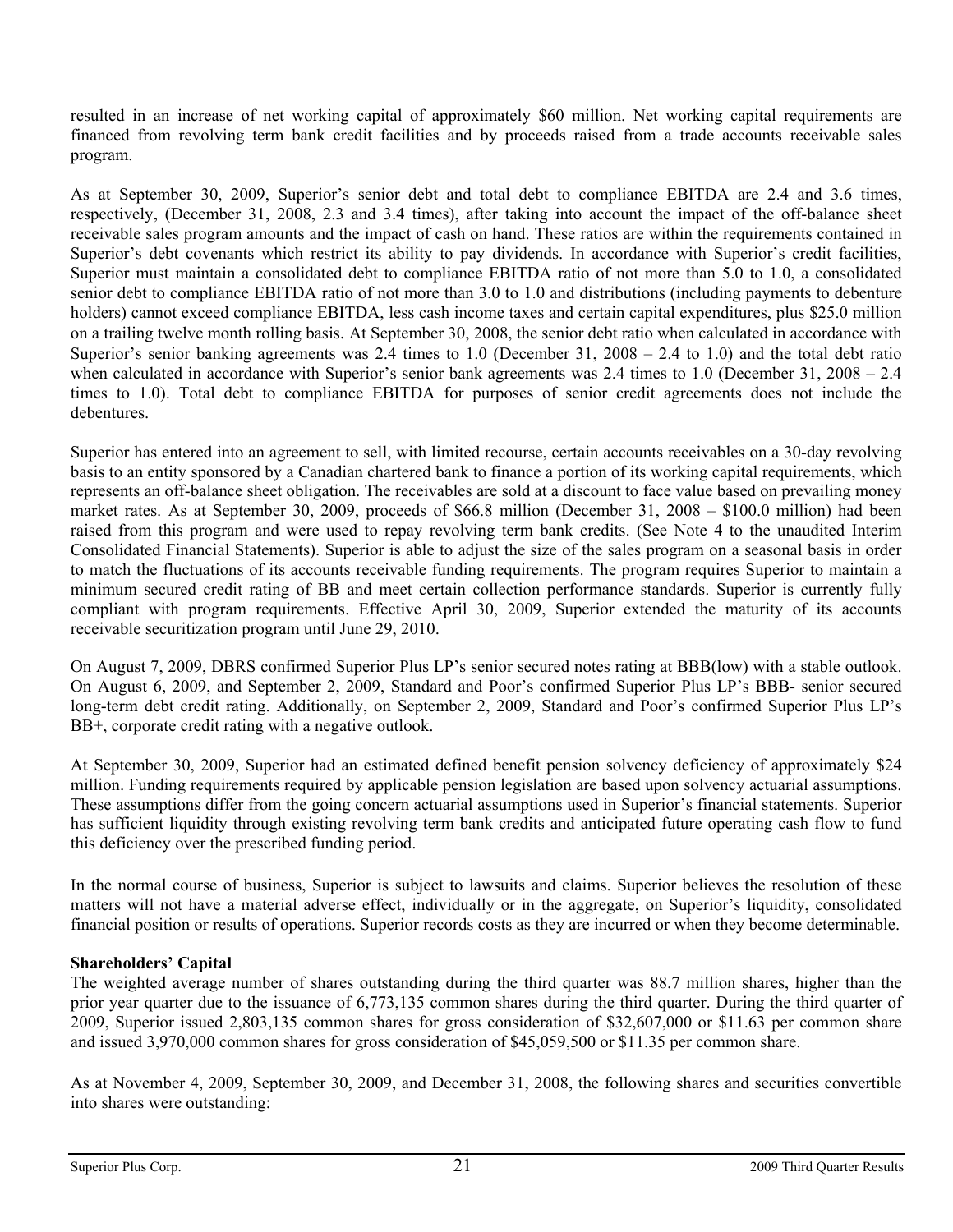resulted in an increase of net working capital of approximately \$60 million. Net working capital requirements are financed from revolving term bank credit facilities and by proceeds raised from a trade accounts receivable sales program.

As at September 30, 2009, Superior's senior debt and total debt to compliance EBITDA are 2.4 and 3.6 times, respectively, (December 31, 2008, 2.3 and 3.4 times), after taking into account the impact of the off-balance sheet receivable sales program amounts and the impact of cash on hand. These ratios are within the requirements contained in Superior's debt covenants which restrict its ability to pay dividends. In accordance with Superior's credit facilities, Superior must maintain a consolidated debt to compliance EBITDA ratio of not more than 5.0 to 1.0, a consolidated senior debt to compliance EBITDA ratio of not more than 3.0 to 1.0 and distributions (including payments to debenture holders) cannot exceed compliance EBITDA, less cash income taxes and certain capital expenditures, plus \$25.0 million on a trailing twelve month rolling basis. At September 30, 2008, the senior debt ratio when calculated in accordance with Superior's senior banking agreements was 2.4 times to 1.0 (December 31, 2008 – 2.4 to 1.0) and the total debt ratio when calculated in accordance with Superior's senior bank agreements was 2.4 times to 1.0 (December 31, 2008 – 2.4 times to 1.0). Total debt to compliance EBITDA for purposes of senior credit agreements does not include the debentures.

Superior has entered into an agreement to sell, with limited recourse, certain accounts receivables on a 30-day revolving basis to an entity sponsored by a Canadian chartered bank to finance a portion of its working capital requirements, which represents an off-balance sheet obligation. The receivables are sold at a discount to face value based on prevailing money market rates. As at September 30, 2009, proceeds of \$66.8 million (December 31, 2008 – \$100.0 million) had been raised from this program and were used to repay revolving term bank credits. (See Note 4 to the unaudited Interim Consolidated Financial Statements). Superior is able to adjust the size of the sales program on a seasonal basis in order to match the fluctuations of its accounts receivable funding requirements. The program requires Superior to maintain a minimum secured credit rating of BB and meet certain collection performance standards. Superior is currently fully compliant with program requirements. Effective April 30, 2009, Superior extended the maturity of its accounts receivable securitization program until June 29, 2010.

On August 7, 2009, DBRS confirmed Superior Plus LP's senior secured notes rating at BBB(low) with a stable outlook. On August 6, 2009, and September 2, 2009, Standard and Poor's confirmed Superior Plus LP's BBB- senior secured long-term debt credit rating. Additionally, on September 2, 2009, Standard and Poor's confirmed Superior Plus LP's BB+, corporate credit rating with a negative outlook.

At September 30, 2009, Superior had an estimated defined benefit pension solvency deficiency of approximately \$24 million. Funding requirements required by applicable pension legislation are based upon solvency actuarial assumptions. These assumptions differ from the going concern actuarial assumptions used in Superior's financial statements. Superior has sufficient liquidity through existing revolving term bank credits and anticipated future operating cash flow to fund this deficiency over the prescribed funding period.

In the normal course of business, Superior is subject to lawsuits and claims. Superior believes the resolution of these matters will not have a material adverse effect, individually or in the aggregate, on Superior's liquidity, consolidated financial position or results of operations. Superior records costs as they are incurred or when they become determinable.

### **Shareholders' Capital**

The weighted average number of shares outstanding during the third quarter was 88.7 million shares, higher than the prior year quarter due to the issuance of 6,773,135 common shares during the third quarter. During the third quarter of 2009, Superior issued 2,803,135 common shares for gross consideration of \$32,607,000 or \$11.63 per common share and issued 3,970,000 common shares for gross consideration of \$45,059,500 or \$11.35 per common share.

As at November 4, 2009, September 30, 2009, and December 31, 2008, the following shares and securities convertible into shares were outstanding: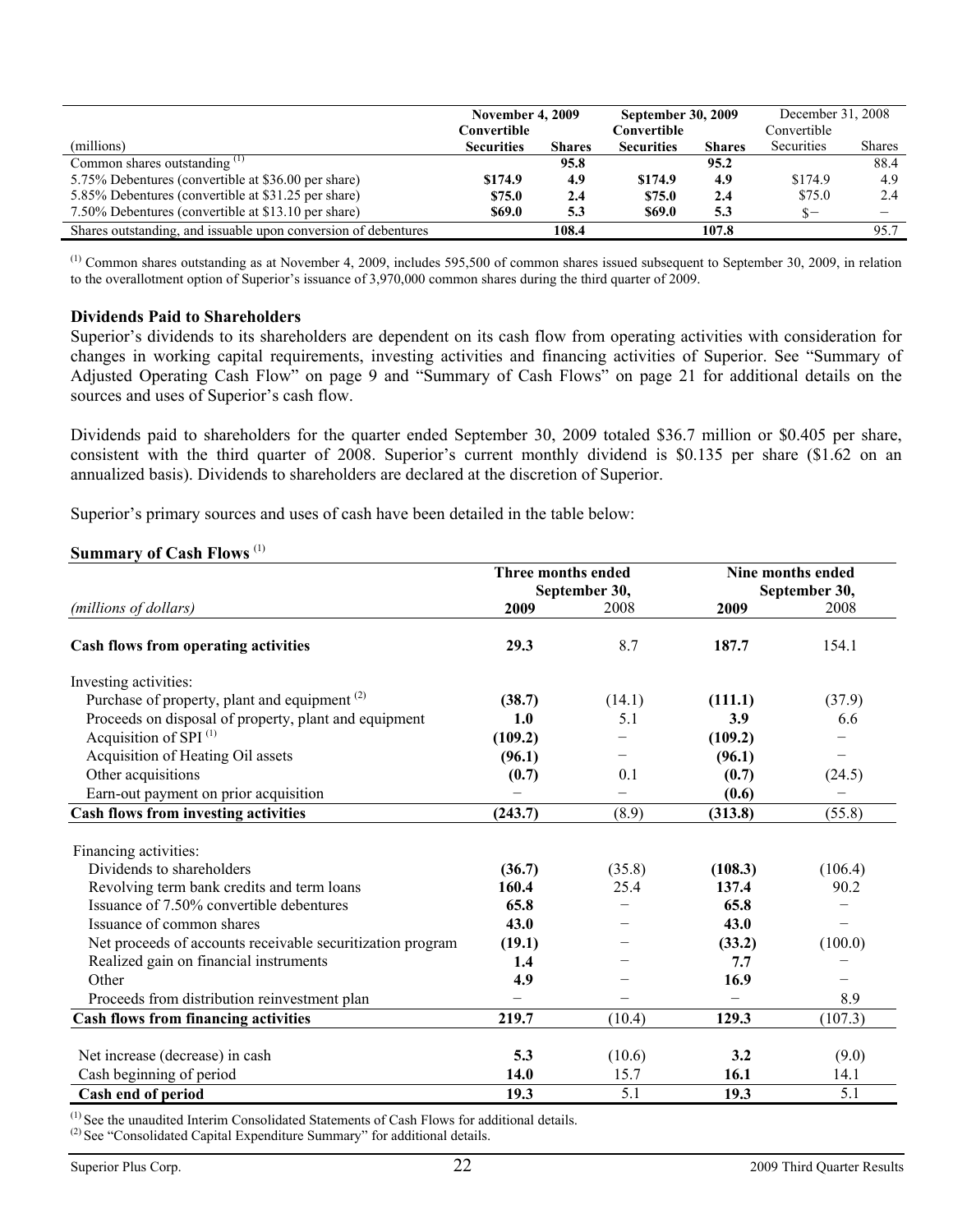|                                                                | <b>November 4, 2009</b> |               | <b>September 30, 2009</b> |               | December 31, 2008 |               |
|----------------------------------------------------------------|-------------------------|---------------|---------------------------|---------------|-------------------|---------------|
|                                                                | Convertible             |               | Convertible               |               | Convertible       |               |
| (millions)                                                     | <b>Securities</b>       | <b>Shares</b> | <b>Securities</b>         | <b>Shares</b> | Securities        | <b>Shares</b> |
| Common shares outstanding <sup>(1)</sup>                       |                         | 95.8          |                           | 95.2          |                   | 88.4          |
| 5.75% Debentures (convertible at \$36.00 per share)            | \$174.9                 | 4.9           | \$174.9                   | 4.9           | \$174.9           | 4.9           |
| 5.85% Debentures (convertible at \$31.25 per share)            | \$75.0                  | 2.4           | \$75.0                    | 2.4           | \$75.0            | 2.4           |
| 7.50% Debentures (convertible at \$13.10 per share)            | \$69.0                  | 5.3           | \$69.0                    | 5.3           | $S-$              |               |
| Shares outstanding, and issuable upon conversion of debentures |                         | 108.4         |                           | 107.8         |                   | 95.7          |

 $<sup>(1)</sup>$  Common shares outstanding as at November 4, 2009, includes 595,500 of common shares issued subsequent to September 30, 2009, in relation</sup> to the overallotment option of Superior's issuance of 3,970,000 common shares during the third quarter of 2009.

#### **Dividends Paid to Shareholders**

Superior's dividends to its shareholders are dependent on its cash flow from operating activities with consideration for changes in working capital requirements, investing activities and financing activities of Superior. See "Summary of Adjusted Operating Cash Flow" on page 9 and "Summary of Cash Flows" on page 21 for additional details on the sources and uses of Superior's cash flow.

Dividends paid to shareholders for the quarter ended September 30, 2009 totaled \$36.7 million or \$0.405 per share, consistent with the third quarter of 2008. Superior's current monthly dividend is \$0.135 per share (\$1.62 on an annualized basis). Dividends to shareholders are declared at the discretion of Superior.

Superior's primary sources and uses of cash have been detailed in the table below:

### **Summary of Cash Flows** (1)

|                                                            | Three months ended |                          | Nine months ended |               |  |
|------------------------------------------------------------|--------------------|--------------------------|-------------------|---------------|--|
|                                                            |                    | September 30,            |                   | September 30, |  |
| (millions of dollars)                                      | 2009               | 2008                     | 2009              | 2008          |  |
| Cash flows from operating activities                       | 29.3               | 8.7                      | 187.7             | 154.1         |  |
| Investing activities:                                      |                    |                          |                   |               |  |
| Purchase of property, plant and equipment <sup>(2)</sup>   | (38.7)             | (14.1)                   | (111.1)           | (37.9)        |  |
| Proceeds on disposal of property, plant and equipment      | 1.0                | 5.1                      | 3.9               | 6.6           |  |
| Acquisition of SPI <sup>(1)</sup>                          | (109.2)            |                          | (109.2)           |               |  |
| Acquisition of Heating Oil assets                          | (96.1)             |                          | (96.1)            |               |  |
| Other acquisitions                                         | (0.7)              | 0.1                      | (0.7)             | (24.5)        |  |
| Earn-out payment on prior acquisition                      |                    | $\overline{\phantom{0}}$ | (0.6)             |               |  |
| Cash flows from investing activities                       | (243.7)            | (8.9)                    | (313.8)           | (55.8)        |  |
| Financing activities:                                      |                    |                          |                   |               |  |
| Dividends to shareholders                                  | (36.7)             | (35.8)                   | (108.3)           | (106.4)       |  |
| Revolving term bank credits and term loans                 | 160.4              | 25.4                     | 137.4             | 90.2          |  |
| Issuance of 7.50% convertible debentures                   | 65.8               |                          | 65.8              |               |  |
| Issuance of common shares                                  | 43.0               |                          | 43.0              |               |  |
| Net proceeds of accounts receivable securitization program | (19.1)             |                          | (33.2)            | (100.0)       |  |
| Realized gain on financial instruments                     | 1.4                |                          | 7.7               |               |  |
| Other                                                      | 4.9                |                          | 16.9              |               |  |
| Proceeds from distribution reinvestment plan               |                    |                          |                   | 8.9           |  |
| <b>Cash flows from financing activities</b>                | 219.7              | (10.4)                   | 129.3             | (107.3)       |  |
| Net increase (decrease) in cash                            | 5.3                | (10.6)                   | 3.2               | (9.0)         |  |
| Cash beginning of period                                   | 14.0               | 15.7                     | 16.1              | 14.1          |  |
| Cash end of period                                         | 19.3               | 5.1                      | 19.3              | 5.1           |  |

(1) See the unaudited Interim Consolidated Statements of Cash Flows for additional details.

 $^{(2)}$  See "Consolidated Capital Expenditure Summary" for additional details.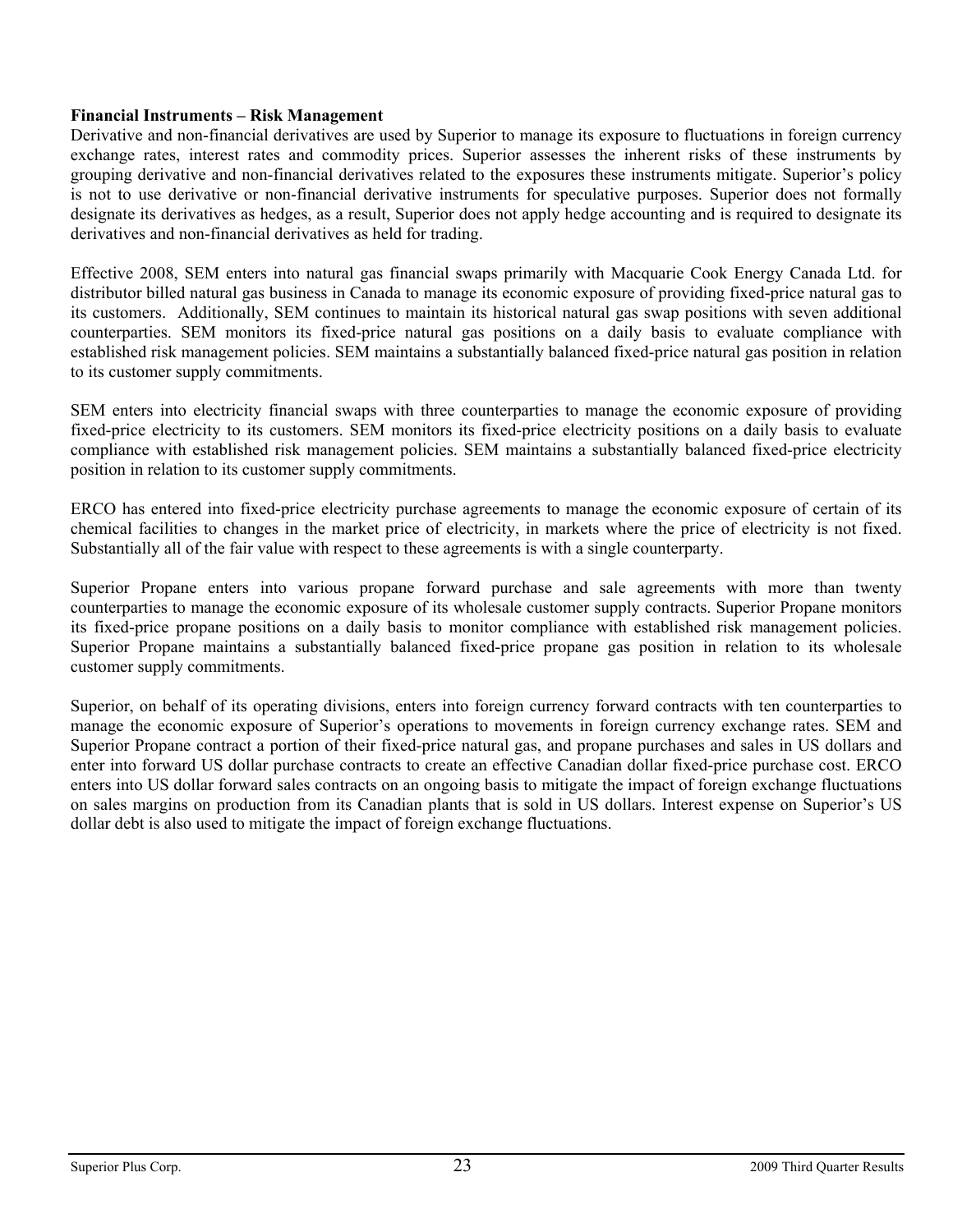### **Financial Instruments – Risk Management**

Derivative and non-financial derivatives are used by Superior to manage its exposure to fluctuations in foreign currency exchange rates, interest rates and commodity prices. Superior assesses the inherent risks of these instruments by grouping derivative and non-financial derivatives related to the exposures these instruments mitigate. Superior's policy is not to use derivative or non-financial derivative instruments for speculative purposes. Superior does not formally designate its derivatives as hedges, as a result, Superior does not apply hedge accounting and is required to designate its derivatives and non-financial derivatives as held for trading.

Effective 2008, SEM enters into natural gas financial swaps primarily with Macquarie Cook Energy Canada Ltd. for distributor billed natural gas business in Canada to manage its economic exposure of providing fixed-price natural gas to its customers. Additionally, SEM continues to maintain its historical natural gas swap positions with seven additional counterparties. SEM monitors its fixed-price natural gas positions on a daily basis to evaluate compliance with established risk management policies. SEM maintains a substantially balanced fixed-price natural gas position in relation to its customer supply commitments.

SEM enters into electricity financial swaps with three counterparties to manage the economic exposure of providing fixed-price electricity to its customers. SEM monitors its fixed-price electricity positions on a daily basis to evaluate compliance with established risk management policies. SEM maintains a substantially balanced fixed-price electricity position in relation to its customer supply commitments.

ERCO has entered into fixed-price electricity purchase agreements to manage the economic exposure of certain of its chemical facilities to changes in the market price of electricity, in markets where the price of electricity is not fixed. Substantially all of the fair value with respect to these agreements is with a single counterparty.

Superior Propane enters into various propane forward purchase and sale agreements with more than twenty counterparties to manage the economic exposure of its wholesale customer supply contracts. Superior Propane monitors its fixed-price propane positions on a daily basis to monitor compliance with established risk management policies. Superior Propane maintains a substantially balanced fixed-price propane gas position in relation to its wholesale customer supply commitments.

Superior, on behalf of its operating divisions, enters into foreign currency forward contracts with ten counterparties to manage the economic exposure of Superior's operations to movements in foreign currency exchange rates. SEM and Superior Propane contract a portion of their fixed-price natural gas, and propane purchases and sales in US dollars and enter into forward US dollar purchase contracts to create an effective Canadian dollar fixed-price purchase cost. ERCO enters into US dollar forward sales contracts on an ongoing basis to mitigate the impact of foreign exchange fluctuations on sales margins on production from its Canadian plants that is sold in US dollars. Interest expense on Superior's US dollar debt is also used to mitigate the impact of foreign exchange fluctuations.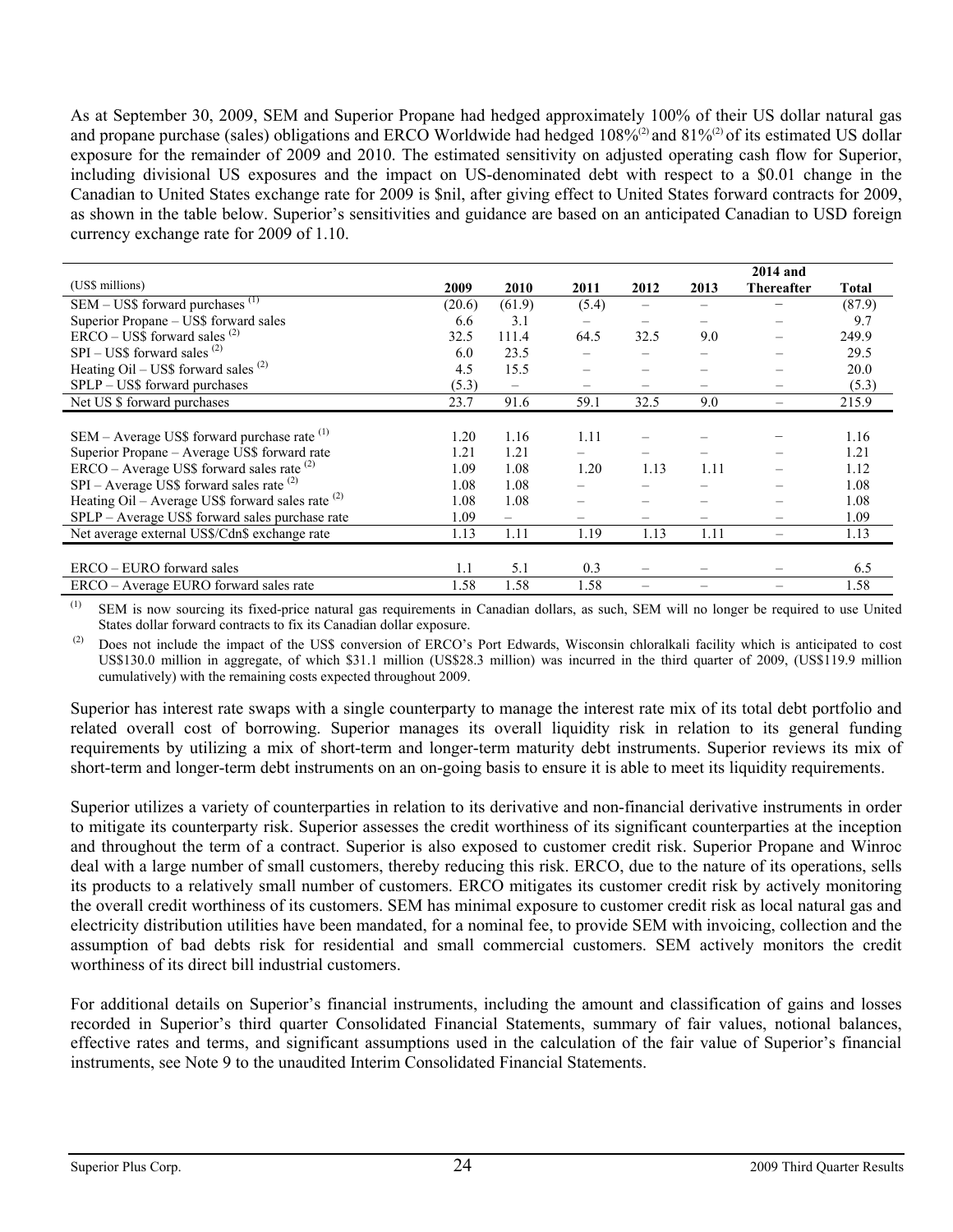As at September 30, 2009, SEM and Superior Propane had hedged approximately 100% of their US dollar natural gas and propane purchase (sales) obligations and ERCO Worldwide had hedged 108%<sup>(2)</sup> and 81%<sup>(2)</sup> of its estimated US dollar exposure for the remainder of 2009 and 2010. The estimated sensitivity on adjusted operating cash flow for Superior, including divisional US exposures and the impact on US-denominated debt with respect to a \$0.01 change in the Canadian to United States exchange rate for 2009 is \$nil, after giving effect to United States forward contracts for 2009, as shown in the table below. Superior's sensitivities and guidance are based on an anticipated Canadian to USD foreign currency exchange rate for 2009 of 1.10.

|                                                     |        |                          |                          |                          |                          | <b>2014 and</b>          |              |
|-----------------------------------------------------|--------|--------------------------|--------------------------|--------------------------|--------------------------|--------------------------|--------------|
| (US\$ millions)                                     | 2009   | 2010                     | 2011                     | 2012                     | 2013                     | <b>Thereafter</b>        | <b>Total</b> |
| $SEM - US\$ forward purchases $(1)$                 | (20.6) | (61.9)                   | (5.4)                    | $\overline{\phantom{0}}$ |                          | $\overline{\phantom{0}}$ | (87.9)       |
| Superior Propane – US\$ forward sales               | 6.6    | 3.1                      | $\overline{\phantom{0}}$ | $\qquad \qquad -$        | $\overline{\phantom{0}}$ | $\overline{\phantom{m}}$ | 9.7          |
| $ERCO - USS$ forward sales $^{(2)}$                 | 32.5   | 111.4                    | 64.5                     | 32.5                     | 9.0                      |                          | 249.9        |
| $SPI - USS$ forward sales $(2)$                     | 6.0    | 23.5                     | $\overline{\phantom{0}}$ | —                        |                          | -                        | 29.5         |
| Heating Oil – US\$ forward sales $^{(2)}$           | 4.5    | 15.5                     | $\overline{\phantom{0}}$ |                          |                          |                          | 20.0         |
| SPLP - US\$ forward purchases                       | (5.3)  | $\overline{\phantom{0}}$ |                          |                          |                          |                          | (5.3)        |
| Net US \$ forward purchases                         | 23.7   | 91.6                     | 59.1                     | 32.5                     | 9.0                      |                          | 215.9        |
|                                                     |        |                          |                          |                          |                          |                          |              |
| $SEM - Average US$$ forward purchase rate $(1)$     | 1.20   | 1.16                     | 1.11                     |                          |                          |                          | 1.16         |
| Superior Propane – Average US\$ forward rate        | 1.21   | 1.21                     | $\overline{\phantom{0}}$ |                          |                          | $\overline{\phantom{0}}$ | 1.21         |
| $ERCO - Average US$$ forward sales rate $^{(2)}$    | 1.09   | 1.08                     | 1.20                     | 1.13                     | 1.11                     |                          | 1.12         |
| $SPI - Average US$$ forward sales rate $^{(2)}$     | 1.08   | 1.08                     |                          |                          |                          |                          | 1.08         |
| Heating Oil – Average US\$ forward sales rate $(2)$ | 1.08   | 1.08                     |                          |                          |                          |                          | 1.08         |
| SPLP - Average US\$ forward sales purchase rate     | 1.09   | —                        | —                        |                          |                          | -                        | 1.09         |
| Net average external US\$/Cdn\$ exchange rate       | 1.13   | 1.11                     | 1.19                     | 1.13                     | 1.11                     |                          | 1.13         |
|                                                     |        |                          |                          |                          |                          |                          |              |
| $ERCO - EURO$ forward sales                         | 1.1    | 5.1                      | 0.3                      |                          |                          |                          | 6.5          |
| ERCO – Average EURO forward sales rate              | 1.58   | 1.58                     | 1.58                     | $\overline{\phantom{0}}$ |                          |                          | 1.58         |

(1) SEM is now sourcing its fixed-price natural gas requirements in Canadian dollars, as such, SEM will no longer be required to use United States dollar forward contracts to fix its Canadian dollar exposure.

(2) Does not include the impact of the US\$ conversion of ERCO's Port Edwards, Wisconsin chloralkali facility which is anticipated to cost US\$130.0 million in aggregate, of which \$31.1 million (US\$28.3 million) was incurred in the third quarter of 2009, (US\$119.9 million cumulatively) with the remaining costs expected throughout 2009.

Superior has interest rate swaps with a single counterparty to manage the interest rate mix of its total debt portfolio and related overall cost of borrowing. Superior manages its overall liquidity risk in relation to its general funding requirements by utilizing a mix of short-term and longer-term maturity debt instruments. Superior reviews its mix of short-term and longer-term debt instruments on an on-going basis to ensure it is able to meet its liquidity requirements.

Superior utilizes a variety of counterparties in relation to its derivative and non-financial derivative instruments in order to mitigate its counterparty risk. Superior assesses the credit worthiness of its significant counterparties at the inception and throughout the term of a contract. Superior is also exposed to customer credit risk. Superior Propane and Winroc deal with a large number of small customers, thereby reducing this risk. ERCO, due to the nature of its operations, sells its products to a relatively small number of customers. ERCO mitigates its customer credit risk by actively monitoring the overall credit worthiness of its customers. SEM has minimal exposure to customer credit risk as local natural gas and electricity distribution utilities have been mandated, for a nominal fee, to provide SEM with invoicing, collection and the assumption of bad debts risk for residential and small commercial customers. SEM actively monitors the credit worthiness of its direct bill industrial customers.

For additional details on Superior's financial instruments, including the amount and classification of gains and losses recorded in Superior's third quarter Consolidated Financial Statements, summary of fair values, notional balances, effective rates and terms, and significant assumptions used in the calculation of the fair value of Superior's financial instruments, see Note 9 to the unaudited Interim Consolidated Financial Statements.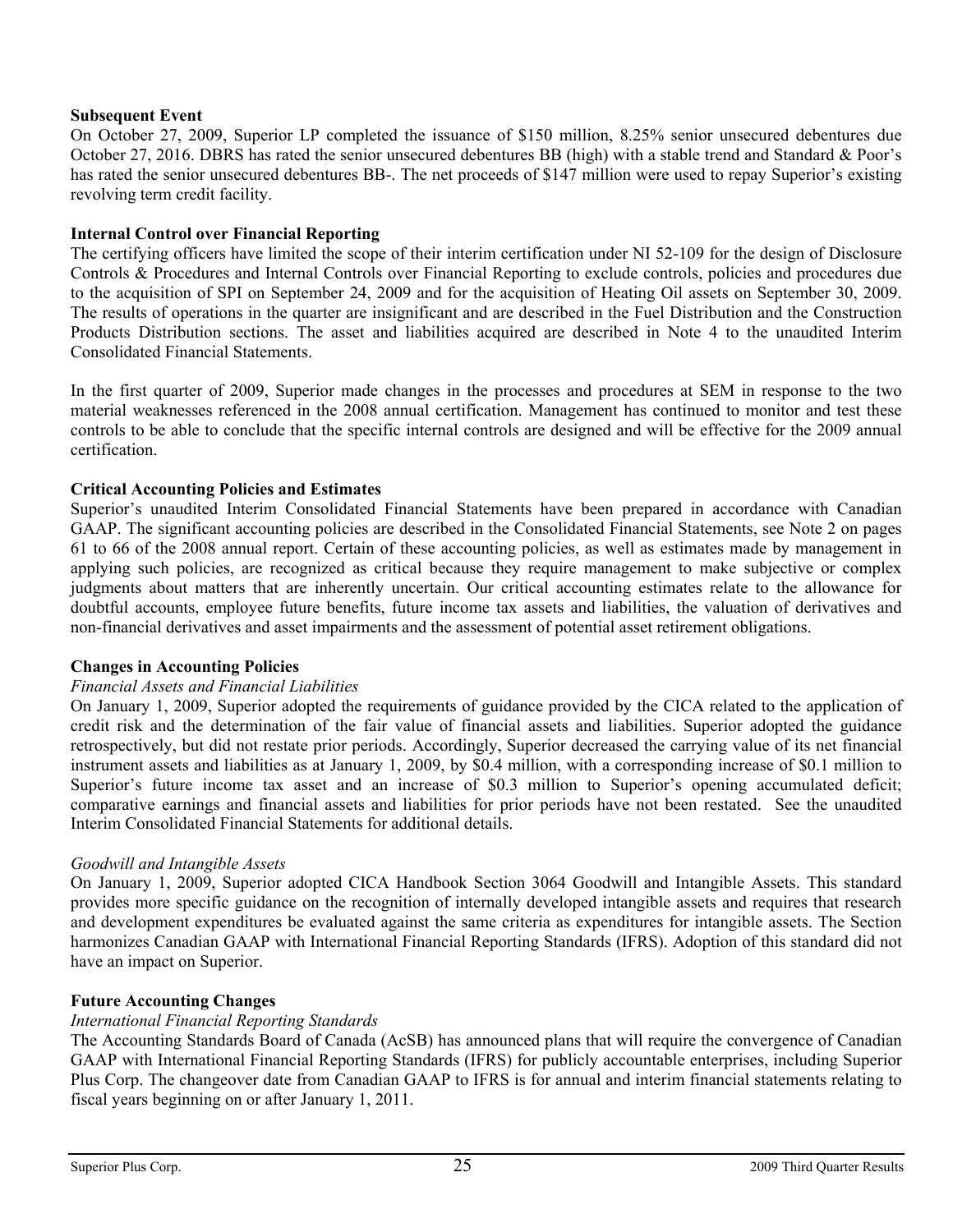### **Subsequent Event**

On October 27, 2009, Superior LP completed the issuance of \$150 million, 8.25% senior unsecured debentures due October 27, 2016. DBRS has rated the senior unsecured debentures BB (high) with a stable trend and Standard & Poor's has rated the senior unsecured debentures BB-. The net proceeds of \$147 million were used to repay Superior's existing revolving term credit facility.

# **Internal Control over Financial Reporting**

The certifying officers have limited the scope of their interim certification under NI 52-109 for the design of Disclosure Controls & Procedures and Internal Controls over Financial Reporting to exclude controls, policies and procedures due to the acquisition of SPI on September 24, 2009 and for the acquisition of Heating Oil assets on September 30, 2009. The results of operations in the quarter are insignificant and are described in the Fuel Distribution and the Construction Products Distribution sections. The asset and liabilities acquired are described in Note 4 to the unaudited Interim Consolidated Financial Statements.

In the first quarter of 2009, Superior made changes in the processes and procedures at SEM in response to the two material weaknesses referenced in the 2008 annual certification. Management has continued to monitor and test these controls to be able to conclude that the specific internal controls are designed and will be effective for the 2009 annual certification.

# **Critical Accounting Policies and Estimates**

Superior's unaudited Interim Consolidated Financial Statements have been prepared in accordance with Canadian GAAP. The significant accounting policies are described in the Consolidated Financial Statements, see Note 2 on pages 61 to 66 of the 2008 annual report. Certain of these accounting policies, as well as estimates made by management in applying such policies, are recognized as critical because they require management to make subjective or complex judgments about matters that are inherently uncertain. Our critical accounting estimates relate to the allowance for doubtful accounts, employee future benefits, future income tax assets and liabilities, the valuation of derivatives and non-financial derivatives and asset impairments and the assessment of potential asset retirement obligations.

### **Changes in Accounting Policies**

### *Financial Assets and Financial Liabilities*

On January 1, 2009, Superior adopted the requirements of guidance provided by the CICA related to the application of credit risk and the determination of the fair value of financial assets and liabilities. Superior adopted the guidance retrospectively, but did not restate prior periods. Accordingly, Superior decreased the carrying value of its net financial instrument assets and liabilities as at January 1, 2009, by \$0.4 million, with a corresponding increase of \$0.1 million to Superior's future income tax asset and an increase of \$0.3 million to Superior's opening accumulated deficit; comparative earnings and financial assets and liabilities for prior periods have not been restated. See the unaudited Interim Consolidated Financial Statements for additional details.

### *Goodwill and Intangible Assets*

On January 1, 2009, Superior adopted CICA Handbook Section 3064 Goodwill and Intangible Assets. This standard provides more specific guidance on the recognition of internally developed intangible assets and requires that research and development expenditures be evaluated against the same criteria as expenditures for intangible assets. The Section harmonizes Canadian GAAP with International Financial Reporting Standards (IFRS). Adoption of this standard did not have an impact on Superior.

# **Future Accounting Changes**

# *International Financial Reporting Standards*

The Accounting Standards Board of Canada (AcSB) has announced plans that will require the convergence of Canadian GAAP with International Financial Reporting Standards (IFRS) for publicly accountable enterprises, including Superior Plus Corp. The changeover date from Canadian GAAP to IFRS is for annual and interim financial statements relating to fiscal years beginning on or after January 1, 2011.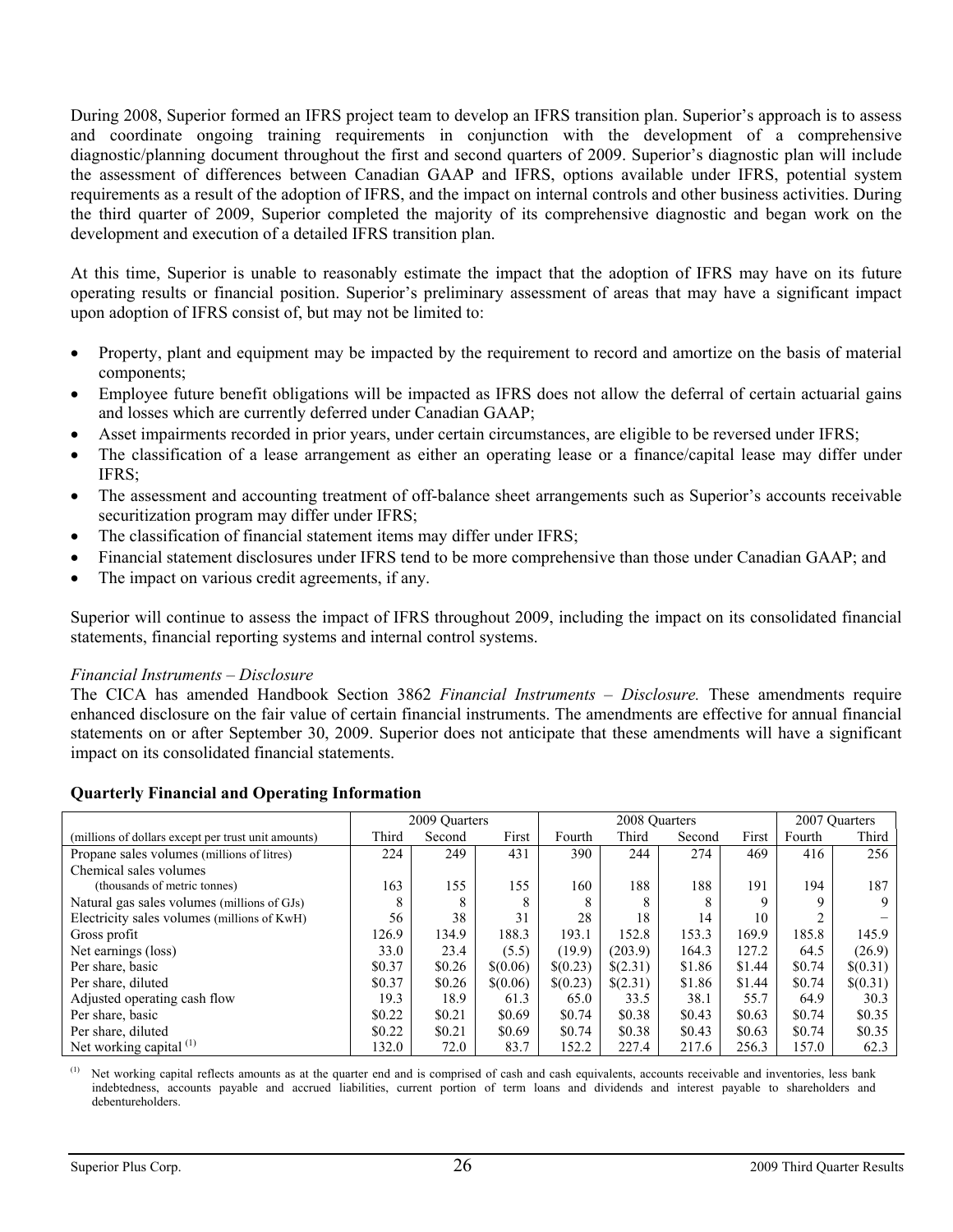During 2008, Superior formed an IFRS project team to develop an IFRS transition plan. Superior's approach is to assess and coordinate ongoing training requirements in conjunction with the development of a comprehensive diagnostic/planning document throughout the first and second quarters of 2009. Superior's diagnostic plan will include the assessment of differences between Canadian GAAP and IFRS, options available under IFRS, potential system requirements as a result of the adoption of IFRS, and the impact on internal controls and other business activities. During the third quarter of 2009, Superior completed the majority of its comprehensive diagnostic and began work on the development and execution of a detailed IFRS transition plan.

At this time, Superior is unable to reasonably estimate the impact that the adoption of IFRS may have on its future operating results or financial position. Superior's preliminary assessment of areas that may have a significant impact upon adoption of IFRS consist of, but may not be limited to:

- Property, plant and equipment may be impacted by the requirement to record and amortize on the basis of material components;
- Employee future benefit obligations will be impacted as IFRS does not allow the deferral of certain actuarial gains and losses which are currently deferred under Canadian GAAP;
- Asset impairments recorded in prior years, under certain circumstances, are eligible to be reversed under IFRS;
- The classification of a lease arrangement as either an operating lease or a finance/capital lease may differ under IFRS;
- The assessment and accounting treatment of off-balance sheet arrangements such as Superior's accounts receivable securitization program may differ under IFRS;
- The classification of financial statement items may differ under IFRS;
- Financial statement disclosures under IFRS tend to be more comprehensive than those under Canadian GAAP; and
- The impact on various credit agreements, if any.

Superior will continue to assess the impact of IFRS throughout 2009, including the impact on its consolidated financial statements, financial reporting systems and internal control systems.

### *Financial Instruments – Disclosure*

The CICA has amended Handbook Section 3862 *Financial Instruments – Disclosure.* These amendments require enhanced disclosure on the fair value of certain financial instruments. The amendments are effective for annual financial statements on or after September 30, 2009. Superior does not anticipate that these amendments will have a significant impact on its consolidated financial statements.

### **Quarterly Financial and Operating Information**

|                                                     |        | 2009 Quarters |          |          | 2008 Quarters |        |        |        | 2007 Quarters |
|-----------------------------------------------------|--------|---------------|----------|----------|---------------|--------|--------|--------|---------------|
| (millions of dollars except per trust unit amounts) | Third  | Second        | First    | Fourth   | Third         | Second | First  | Fourth | Third         |
| Propane sales volumes (millions of litres)          | 224    | 249           | 431      | 390      | 244           | 274    | 469    | 416    | 256           |
| Chemical sales volumes                              |        |               |          |          |               |        |        |        |               |
| (thousands of metric tonnes)                        | 163    | 155           | 155      | 160      | 188           | 188    | 191    | 194    | 187           |
| Natural gas sales volumes (millions of GJs)         | 8      | 8             | 8        | 8        | 8             |        | 9      | 9      |               |
| Electricity sales volumes (millions of KwH)         | 56     | 38            | 31       | 28       | 18            | 14     | 10     |        |               |
| Gross profit                                        | 126.9  | 134.9         | 188.3    | 193.1    | 152.8         | 153.3  | 169.9  | 185.8  | 145.9         |
| Net earnings (loss)                                 | 33.0   | 23.4          | (5.5)    | (19.9)   | (203.9)       | 164.3  | 127.2  | 64.5   | (26.9)        |
| Per share, basic                                    | \$0.37 | \$0.26        | \$(0.06) | \$(0.23) | \$(2.31)      | \$1.86 | \$1.44 | \$0.74 | \$(0.31)      |
| Per share, diluted                                  | \$0.37 | \$0.26        | \$(0.06) | \$(0.23) | \$(2.31)      | \$1.86 | \$1.44 | \$0.74 | \$(0.31)      |
| Adjusted operating cash flow                        | 19.3   | 18.9          | 61.3     | 65.0     | 33.5          | 38.1   | 55.7   | 64.9   | 30.3          |
| Per share, basic                                    | \$0.22 | \$0.21        | \$0.69   | \$0.74   | \$0.38        | \$0.43 | \$0.63 | \$0.74 | \$0.35        |
| Per share, diluted                                  | \$0.22 | \$0.21        | \$0.69   | \$0.74   | \$0.38        | \$0.43 | \$0.63 | \$0.74 | \$0.35        |
| Net working capital <sup>(1)</sup>                  | 132.0  | 72.0          | 83.7     | 152.2    | 227.4         | 217.6  | 256.3  | 157.0  | 62.3          |

Net working capital reflects amounts as at the quarter end and is comprised of cash and cash equivalents, accounts receivable and inventories, less bank indebtedness, accounts payable and accrued liabilities, current portion of term loans and dividends and interest payable to shareholders and debentureholders.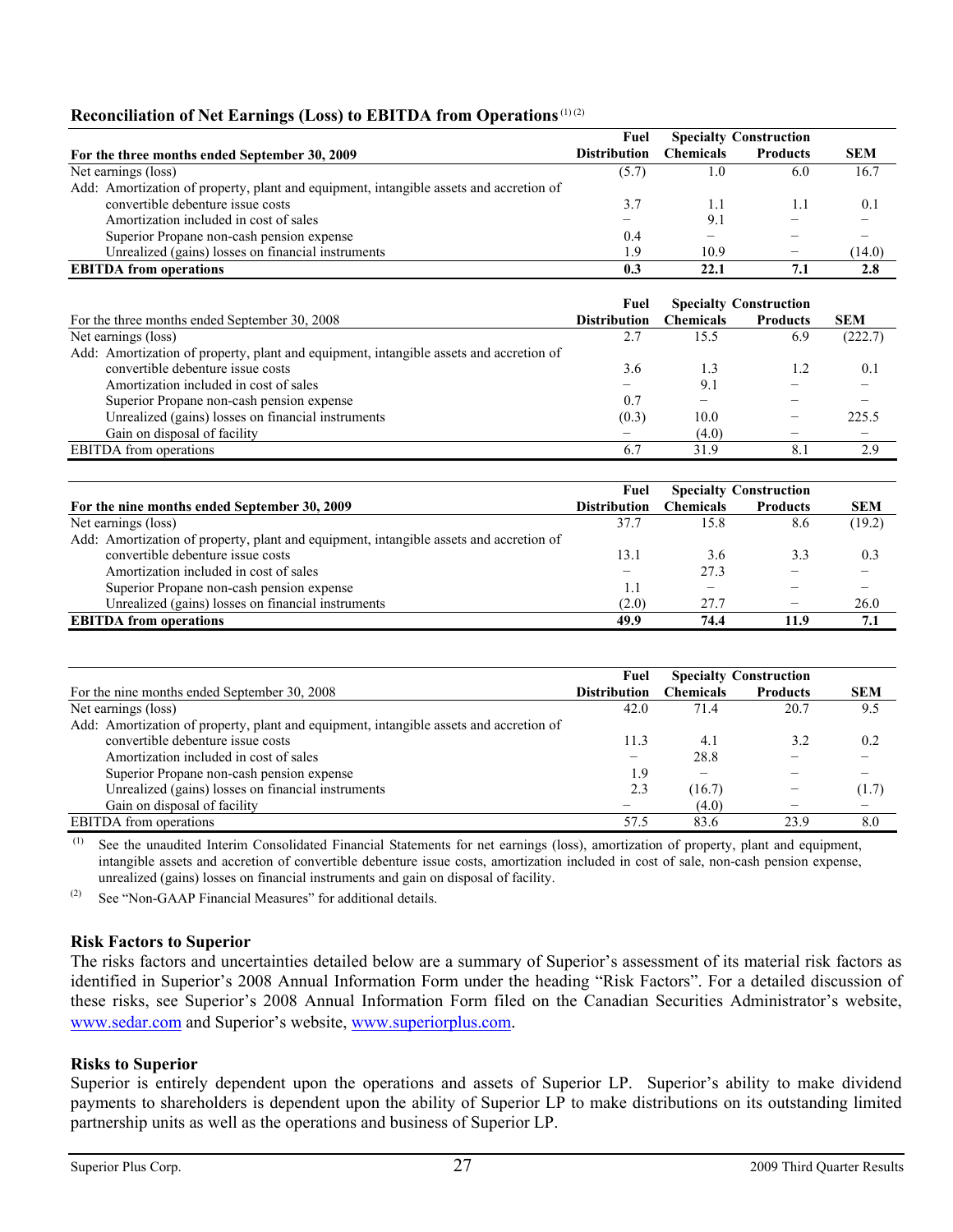# **Reconciliation of Net Earnings (Loss) to EBITDA from Operations** (1) (2)

|                                                                                        | Fuel                |                  | <b>Specialty Construction</b> |            |
|----------------------------------------------------------------------------------------|---------------------|------------------|-------------------------------|------------|
| For the three months ended September 30, 2009                                          | <b>Distribution</b> | <b>Chemicals</b> | <b>Products</b>               | <b>SEM</b> |
| Net earnings (loss)                                                                    | (5.7)               | 1.0              | 6.0                           | 16.7       |
| Add: Amortization of property, plant and equipment, intangible assets and accretion of |                     |                  |                               |            |
| convertible debenture issue costs                                                      | 3.7                 | 11               | 1.1                           | 0.1        |
| Amortization included in cost of sales                                                 | -                   | 9.1              |                               |            |
| Superior Propane non-cash pension expense                                              | 0.4                 |                  |                               |            |
| Unrealized (gains) losses on financial instruments                                     | 1.9                 | 10.9             |                               | (14.0)     |
| <b>EBITDA</b> from operations                                                          | 0.3                 | 22.1             | 7.1                           | 2.8        |

|                                                                                        | Fuel                |                  | <b>Specialty Construction</b> |            |
|----------------------------------------------------------------------------------------|---------------------|------------------|-------------------------------|------------|
| For the three months ended September 30, 2008                                          | <b>Distribution</b> | <b>Chemicals</b> | <b>Products</b>               | <b>SEM</b> |
| Net earnings (loss)                                                                    | 2.7                 | 15.5             | 6.9                           | (222.7)    |
| Add: Amortization of property, plant and equipment, intangible assets and accretion of |                     |                  |                               |            |
| convertible debenture issue costs                                                      | 3.6                 | 1.3              | 1.2                           | 0.1        |
| Amortization included in cost of sales                                                 |                     | 9.1              |                               |            |
| Superior Propane non-cash pension expense                                              | 0.7                 |                  |                               |            |
| Unrealized (gains) losses on financial instruments                                     | (0.3)               | 10.0             |                               | 225.5      |
| Gain on disposal of facility                                                           |                     | (4.0)            |                               |            |
| <b>EBITDA</b> from operations                                                          | 6.7                 | 319              | 81                            | 2.9        |

|                                                                                        | Fuel                | <b>Specialty Construction</b> |                 |            |
|----------------------------------------------------------------------------------------|---------------------|-------------------------------|-----------------|------------|
| For the nine months ended September 30, 2009                                           | <b>Distribution</b> | <b>Chemicals</b>              | <b>Products</b> | <b>SEM</b> |
| Net earnings (loss)                                                                    | 37.7                | 15.8                          | 8.6             | (19.2)     |
| Add: Amortization of property, plant and equipment, intangible assets and accretion of |                     |                               |                 |            |
| convertible debenture issue costs                                                      | 13.1                | 3.6                           | 3.3             | 0.3        |
| Amortization included in cost of sales                                                 | -                   | 27.3                          |                 |            |
| Superior Propane non-cash pension expense                                              |                     |                               |                 |            |
| Unrealized (gains) losses on financial instruments                                     | (2.0)               | 27.7                          |                 | 26.0       |
| <b>EBITDA</b> from operations                                                          | 49.9                | 74.4                          | 11.9            | 7.1        |

|                                                                                        | Fuel                |                  | <b>Specialty Construction</b> |            |
|----------------------------------------------------------------------------------------|---------------------|------------------|-------------------------------|------------|
| For the nine months ended September 30, 2008                                           | <b>Distribution</b> | <b>Chemicals</b> | <b>Products</b>               | <b>SEM</b> |
| Net earnings (loss)                                                                    | 42.0                | 71.4             | 20.7                          | 9.5        |
| Add: Amortization of property, plant and equipment, intangible assets and accretion of |                     |                  |                               |            |
| convertible debenture issue costs                                                      | 11.3                | 4.1              | 3.2                           | 0.2        |
| Amortization included in cost of sales                                                 |                     | 28.8             |                               |            |
| Superior Propane non-cash pension expense                                              | 1.9                 | -                |                               |            |
| Unrealized (gains) losses on financial instruments                                     | 2.3                 | (16.7)           |                               | (1.7)      |
| Gain on disposal of facility                                                           |                     | (4.0)            |                               |            |
| <b>EBITDA</b> from operations                                                          | 57.5                | 83.6             | 23.9                          | 8.0        |

 (1) See the unaudited Interim Consolidated Financial Statements for net earnings (loss), amortization of property, plant and equipment, intangible assets and accretion of convertible debenture issue costs, amortization included in cost of sale, non-cash pension expense, unrealized (gains) losses on financial instruments and gain on disposal of facility.

(2) See "Non-GAAP Financial Measures" for additional details.

### **Risk Factors to Superior**

The risks factors and uncertainties detailed below are a summary of Superior's assessment of its material risk factors as identified in Superior's 2008 Annual Information Form under the heading "Risk Factors". For a detailed discussion of these risks, see Superior's 2008 Annual Information Form filed on the Canadian Securities Administrator's website, www.sedar.com and Superior's website, www.superiorplus.com.

### **Risks to Superior**

Superior is entirely dependent upon the operations and assets of Superior LP. Superior's ability to make dividend payments to shareholders is dependent upon the ability of Superior LP to make distributions on its outstanding limited partnership units as well as the operations and business of Superior LP.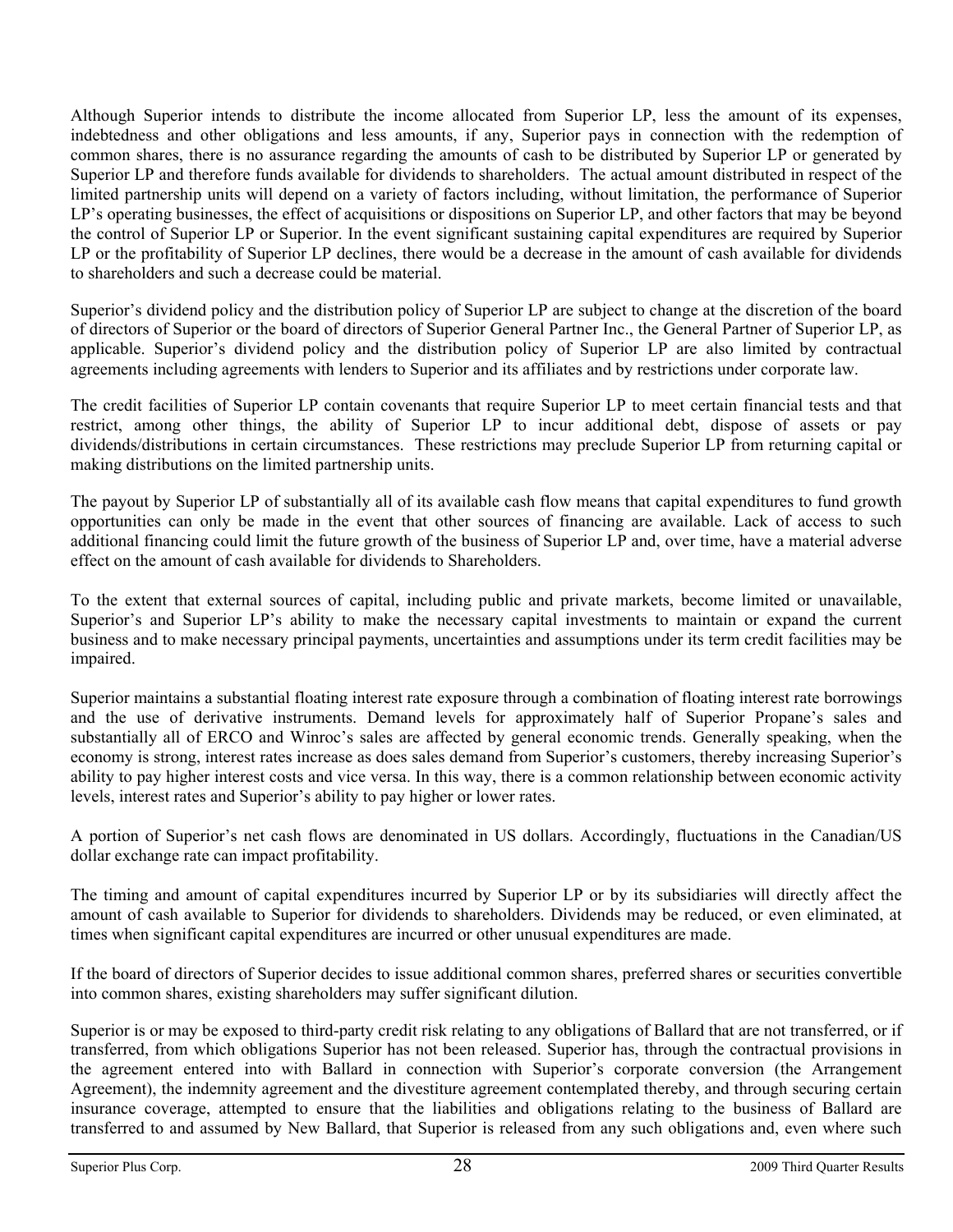Although Superior intends to distribute the income allocated from Superior LP, less the amount of its expenses, indebtedness and other obligations and less amounts, if any, Superior pays in connection with the redemption of common shares, there is no assurance regarding the amounts of cash to be distributed by Superior LP or generated by Superior LP and therefore funds available for dividends to shareholders. The actual amount distributed in respect of the limited partnership units will depend on a variety of factors including, without limitation, the performance of Superior LP's operating businesses, the effect of acquisitions or dispositions on Superior LP, and other factors that may be beyond the control of Superior LP or Superior. In the event significant sustaining capital expenditures are required by Superior LP or the profitability of Superior LP declines, there would be a decrease in the amount of cash available for dividends to shareholders and such a decrease could be material.

Superior's dividend policy and the distribution policy of Superior LP are subject to change at the discretion of the board of directors of Superior or the board of directors of Superior General Partner Inc., the General Partner of Superior LP, as applicable. Superior's dividend policy and the distribution policy of Superior LP are also limited by contractual agreements including agreements with lenders to Superior and its affiliates and by restrictions under corporate law.

The credit facilities of Superior LP contain covenants that require Superior LP to meet certain financial tests and that restrict, among other things, the ability of Superior LP to incur additional debt, dispose of assets or pay dividends/distributions in certain circumstances. These restrictions may preclude Superior LP from returning capital or making distributions on the limited partnership units.

The payout by Superior LP of substantially all of its available cash flow means that capital expenditures to fund growth opportunities can only be made in the event that other sources of financing are available. Lack of access to such additional financing could limit the future growth of the business of Superior LP and, over time, have a material adverse effect on the amount of cash available for dividends to Shareholders.

To the extent that external sources of capital, including public and private markets, become limited or unavailable, Superior's and Superior LP's ability to make the necessary capital investments to maintain or expand the current business and to make necessary principal payments, uncertainties and assumptions under its term credit facilities may be impaired.

Superior maintains a substantial floating interest rate exposure through a combination of floating interest rate borrowings and the use of derivative instruments. Demand levels for approximately half of Superior Propane's sales and substantially all of ERCO and Winroc's sales are affected by general economic trends. Generally speaking, when the economy is strong, interest rates increase as does sales demand from Superior's customers, thereby increasing Superior's ability to pay higher interest costs and vice versa. In this way, there is a common relationship between economic activity levels, interest rates and Superior's ability to pay higher or lower rates.

A portion of Superior's net cash flows are denominated in US dollars. Accordingly, fluctuations in the Canadian/US dollar exchange rate can impact profitability.

The timing and amount of capital expenditures incurred by Superior LP or by its subsidiaries will directly affect the amount of cash available to Superior for dividends to shareholders. Dividends may be reduced, or even eliminated, at times when significant capital expenditures are incurred or other unusual expenditures are made.

If the board of directors of Superior decides to issue additional common shares, preferred shares or securities convertible into common shares, existing shareholders may suffer significant dilution.

Superior is or may be exposed to third-party credit risk relating to any obligations of Ballard that are not transferred, or if transferred, from which obligations Superior has not been released. Superior has, through the contractual provisions in the agreement entered into with Ballard in connection with Superior's corporate conversion (the Arrangement Agreement), the indemnity agreement and the divestiture agreement contemplated thereby, and through securing certain insurance coverage, attempted to ensure that the liabilities and obligations relating to the business of Ballard are transferred to and assumed by New Ballard, that Superior is released from any such obligations and, even where such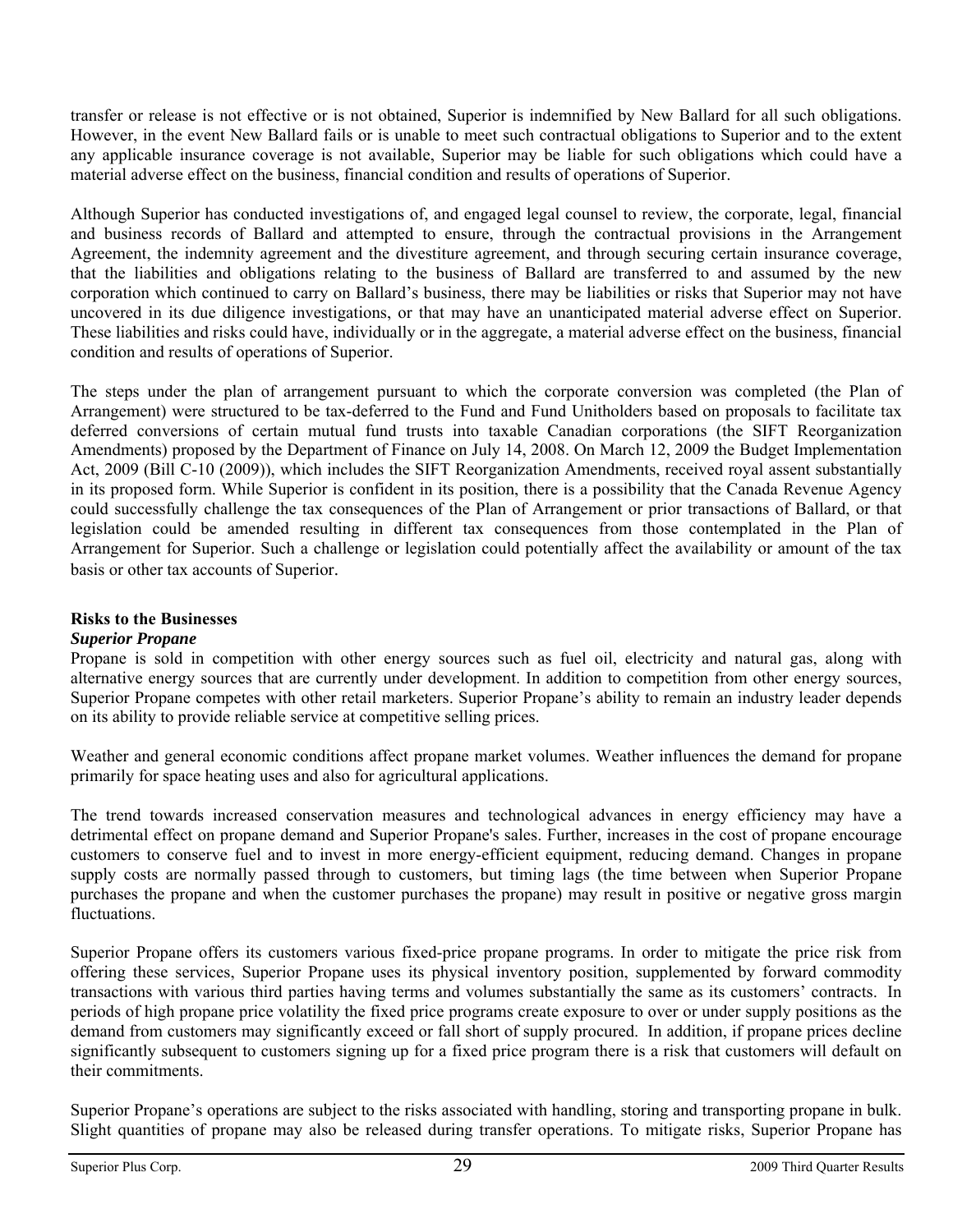transfer or release is not effective or is not obtained, Superior is indemnified by New Ballard for all such obligations. However, in the event New Ballard fails or is unable to meet such contractual obligations to Superior and to the extent any applicable insurance coverage is not available, Superior may be liable for such obligations which could have a material adverse effect on the business, financial condition and results of operations of Superior.

Although Superior has conducted investigations of, and engaged legal counsel to review, the corporate, legal, financial and business records of Ballard and attempted to ensure, through the contractual provisions in the Arrangement Agreement, the indemnity agreement and the divestiture agreement, and through securing certain insurance coverage, that the liabilities and obligations relating to the business of Ballard are transferred to and assumed by the new corporation which continued to carry on Ballard's business, there may be liabilities or risks that Superior may not have uncovered in its due diligence investigations, or that may have an unanticipated material adverse effect on Superior. These liabilities and risks could have, individually or in the aggregate, a material adverse effect on the business, financial condition and results of operations of Superior.

The steps under the plan of arrangement pursuant to which the corporate conversion was completed (the Plan of Arrangement) were structured to be tax-deferred to the Fund and Fund Unitholders based on proposals to facilitate tax deferred conversions of certain mutual fund trusts into taxable Canadian corporations (the SIFT Reorganization Amendments) proposed by the Department of Finance on July 14, 2008. On March 12, 2009 the Budget Implementation Act, 2009 (Bill C-10 (2009)), which includes the SIFT Reorganization Amendments, received royal assent substantially in its proposed form. While Superior is confident in its position, there is a possibility that the Canada Revenue Agency could successfully challenge the tax consequences of the Plan of Arrangement or prior transactions of Ballard, or that legislation could be amended resulting in different tax consequences from those contemplated in the Plan of Arrangement for Superior. Such a challenge or legislation could potentially affect the availability or amount of the tax basis or other tax accounts of Superior.

# **Risks to the Businesses**

### *Superior Propane*

Propane is sold in competition with other energy sources such as fuel oil, electricity and natural gas, along with alternative energy sources that are currently under development. In addition to competition from other energy sources, Superior Propane competes with other retail marketers. Superior Propane's ability to remain an industry leader depends on its ability to provide reliable service at competitive selling prices.

Weather and general economic conditions affect propane market volumes. Weather influences the demand for propane primarily for space heating uses and also for agricultural applications.

The trend towards increased conservation measures and technological advances in energy efficiency may have a detrimental effect on propane demand and Superior Propane's sales. Further, increases in the cost of propane encourage customers to conserve fuel and to invest in more energy-efficient equipment, reducing demand. Changes in propane supply costs are normally passed through to customers, but timing lags (the time between when Superior Propane purchases the propane and when the customer purchases the propane) may result in positive or negative gross margin fluctuations.

Superior Propane offers its customers various fixed-price propane programs. In order to mitigate the price risk from offering these services, Superior Propane uses its physical inventory position, supplemented by forward commodity transactions with various third parties having terms and volumes substantially the same as its customers' contracts. In periods of high propane price volatility the fixed price programs create exposure to over or under supply positions as the demand from customers may significantly exceed or fall short of supply procured. In addition, if propane prices decline significantly subsequent to customers signing up for a fixed price program there is a risk that customers will default on their commitments.

Superior Propane's operations are subject to the risks associated with handling, storing and transporting propane in bulk. Slight quantities of propane may also be released during transfer operations. To mitigate risks, Superior Propane has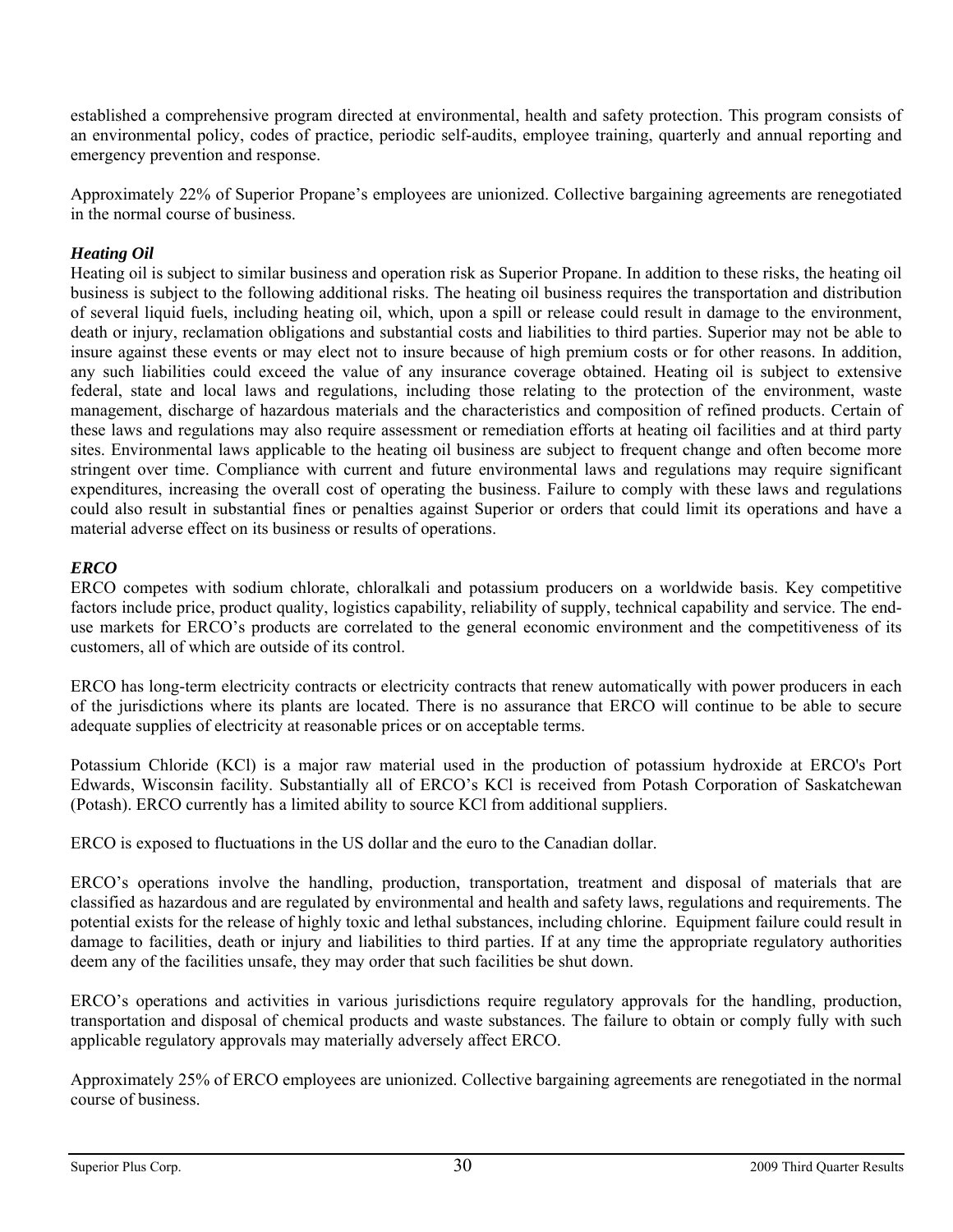established a comprehensive program directed at environmental, health and safety protection. This program consists of an environmental policy, codes of practice, periodic self-audits, employee training, quarterly and annual reporting and emergency prevention and response.

Approximately 22% of Superior Propane's employees are unionized. Collective bargaining agreements are renegotiated in the normal course of business.

# *Heating Oil*

Heating oil is subject to similar business and operation risk as Superior Propane. In addition to these risks, the heating oil business is subject to the following additional risks. The heating oil business requires the transportation and distribution of several liquid fuels, including heating oil, which, upon a spill or release could result in damage to the environment, death or injury, reclamation obligations and substantial costs and liabilities to third parties. Superior may not be able to insure against these events or may elect not to insure because of high premium costs or for other reasons. In addition, any such liabilities could exceed the value of any insurance coverage obtained. Heating oil is subject to extensive federal, state and local laws and regulations, including those relating to the protection of the environment, waste management, discharge of hazardous materials and the characteristics and composition of refined products. Certain of these laws and regulations may also require assessment or remediation efforts at heating oil facilities and at third party sites. Environmental laws applicable to the heating oil business are subject to frequent change and often become more stringent over time. Compliance with current and future environmental laws and regulations may require significant expenditures, increasing the overall cost of operating the business. Failure to comply with these laws and regulations could also result in substantial fines or penalties against Superior or orders that could limit its operations and have a material adverse effect on its business or results of operations.

# *ERCO*

ERCO competes with sodium chlorate, chloralkali and potassium producers on a worldwide basis. Key competitive factors include price, product quality, logistics capability, reliability of supply, technical capability and service. The enduse markets for ERCO's products are correlated to the general economic environment and the competitiveness of its customers, all of which are outside of its control.

ERCO has long-term electricity contracts or electricity contracts that renew automatically with power producers in each of the jurisdictions where its plants are located. There is no assurance that ERCO will continue to be able to secure adequate supplies of electricity at reasonable prices or on acceptable terms.

Potassium Chloride (KCl) is a major raw material used in the production of potassium hydroxide at ERCO's Port Edwards, Wisconsin facility. Substantially all of ERCO's KCl is received from Potash Corporation of Saskatchewan (Potash). ERCO currently has a limited ability to source KCl from additional suppliers.

ERCO is exposed to fluctuations in the US dollar and the euro to the Canadian dollar.

ERCO's operations involve the handling, production, transportation, treatment and disposal of materials that are classified as hazardous and are regulated by environmental and health and safety laws, regulations and requirements. The potential exists for the release of highly toxic and lethal substances, including chlorine. Equipment failure could result in damage to facilities, death or injury and liabilities to third parties. If at any time the appropriate regulatory authorities deem any of the facilities unsafe, they may order that such facilities be shut down.

ERCO's operations and activities in various jurisdictions require regulatory approvals for the handling, production, transportation and disposal of chemical products and waste substances. The failure to obtain or comply fully with such applicable regulatory approvals may materially adversely affect ERCO.

Approximately 25% of ERCO employees are unionized. Collective bargaining agreements are renegotiated in the normal course of business.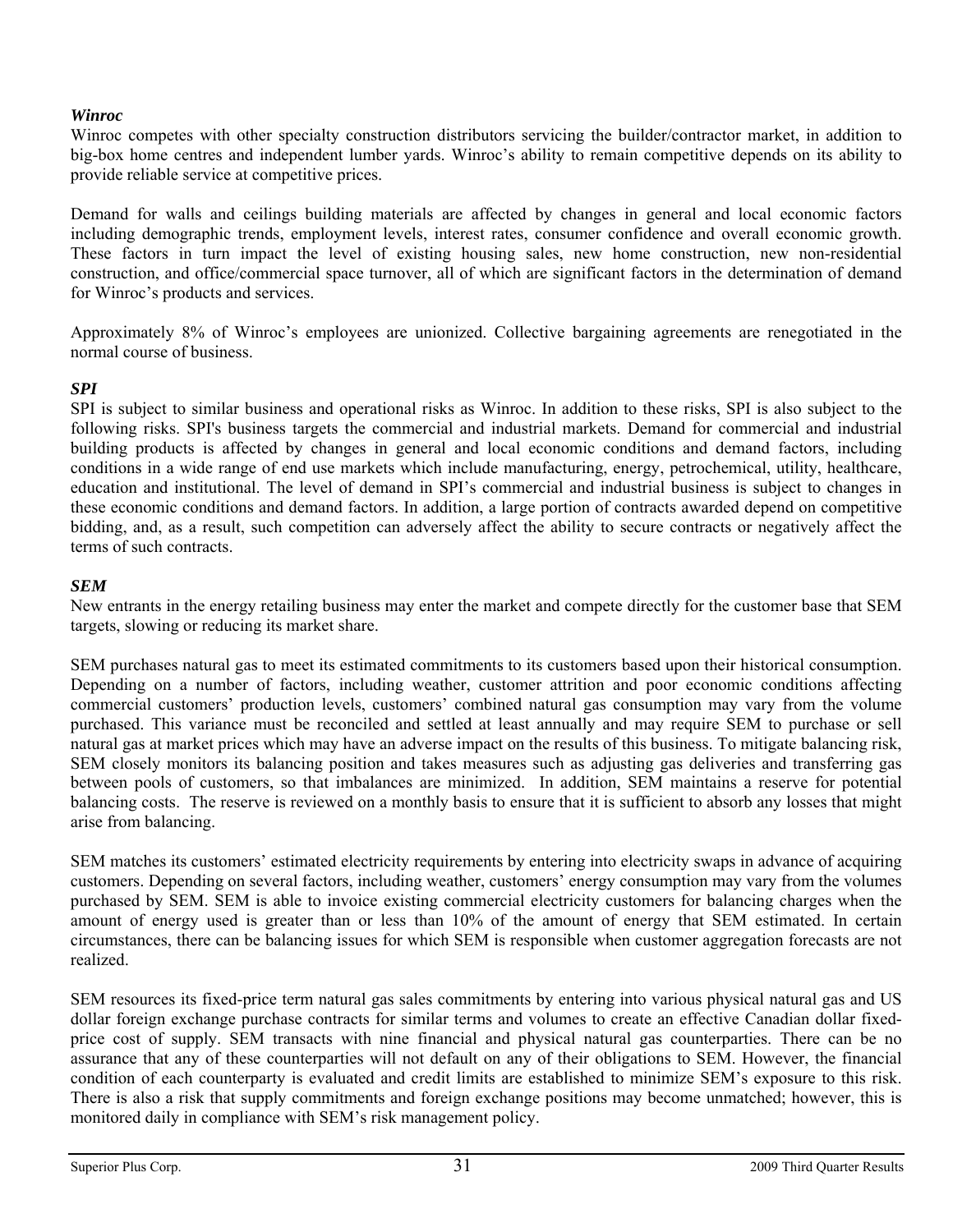# *Winroc*

Winroc competes with other specialty construction distributors servicing the builder/contractor market, in addition to big-box home centres and independent lumber yards. Winroc's ability to remain competitive depends on its ability to provide reliable service at competitive prices.

Demand for walls and ceilings building materials are affected by changes in general and local economic factors including demographic trends, employment levels, interest rates, consumer confidence and overall economic growth. These factors in turn impact the level of existing housing sales, new home construction, new non-residential construction, and office/commercial space turnover, all of which are significant factors in the determination of demand for Winroc's products and services.

Approximately 8% of Winroc's employees are unionized. Collective bargaining agreements are renegotiated in the normal course of business.

# *SPI*

SPI is subject to similar business and operational risks as Winroc. In addition to these risks, SPI is also subject to the following risks. SPI's business targets the commercial and industrial markets. Demand for commercial and industrial building products is affected by changes in general and local economic conditions and demand factors, including conditions in a wide range of end use markets which include manufacturing, energy, petrochemical, utility, healthcare, education and institutional. The level of demand in SPI's commercial and industrial business is subject to changes in these economic conditions and demand factors. In addition, a large portion of contracts awarded depend on competitive bidding, and, as a result, such competition can adversely affect the ability to secure contracts or negatively affect the terms of such contracts.

# *SEM*

New entrants in the energy retailing business may enter the market and compete directly for the customer base that SEM targets, slowing or reducing its market share.

SEM purchases natural gas to meet its estimated commitments to its customers based upon their historical consumption. Depending on a number of factors, including weather, customer attrition and poor economic conditions affecting commercial customers' production levels, customers' combined natural gas consumption may vary from the volume purchased. This variance must be reconciled and settled at least annually and may require SEM to purchase or sell natural gas at market prices which may have an adverse impact on the results of this business. To mitigate balancing risk, SEM closely monitors its balancing position and takes measures such as adjusting gas deliveries and transferring gas between pools of customers, so that imbalances are minimized. In addition, SEM maintains a reserve for potential balancing costs. The reserve is reviewed on a monthly basis to ensure that it is sufficient to absorb any losses that might arise from balancing.

SEM matches its customers' estimated electricity requirements by entering into electricity swaps in advance of acquiring customers. Depending on several factors, including weather, customers' energy consumption may vary from the volumes purchased by SEM. SEM is able to invoice existing commercial electricity customers for balancing charges when the amount of energy used is greater than or less than 10% of the amount of energy that SEM estimated. In certain circumstances, there can be balancing issues for which SEM is responsible when customer aggregation forecasts are not realized.

SEM resources its fixed-price term natural gas sales commitments by entering into various physical natural gas and US dollar foreign exchange purchase contracts for similar terms and volumes to create an effective Canadian dollar fixedprice cost of supply. SEM transacts with nine financial and physical natural gas counterparties. There can be no assurance that any of these counterparties will not default on any of their obligations to SEM. However, the financial condition of each counterparty is evaluated and credit limits are established to minimize SEM's exposure to this risk. There is also a risk that supply commitments and foreign exchange positions may become unmatched; however, this is monitored daily in compliance with SEM's risk management policy.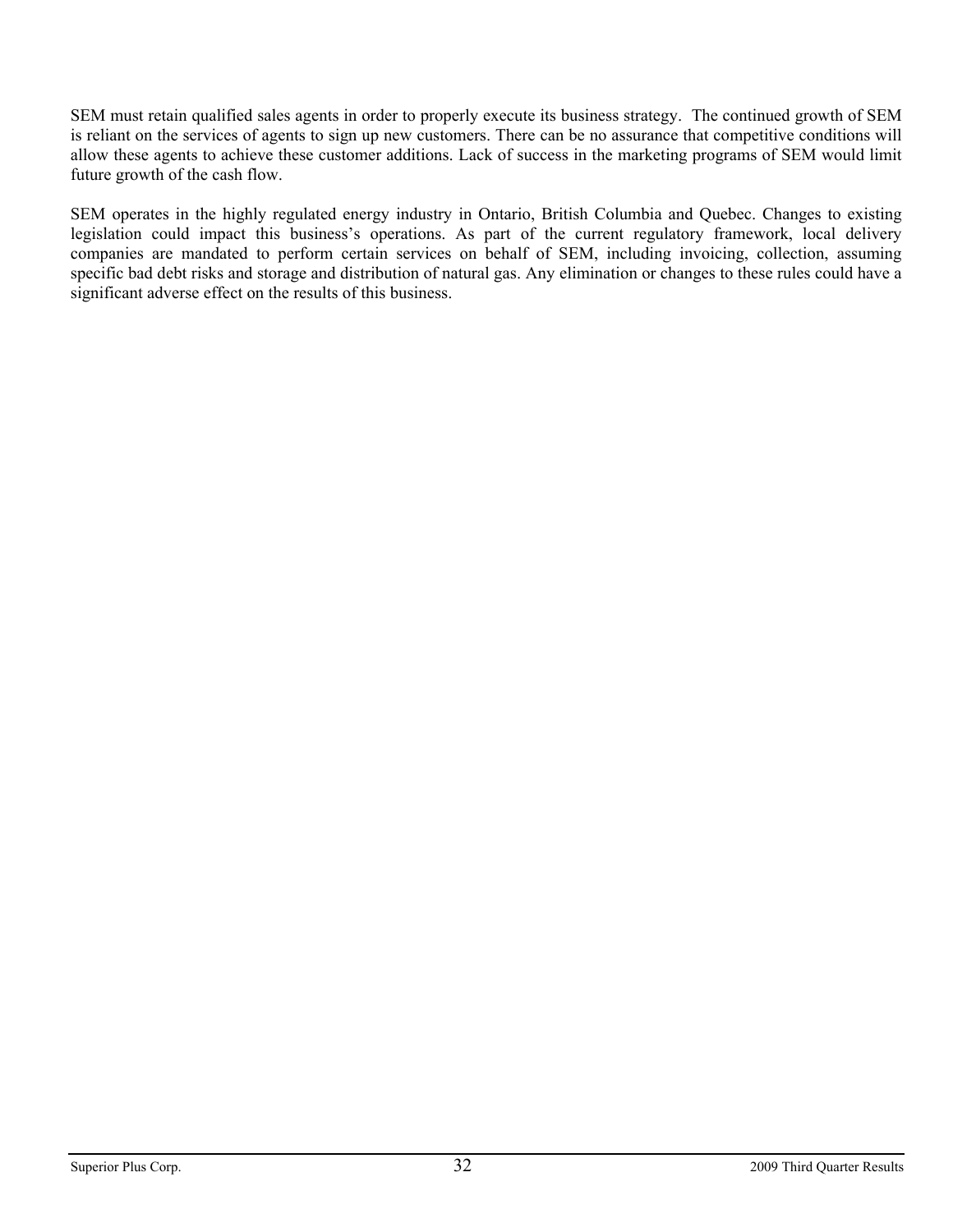SEM must retain qualified sales agents in order to properly execute its business strategy. The continued growth of SEM is reliant on the services of agents to sign up new customers. There can be no assurance that competitive conditions will allow these agents to achieve these customer additions. Lack of success in the marketing programs of SEM would limit future growth of the cash flow.

SEM operates in the highly regulated energy industry in Ontario, British Columbia and Quebec. Changes to existing legislation could impact this business's operations. As part of the current regulatory framework, local delivery companies are mandated to perform certain services on behalf of SEM, including invoicing, collection, assuming specific bad debt risks and storage and distribution of natural gas. Any elimination or changes to these rules could have a significant adverse effect on the results of this business.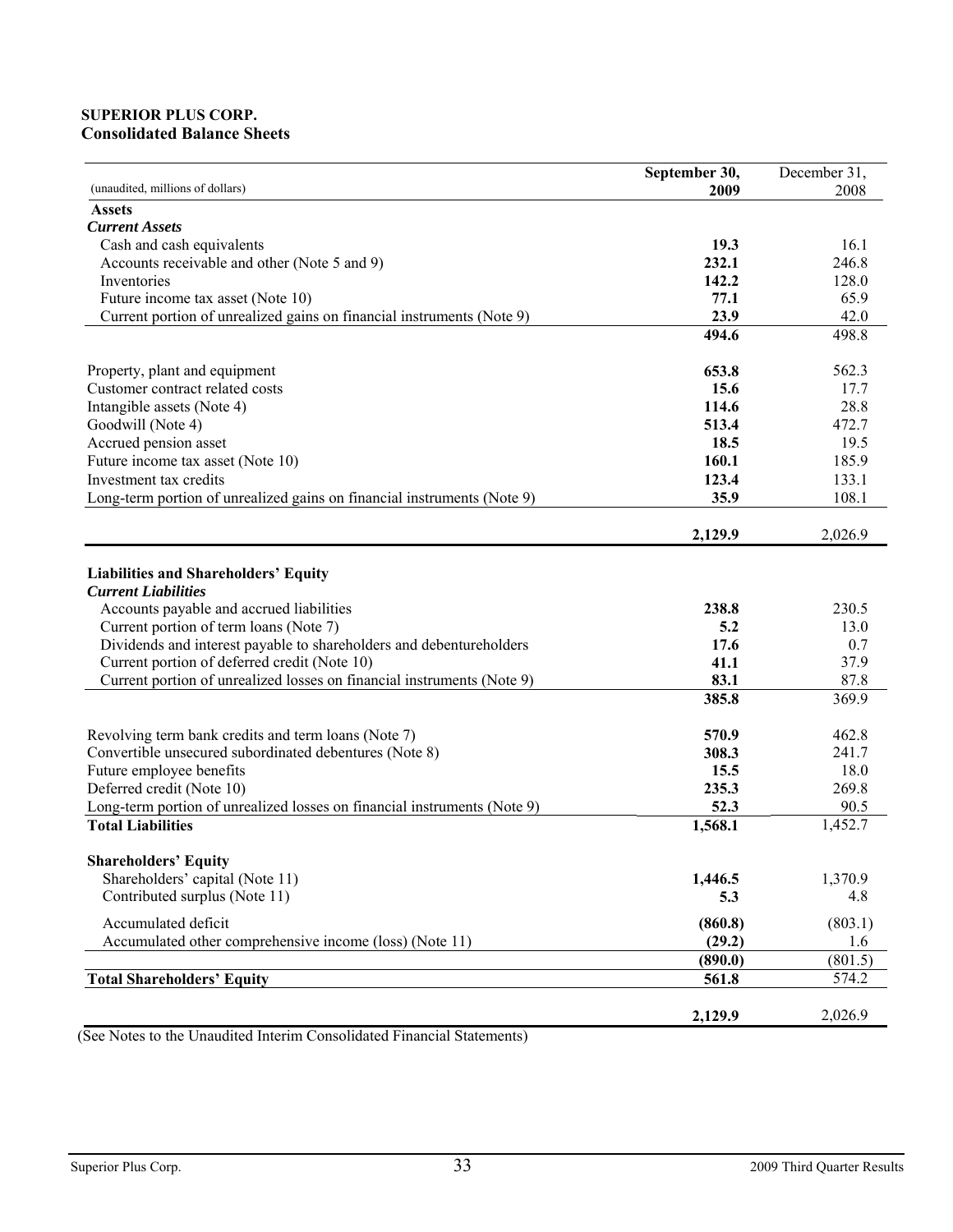#### **SUPERIOR PLUS CORP. Consolidated Balance Sheets**

|                                                                          | September 30, | December 31, |
|--------------------------------------------------------------------------|---------------|--------------|
| (unaudited, millions of dollars)                                         | 2009          | 2008         |
| <b>Assets</b>                                                            |               |              |
| <b>Current Assets</b>                                                    |               |              |
| Cash and cash equivalents                                                | 19.3          | 16.1         |
| Accounts receivable and other (Note 5 and 9)                             | 232.1         | 246.8        |
| Inventories                                                              | 142.2         | 128.0        |
| Future income tax asset (Note 10)                                        | 77.1          | 65.9         |
| Current portion of unrealized gains on financial instruments (Note 9)    | 23.9          | 42.0         |
|                                                                          | 494.6         | 498.8        |
| Property, plant and equipment                                            | 653.8         | 562.3        |
| Customer contract related costs                                          | 15.6          | 17.7         |
| Intangible assets (Note 4)                                               | 114.6         | 28.8         |
| Goodwill (Note 4)                                                        | 513.4         | 472.7        |
| Accrued pension asset                                                    | 18.5          | 19.5         |
| Future income tax asset (Note 10)                                        | 160.1         | 185.9        |
| Investment tax credits                                                   | 123.4         | 133.1        |
| Long-term portion of unrealized gains on financial instruments (Note 9)  | 35.9          | 108.1        |
|                                                                          | 2,129.9       | 2,026.9      |
| <b>Liabilities and Shareholders' Equity</b>                              |               |              |
| <b>Current Liabilities</b>                                               |               |              |
| Accounts payable and accrued liabilities                                 | 238.8         | 230.5        |
| Current portion of term loans (Note 7)                                   | 5.2           | 13.0         |
| Dividends and interest payable to shareholders and debentureholders      | 17.6          | 0.7          |
| Current portion of deferred credit (Note 10)                             | 41.1          | 37.9         |
| Current portion of unrealized losses on financial instruments (Note 9)   | 83.1          | 87.8         |
|                                                                          | 385.8         | 369.9        |
| Revolving term bank credits and term loans (Note 7)                      | 570.9         | 462.8        |
| Convertible unsecured subordinated debentures (Note 8)                   | 308.3         | 241.7        |
| Future employee benefits                                                 | 15.5          | 18.0         |
| Deferred credit (Note 10)                                                | 235.3         | 269.8        |
| Long-term portion of unrealized losses on financial instruments (Note 9) | 52.3          | 90.5         |
| <b>Total Liabilities</b>                                                 | 1,568.1       | 1,452.7      |
| <b>Shareholders' Equity</b>                                              |               |              |
| Shareholders' capital (Note 11)                                          | 1,446.5       | 1,370.9      |
| Contributed surplus (Note 11)                                            | 5.3           | 4.8          |
| Accumulated deficit                                                      | (860.8)       | (803.1)      |
| Accumulated other comprehensive income (loss) (Note 11)                  | (29.2)        | 1.6          |
|                                                                          | (890.0)       | (801.5)      |
| <b>Total Shareholders' Equity</b>                                        | 561.8         | 574.2        |
|                                                                          | 2,129.9       | 2,026.9      |

(See Notes to the Unaudited Interim Consolidated Financial Statements)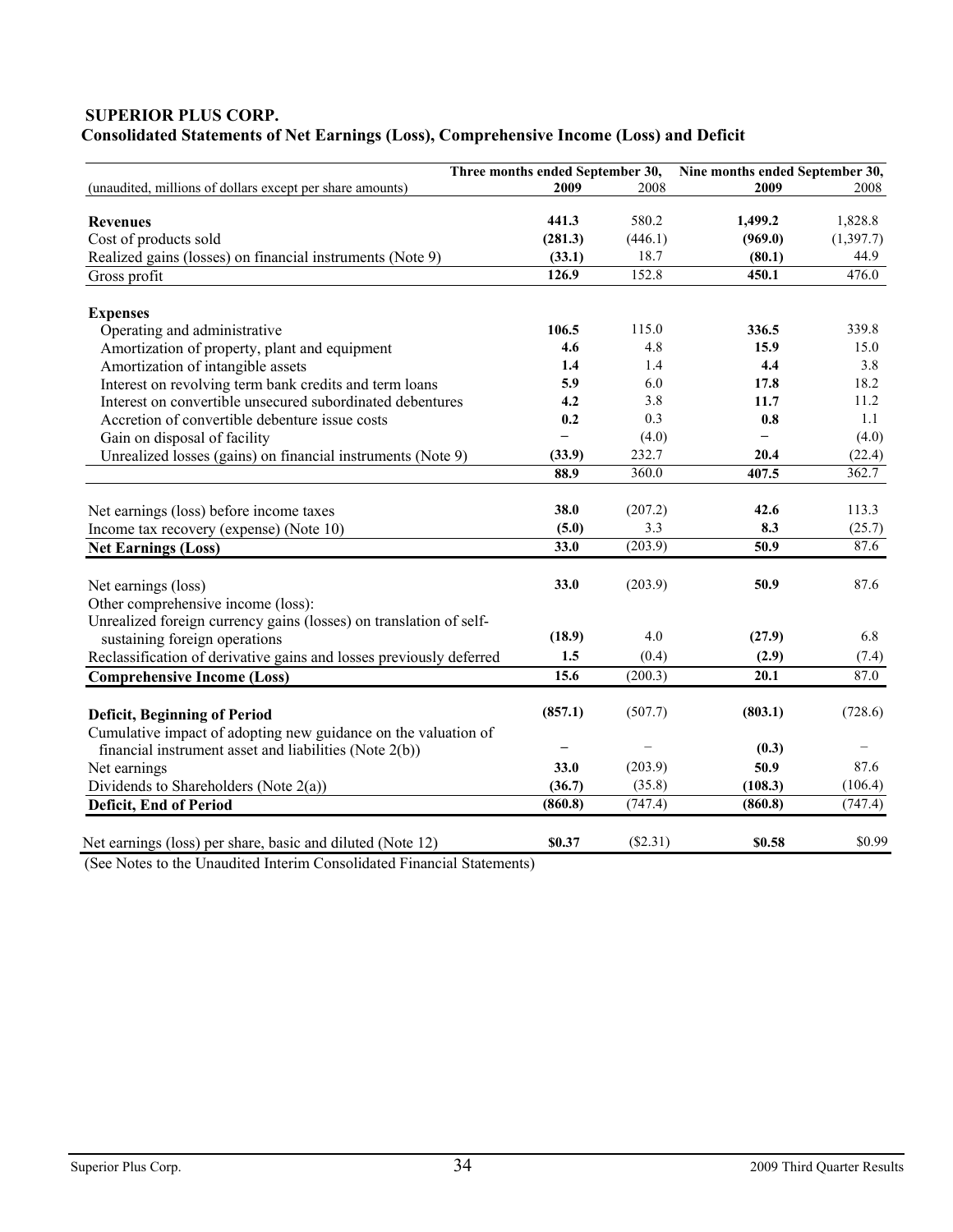# **SUPERIOR PLUS CORP. Consolidated Statements of Net Earnings (Loss), Comprehensive Income (Loss) and Deficit**

|                                                                     | Three months ended September 30, |          | Nine months ended September 30, |            |  |
|---------------------------------------------------------------------|----------------------------------|----------|---------------------------------|------------|--|
| (unaudited, millions of dollars except per share amounts)           | 2009                             | 2008     | 2009                            | 2008       |  |
| <b>Revenues</b>                                                     | 441.3                            | 580.2    | 1,499.2                         | 1,828.8    |  |
| Cost of products sold                                               | (281.3)                          | (446.1)  | (969.0)                         | (1, 397.7) |  |
| Realized gains (losses) on financial instruments (Note 9)           | (33.1)                           | 18.7     | (80.1)                          | 44.9       |  |
| Gross profit                                                        | 126.9                            | 152.8    | 450.1                           | 476.0      |  |
|                                                                     |                                  |          |                                 |            |  |
| <b>Expenses</b>                                                     |                                  |          |                                 |            |  |
| Operating and administrative                                        | 106.5                            | 115.0    | 336.5                           | 339.8      |  |
| Amortization of property, plant and equipment                       | 4.6                              | 4.8      | 15.9                            | 15.0       |  |
| Amortization of intangible assets                                   | 1.4                              | 1.4      | 4.4                             | 3.8        |  |
| Interest on revolving term bank credits and term loans              | 5.9                              | 6.0      | 17.8                            | 18.2       |  |
| Interest on convertible unsecured subordinated debentures           | 4.2                              | 3.8      | 11.7                            | 11.2       |  |
| Accretion of convertible debenture issue costs                      | 0.2                              | 0.3      | 0.8                             | 1.1        |  |
| Gain on disposal of facility                                        | ÷.                               | (4.0)    |                                 | (4.0)      |  |
| Unrealized losses (gains) on financial instruments (Note 9)         | (33.9)                           | 232.7    | 20.4                            | (22.4)     |  |
|                                                                     | 88.9                             | 360.0    | 407.5                           | 362.7      |  |
|                                                                     |                                  |          |                                 |            |  |
| Net earnings (loss) before income taxes                             | 38.0                             | (207.2)  | 42.6                            | 113.3      |  |
| Income tax recovery (expense) (Note 10)                             | (5.0)                            | 3.3      | 8.3                             | (25.7)     |  |
| <b>Net Earnings (Loss)</b>                                          | 33.0                             | (203.9)  | 50.9                            | 87.6       |  |
|                                                                     |                                  |          |                                 |            |  |
| Net earnings (loss)                                                 | 33.0                             | (203.9)  | 50.9                            | 87.6       |  |
| Other comprehensive income (loss):                                  |                                  |          |                                 |            |  |
| Unrealized foreign currency gains (losses) on translation of self-  |                                  |          |                                 |            |  |
| sustaining foreign operations                                       | (18.9)                           | 4.0      | (27.9)                          | 6.8        |  |
| Reclassification of derivative gains and losses previously deferred | 1.5                              | (0.4)    | (2.9)                           | (7.4)      |  |
| <b>Comprehensive Income (Loss)</b>                                  | 15.6                             | (200.3)  | 20.1                            | 87.0       |  |
|                                                                     |                                  |          |                                 |            |  |
| Deficit, Beginning of Period                                        | (857.1)                          | (507.7)  | (803.1)                         | (728.6)    |  |
| Cumulative impact of adopting new guidance on the valuation of      |                                  |          |                                 |            |  |
| financial instrument asset and liabilities (Note 2(b))              |                                  |          | (0.3)                           |            |  |
| Net earnings                                                        | 33.0                             | (203.9)  | 50.9                            | 87.6       |  |
| Dividends to Shareholders (Note $2(a)$ )                            | (36.7)                           | (35.8)   | (108.3)                         | (106.4)    |  |
| Deficit, End of Period                                              | (860.8)                          | (747.4)  | (860.8)                         | (747.4)    |  |
| Net earnings (loss) per share, basic and diluted (Note 12)          | \$0.37                           | (\$2.31) | \$0.58                          | \$0.99     |  |
|                                                                     |                                  |          |                                 |            |  |

(See Notes to the Unaudited Interim Consolidated Financial Statements)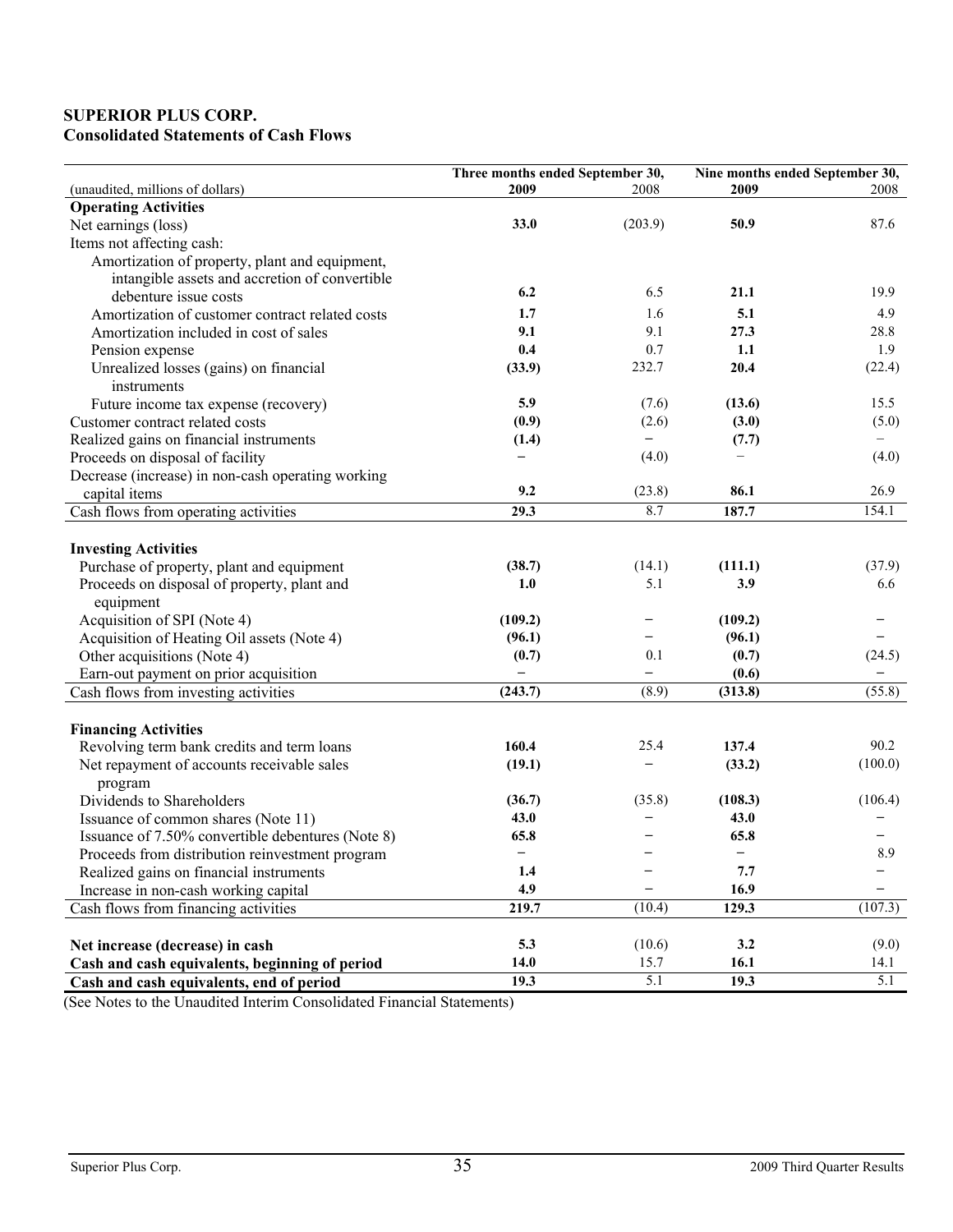# **SUPERIOR PLUS CORP. Consolidated Statements of Cash Flows**

|                                                   | Three months ended September 30, |                          | Nine months ended September 30, |                  |
|---------------------------------------------------|----------------------------------|--------------------------|---------------------------------|------------------|
| (unaudited, millions of dollars)                  | 2009                             | 2008                     | 2009                            | 2008             |
| <b>Operating Activities</b>                       |                                  |                          |                                 |                  |
| Net earnings (loss)                               | 33.0                             | (203.9)                  | 50.9                            | 87.6             |
| Items not affecting cash:                         |                                  |                          |                                 |                  |
| Amortization of property, plant and equipment,    |                                  |                          |                                 |                  |
| intangible assets and accretion of convertible    |                                  |                          |                                 |                  |
| debenture issue costs                             | 6.2                              | 6.5                      | 21.1                            | 19.9             |
| Amortization of customer contract related costs   | 1.7                              | 1.6                      | 5.1                             | 4.9              |
| Amortization included in cost of sales            | 9.1                              | 9.1                      | 27.3                            | 28.8             |
| Pension expense                                   | 0.4                              | 0.7                      | 1.1                             | 1.9              |
| Unrealized losses (gains) on financial            | (33.9)                           | 232.7                    | 20.4                            | (22.4)           |
| instruments                                       |                                  |                          |                                 |                  |
| Future income tax expense (recovery)              | 5.9                              | (7.6)                    | (13.6)                          | 15.5             |
| Customer contract related costs                   | (0.9)                            | (2.6)                    | (3.0)                           | (5.0)            |
| Realized gains on financial instruments           | (1.4)                            | $\overline{\phantom{0}}$ | (7.7)                           |                  |
| Proceeds on disposal of facility                  |                                  | (4.0)                    |                                 | (4.0)            |
| Decrease (increase) in non-cash operating working |                                  |                          |                                 |                  |
| capital items                                     | 9.2                              | (23.8)                   | 86.1                            | 26.9             |
| Cash flows from operating activities              | 29.3                             | 8.7                      | 187.7                           | 154.1            |
|                                                   |                                  |                          |                                 |                  |
| <b>Investing Activities</b>                       |                                  |                          |                                 |                  |
| Purchase of property, plant and equipment         | (38.7)                           | (14.1)                   | (111.1)                         | (37.9)           |
| Proceeds on disposal of property, plant and       | 1.0                              | 5.1                      | 3.9                             | 6.6              |
| equipment                                         |                                  |                          |                                 |                  |
| Acquisition of SPI (Note 4)                       | (109.2)                          | -                        | (109.2)                         |                  |
| Acquisition of Heating Oil assets (Note 4)        | (96.1)                           |                          | (96.1)                          |                  |
| Other acquisitions (Note 4)                       | (0.7)                            | 0.1                      | (0.7)                           | (24.5)           |
| Earn-out payment on prior acquisition             |                                  |                          | (0.6)                           |                  |
| Cash flows from investing activities              | (243.7)                          | (8.9)                    | (313.8)                         | (55.8)           |
|                                                   |                                  |                          |                                 |                  |
| <b>Financing Activities</b>                       |                                  |                          |                                 |                  |
| Revolving term bank credits and term loans        | 160.4                            | 25.4                     | 137.4                           | 90.2             |
| Net repayment of accounts receivable sales        | (19.1)                           |                          | (33.2)                          | (100.0)          |
| program                                           |                                  |                          |                                 |                  |
| Dividends to Shareholders                         | (36.7)                           | (35.8)                   | (108.3)                         | (106.4)          |
| Issuance of common shares (Note 11)               | 43.0                             |                          | 43.0                            |                  |
| Issuance of 7.50% convertible debentures (Note 8) | 65.8                             |                          | 65.8                            |                  |
| Proceeds from distribution reinvestment program   | $\qquad \qquad -$                |                          | $\qquad \qquad -$               | 8.9              |
| Realized gains on financial instruments           | 1.4                              |                          | 7.7                             |                  |
| Increase in non-cash working capital              | 4.9                              |                          | 16.9                            |                  |
| Cash flows from financing activities              | 219.7                            | (10.4)                   | 129.3                           | (107.3)          |
|                                                   |                                  |                          |                                 |                  |
| Net increase (decrease) in cash                   | 5.3                              | (10.6)                   | 3.2                             | (9.0)            |
| Cash and cash equivalents, beginning of period    | 14.0                             | 15.7                     | 16.1                            | 14.1             |
| Cash and cash equivalents, end of period          | 19.3                             | 5.1                      | 19.3                            | $\overline{5.1}$ |

(See Notes to the Unaudited Interim Consolidated Financial Statements)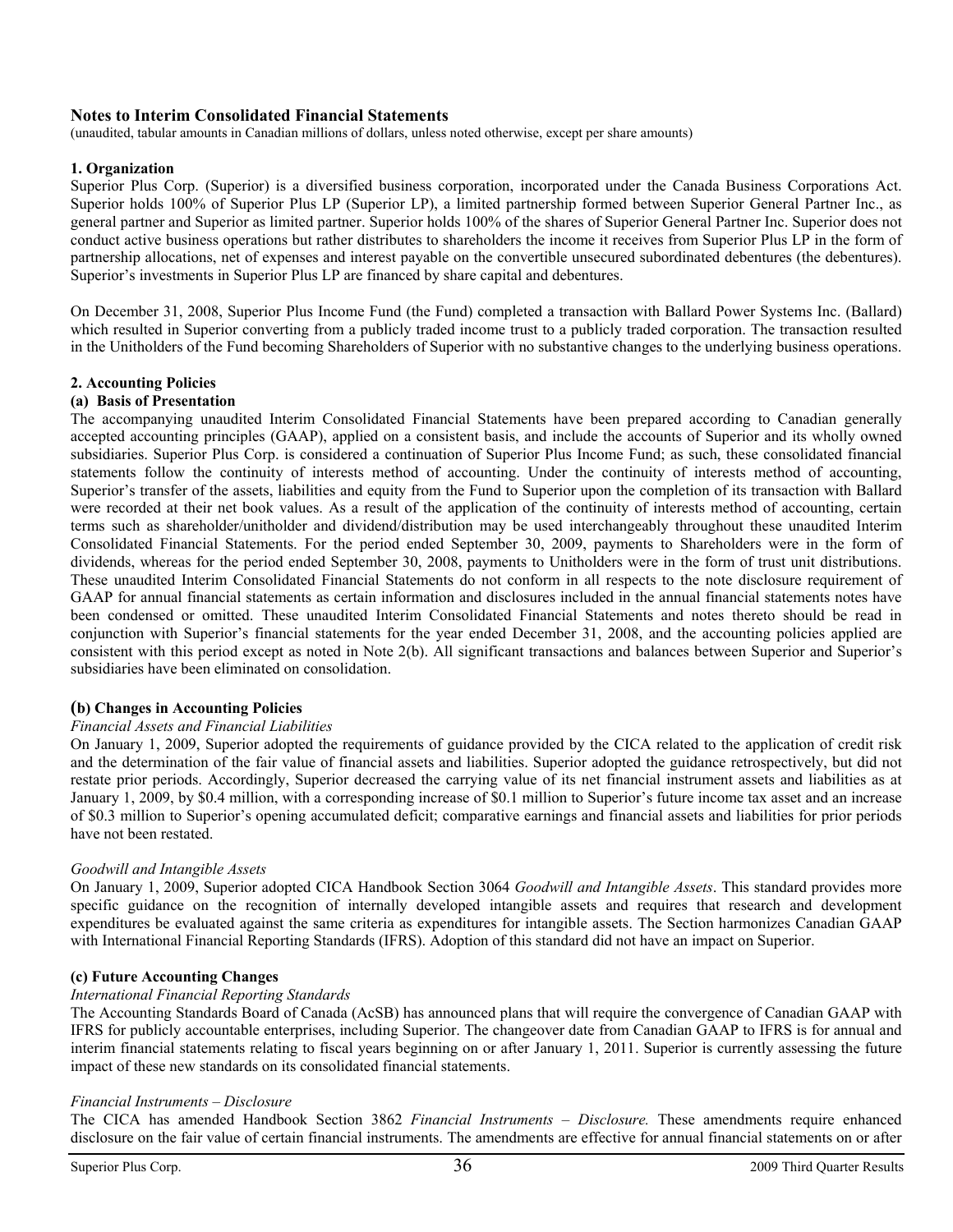#### **Notes to Interim Consolidated Financial Statements**

(unaudited, tabular amounts in Canadian millions of dollars, unless noted otherwise, except per share amounts)

#### **1. Organization**

Superior Plus Corp. (Superior) is a diversified business corporation, incorporated under the Canada Business Corporations Act. Superior holds 100% of Superior Plus LP (Superior LP), a limited partnership formed between Superior General Partner Inc., as general partner and Superior as limited partner. Superior holds 100% of the shares of Superior General Partner Inc. Superior does not conduct active business operations but rather distributes to shareholders the income it receives from Superior Plus LP in the form of partnership allocations, net of expenses and interest payable on the convertible unsecured subordinated debentures (the debentures). Superior's investments in Superior Plus LP are financed by share capital and debentures.

On December 31, 2008, Superior Plus Income Fund (the Fund) completed a transaction with Ballard Power Systems Inc. (Ballard) which resulted in Superior converting from a publicly traded income trust to a publicly traded corporation. The transaction resulted in the Unitholders of the Fund becoming Shareholders of Superior with no substantive changes to the underlying business operations.

#### **2. Accounting Policies**

#### **(a) Basis of Presentation**

The accompanying unaudited Interim Consolidated Financial Statements have been prepared according to Canadian generally accepted accounting principles (GAAP), applied on a consistent basis, and include the accounts of Superior and its wholly owned subsidiaries. Superior Plus Corp. is considered a continuation of Superior Plus Income Fund; as such, these consolidated financial statements follow the continuity of interests method of accounting. Under the continuity of interests method of accounting, Superior's transfer of the assets, liabilities and equity from the Fund to Superior upon the completion of its transaction with Ballard were recorded at their net book values. As a result of the application of the continuity of interests method of accounting, certain terms such as shareholder/unitholder and dividend/distribution may be used interchangeably throughout these unaudited Interim Consolidated Financial Statements. For the period ended September 30, 2009, payments to Shareholders were in the form of dividends, whereas for the period ended September 30, 2008, payments to Unitholders were in the form of trust unit distributions. These unaudited Interim Consolidated Financial Statements do not conform in all respects to the note disclosure requirement of GAAP for annual financial statements as certain information and disclosures included in the annual financial statements notes have been condensed or omitted. These unaudited Interim Consolidated Financial Statements and notes thereto should be read in conjunction with Superior's financial statements for the year ended December 31, 2008, and the accounting policies applied are consistent with this period except as noted in Note 2(b). All significant transactions and balances between Superior and Superior's subsidiaries have been eliminated on consolidation.

#### **(b) Changes in Accounting Policies**

#### *Financial Assets and Financial Liabilities*

On January 1, 2009, Superior adopted the requirements of guidance provided by the CICA related to the application of credit risk and the determination of the fair value of financial assets and liabilities. Superior adopted the guidance retrospectively, but did not restate prior periods. Accordingly, Superior decreased the carrying value of its net financial instrument assets and liabilities as at January 1, 2009, by \$0.4 million, with a corresponding increase of \$0.1 million to Superior's future income tax asset and an increase of \$0.3 million to Superior's opening accumulated deficit; comparative earnings and financial assets and liabilities for prior periods have not been restated.

#### *Goodwill and Intangible Assets*

On January 1, 2009, Superior adopted CICA Handbook Section 3064 *Goodwill and Intangible Assets*. This standard provides more specific guidance on the recognition of internally developed intangible assets and requires that research and development expenditures be evaluated against the same criteria as expenditures for intangible assets. The Section harmonizes Canadian GAAP with International Financial Reporting Standards (IFRS). Adoption of this standard did not have an impact on Superior.

#### **(c) Future Accounting Changes**

#### *International Financial Reporting Standards*

The Accounting Standards Board of Canada (AcSB) has announced plans that will require the convergence of Canadian GAAP with IFRS for publicly accountable enterprises, including Superior. The changeover date from Canadian GAAP to IFRS is for annual and interim financial statements relating to fiscal years beginning on or after January 1, 2011. Superior is currently assessing the future impact of these new standards on its consolidated financial statements.

#### *Financial Instruments – Disclosure*

The CICA has amended Handbook Section 3862 *Financial Instruments – Disclosure.* These amendments require enhanced disclosure on the fair value of certain financial instruments. The amendments are effective for annual financial statements on or after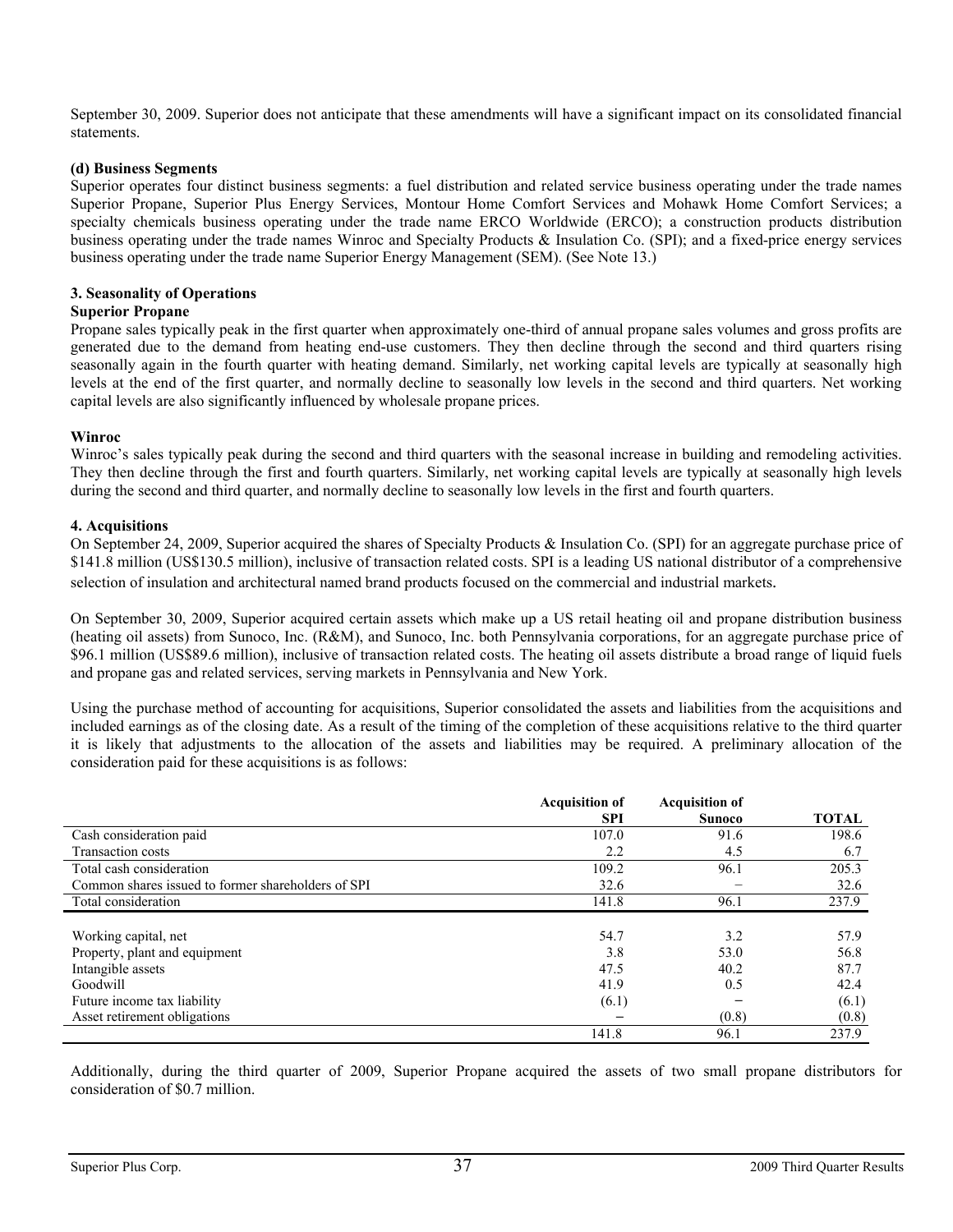September 30, 2009. Superior does not anticipate that these amendments will have a significant impact on its consolidated financial statements.

#### **(d) Business Segments**

Superior operates four distinct business segments: a fuel distribution and related service business operating under the trade names Superior Propane, Superior Plus Energy Services, Montour Home Comfort Services and Mohawk Home Comfort Services; a specialty chemicals business operating under the trade name ERCO Worldwide (ERCO); a construction products distribution business operating under the trade names Winroc and Specialty Products & Insulation Co. (SPI); and a fixed-price energy services business operating under the trade name Superior Energy Management (SEM). (See Note 13.)

#### **3. Seasonality of Operations**

#### **Superior Propane**

Propane sales typically peak in the first quarter when approximately one-third of annual propane sales volumes and gross profits are generated due to the demand from heating end-use customers. They then decline through the second and third quarters rising seasonally again in the fourth quarter with heating demand. Similarly, net working capital levels are typically at seasonally high levels at the end of the first quarter, and normally decline to seasonally low levels in the second and third quarters. Net working capital levels are also significantly influenced by wholesale propane prices.

#### **Winroc**

Winroc's sales typically peak during the second and third quarters with the seasonal increase in building and remodeling activities. They then decline through the first and fourth quarters. Similarly, net working capital levels are typically at seasonally high levels during the second and third quarter, and normally decline to seasonally low levels in the first and fourth quarters.

#### **4. Acquisitions**

On September 24, 2009, Superior acquired the shares of Specialty Products & Insulation Co. (SPI) for an aggregate purchase price of \$141.8 million (US\$130.5 million), inclusive of transaction related costs. SPI is a leading US national distributor of a comprehensive selection of insulation and architectural named brand products focused on the commercial and industrial markets.

On September 30, 2009, Superior acquired certain assets which make up a US retail heating oil and propane distribution business (heating oil assets) from Sunoco, Inc. (R&M), and Sunoco, Inc. both Pennsylvania corporations, for an aggregate purchase price of \$96.1 million (US\$89.6 million), inclusive of transaction related costs. The heating oil assets distribute a broad range of liquid fuels and propane gas and related services, serving markets in Pennsylvania and New York.

Using the purchase method of accounting for acquisitions, Superior consolidated the assets and liabilities from the acquisitions and included earnings as of the closing date. As a result of the timing of the completion of these acquisitions relative to the third quarter it is likely that adjustments to the allocation of the assets and liabilities may be required. A preliminary allocation of the consideration paid for these acquisitions is as follows:

|                                                    | <b>Acquisition of</b> | <b>Acquisition of</b> |              |
|----------------------------------------------------|-----------------------|-----------------------|--------------|
|                                                    | <b>SPI</b>            | <b>Sunoco</b>         | <b>TOTAL</b> |
| Cash consideration paid                            | 107.0                 | 91.6                  | 198.6        |
| <b>Transaction costs</b>                           | 2.2                   | 4.5                   | 6.7          |
| Total cash consideration                           | 109.2                 | 96.1                  | 205.3        |
| Common shares issued to former shareholders of SPI | 32.6                  |                       | 32.6         |
| Total consideration                                | 141.8                 | 96.1                  | 237.9        |
|                                                    |                       |                       |              |
| Working capital, net                               | 54.7                  | 3.2                   | 57.9         |
| Property, plant and equipment                      | 3.8                   | 53.0                  | 56.8         |
| Intangible assets                                  | 47.5                  | 40.2                  | 87.7         |
| Goodwill                                           | 41.9                  | 0.5                   | 42.4         |
| Future income tax liability                        | (6.1)                 |                       | (6.1)        |
| Asset retirement obligations                       |                       | (0.8)                 | (0.8)        |
|                                                    | 141.8                 | 96.1                  | 237.9        |

Additionally, during the third quarter of 2009, Superior Propane acquired the assets of two small propane distributors for consideration of \$0.7 million.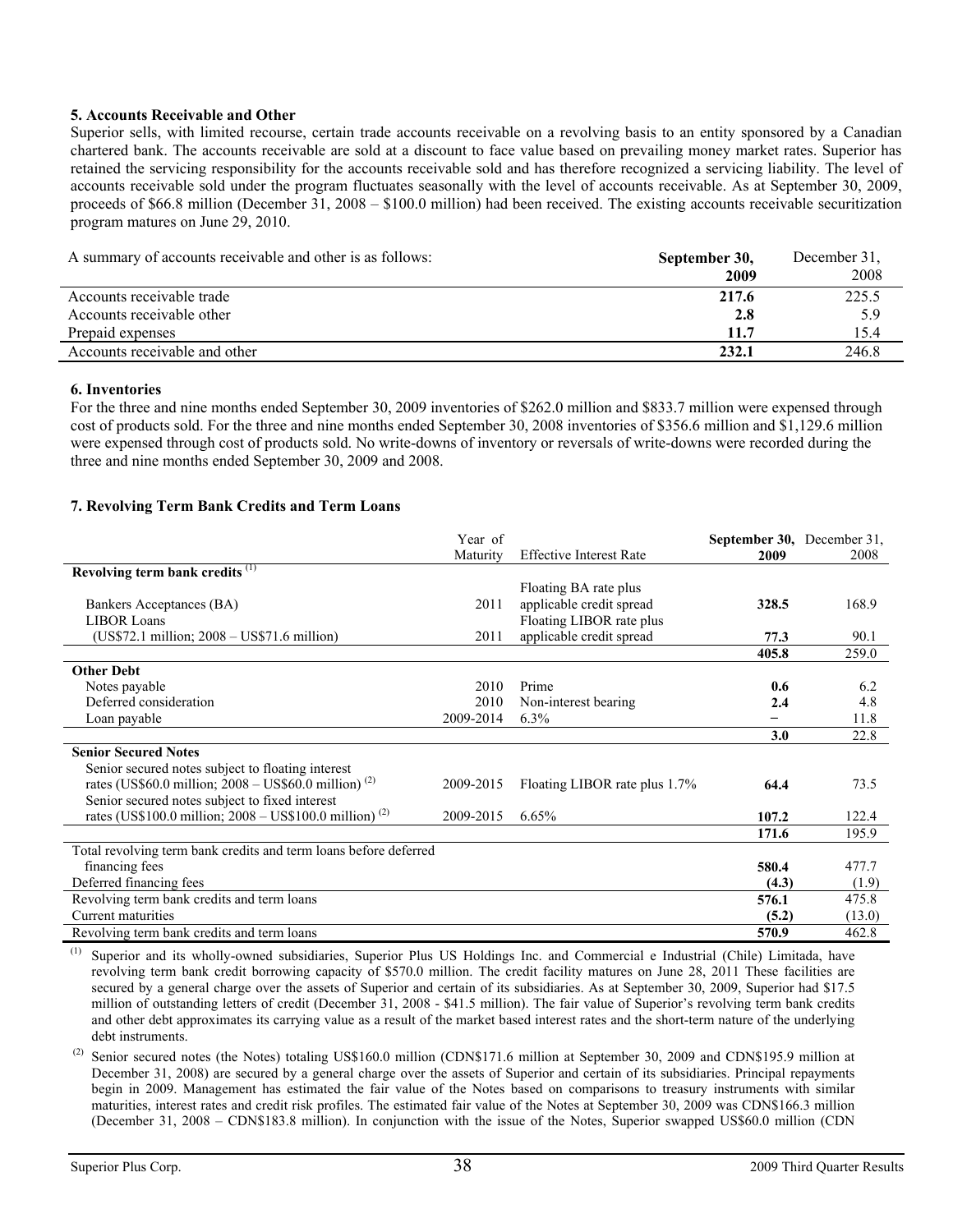#### **5. Accounts Receivable and Other**

Superior sells, with limited recourse, certain trade accounts receivable on a revolving basis to an entity sponsored by a Canadian chartered bank. The accounts receivable are sold at a discount to face value based on prevailing money market rates. Superior has retained the servicing responsibility for the accounts receivable sold and has therefore recognized a servicing liability. The level of accounts receivable sold under the program fluctuates seasonally with the level of accounts receivable. As at September 30, 2009, proceeds of \$66.8 million (December 31, 2008 – \$100.0 million) had been received. The existing accounts receivable securitization program matures on June 29, 2010.

| A summary of accounts receivable and other is as follows: | September 30,<br>2009 | December 31.<br>2008 |
|-----------------------------------------------------------|-----------------------|----------------------|
| Accounts receivable trade                                 | 217.6                 | 225.5                |
| Accounts receivable other                                 | 2.8                   | 5.9                  |
| Prepaid expenses                                          | 11.7                  | 15.4                 |
| Accounts receivable and other                             | 232.1                 | 246.8                |

#### **6. Inventories**

For the three and nine months ended September 30, 2009 inventories of \$262.0 million and \$833.7 million were expensed through cost of products sold. For the three and nine months ended September 30, 2008 inventories of \$356.6 million and \$1,129.6 million were expensed through cost of products sold. No write-downs of inventory or reversals of write-downs were recorded during the three and nine months ended September 30, 2009 and 2008.

### **7. Revolving Term Bank Credits and Term Loans**

|                                                                     | Year of   |                                | September 30, December 31, |        |
|---------------------------------------------------------------------|-----------|--------------------------------|----------------------------|--------|
|                                                                     | Maturity  | <b>Effective Interest Rate</b> | 2009                       | 2008   |
| Revolving term bank credits <sup>(1)</sup>                          |           |                                |                            |        |
|                                                                     |           | Floating BA rate plus          |                            |        |
| Bankers Acceptances (BA)                                            | 2011      | applicable credit spread       | 328.5                      | 168.9  |
| <b>LIBOR Loans</b>                                                  |           | Floating LIBOR rate plus       |                            |        |
| (US\$72.1 million; 2008 - US\$71.6 million)                         | 2011      | applicable credit spread       | 77.3                       | 90.1   |
|                                                                     |           |                                | 405.8                      | 259.0  |
| <b>Other Debt</b>                                                   |           |                                |                            |        |
| Notes payable                                                       | 2010      | Prime                          | 0.6                        | 6.2    |
| Deferred consideration                                              | 2010      | Non-interest bearing           | 2.4                        | 4.8    |
| Loan payable                                                        | 2009-2014 | $6.3\%$                        |                            | 11.8   |
|                                                                     |           |                                | 3.0                        | 22.8   |
| <b>Senior Secured Notes</b>                                         |           |                                |                            |        |
| Senior secured notes subject to floating interest                   |           |                                |                            |        |
| rates (US\$60.0 million; $2008 - US$60.0$ million) <sup>(2)</sup>   | 2009-2015 | Floating LIBOR rate plus 1.7%  | 64.4                       | 73.5   |
| Senior secured notes subject to fixed interest                      |           |                                |                            |        |
| rates (US\$100.0 million; $2008 - US$100.0$ million) <sup>(2)</sup> | 2009-2015 | 6.65%                          | 107.2                      | 122.4  |
|                                                                     |           |                                | 171.6                      | 195.9  |
| Total revolving term bank credits and term loans before deferred    |           |                                |                            |        |
| financing fees                                                      |           |                                | 580.4                      | 477.7  |
| Deferred financing fees                                             |           |                                | (4.3)                      | (1.9)  |
| Revolving term bank credits and term loans                          |           |                                | 576.1                      | 475.8  |
| Current maturities                                                  |           |                                | (5.2)                      | (13.0) |
| Revolving term bank credits and term loans                          |           |                                | 570.9                      | 462.8  |

Superior and its wholly-owned subsidiaries, Superior Plus US Holdings Inc. and Commercial e Industrial (Chile) Limitada, have revolving term bank credit borrowing capacity of \$570.0 million. The credit facility matures on June 28, 2011 These facilities are secured by a general charge over the assets of Superior and certain of its subsidiaries. As at September 30, 2009, Superior had \$17.5 million of outstanding letters of credit (December 31, 2008 - \$41.5 million). The fair value of Superior's revolving term bank credits and other debt approximates its carrying value as a result of the market based interest rates and the short-term nature of the underlying debt instruments.

 $^{(2)}$  Senior secured notes (the Notes) totaling US\$160.0 million (CDN\$171.6 million at September 30, 2009 and CDN\$195.9 million at December 31, 2008) are secured by a general charge over the assets of Superior and certain of its subsidiaries. Principal repayments begin in 2009. Management has estimated the fair value of the Notes based on comparisons to treasury instruments with similar maturities, interest rates and credit risk profiles. The estimated fair value of the Notes at September 30, 2009 was CDN\$166.3 million (December 31, 2008 – CDN\$183.8 million). In conjunction with the issue of the Notes, Superior swapped US\$60.0 million (CDN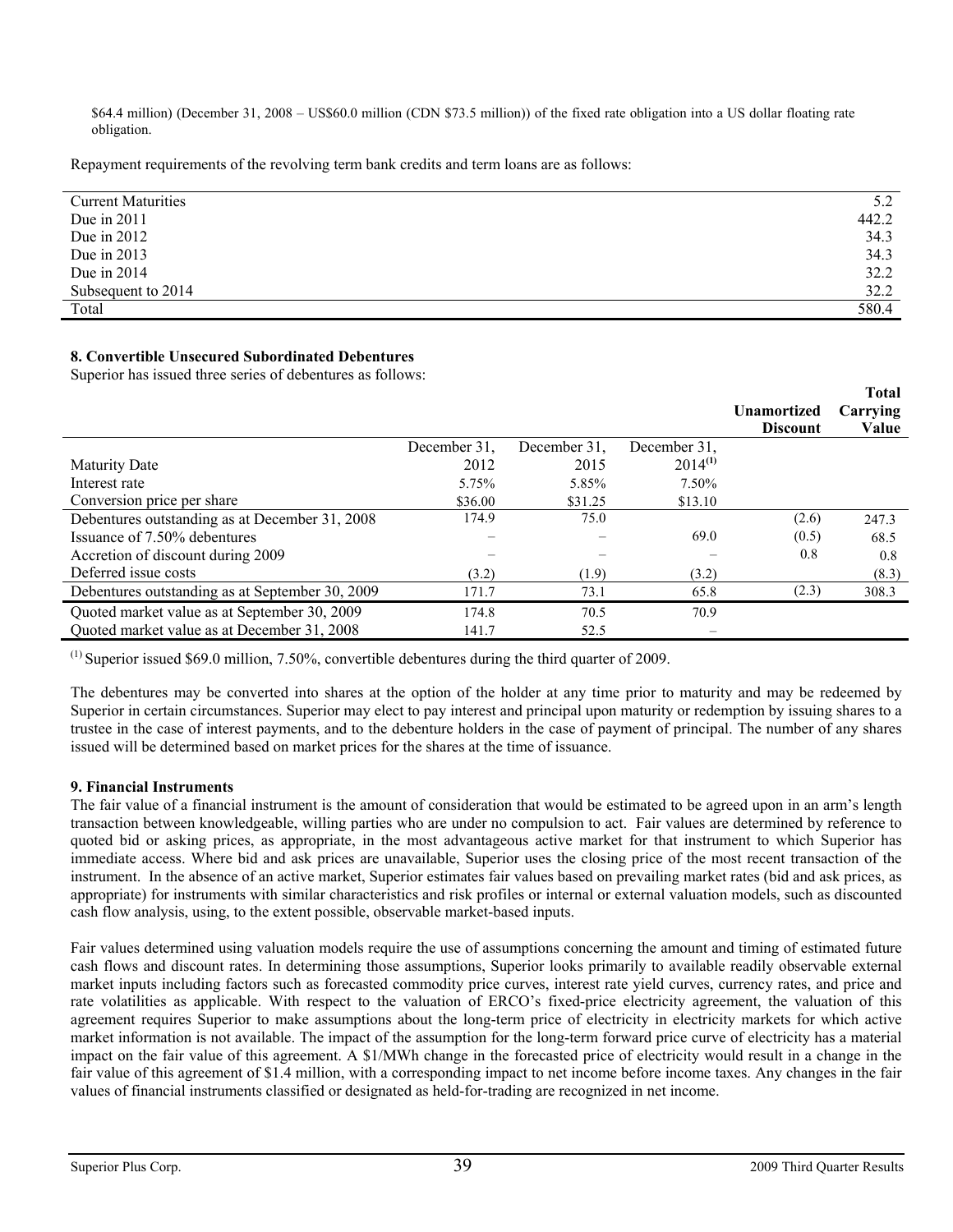\$64.4 million) (December 31, 2008 – US\$60.0 million (CDN \$73.5 million)) of the fixed rate obligation into a US dollar floating rate obligation.

Repayment requirements of the revolving term bank credits and term loans are as follows:

| <b>Current Maturities</b> | 5.2   |
|---------------------------|-------|
| Due in $2011$             | 442.2 |
| Due in $2012$             | 34.3  |
| Due in $2013$             | 34.3  |
| Due in $2014$             | 32.2  |
| Subsequent to 2014        | 32.2  |
| Total                     | 580.4 |

### **8. Convertible Unsecured Subordinated Debentures**

Superior has issued three series of debentures as follows:

|                                                 |              |              |              | <b>Unamortized</b><br><b>Discount</b> | <b>Total</b><br>Carrying<br>Value |
|-------------------------------------------------|--------------|--------------|--------------|---------------------------------------|-----------------------------------|
|                                                 | December 31. | December 31, | December 31. |                                       |                                   |
| <b>Maturity Date</b>                            | 2012         | 2015         | $2014^{(1)}$ |                                       |                                   |
| Interest rate                                   | 5.75%        | 5.85%        | 7.50%        |                                       |                                   |
| Conversion price per share                      | \$36.00      | \$31.25      | \$13.10      |                                       |                                   |
| Debentures outstanding as at December 31, 2008  | 174.9        | 75.0         |              | (2.6)                                 | 247.3                             |
| Issuance of 7.50% debentures                    |              |              | 69.0         | (0.5)                                 | 68.5                              |
| Accretion of discount during 2009               |              |              |              | 0.8                                   | 0.8                               |
| Deferred issue costs                            | (3.2)        | (1.9)        | (3.2)        |                                       | (8.3)                             |
| Debentures outstanding as at September 30, 2009 | 171.7        | 73.1         | 65.8         | (2.3)                                 | 308.3                             |
| Quoted market value as at September 30, 2009    | 174.8        | 70.5         | 70.9         |                                       |                                   |
| Quoted market value as at December 31, 2008     | 141.7        | 52.5         |              |                                       |                                   |

 $<sup>(1)</sup>$  Superior issued \$69.0 million, 7.50%, convertible debentures during the third quarter of 2009.</sup>

The debentures may be converted into shares at the option of the holder at any time prior to maturity and may be redeemed by Superior in certain circumstances. Superior may elect to pay interest and principal upon maturity or redemption by issuing shares to a trustee in the case of interest payments, and to the debenture holders in the case of payment of principal. The number of any shares issued will be determined based on market prices for the shares at the time of issuance.

### **9. Financial Instruments**

The fair value of a financial instrument is the amount of consideration that would be estimated to be agreed upon in an arm's length transaction between knowledgeable, willing parties who are under no compulsion to act. Fair values are determined by reference to quoted bid or asking prices, as appropriate, in the most advantageous active market for that instrument to which Superior has immediate access. Where bid and ask prices are unavailable, Superior uses the closing price of the most recent transaction of the instrument. In the absence of an active market, Superior estimates fair values based on prevailing market rates (bid and ask prices, as appropriate) for instruments with similar characteristics and risk profiles or internal or external valuation models, such as discounted cash flow analysis, using, to the extent possible, observable market-based inputs.

Fair values determined using valuation models require the use of assumptions concerning the amount and timing of estimated future cash flows and discount rates. In determining those assumptions, Superior looks primarily to available readily observable external market inputs including factors such as forecasted commodity price curves, interest rate yield curves, currency rates, and price and rate volatilities as applicable. With respect to the valuation of ERCO's fixed-price electricity agreement, the valuation of this agreement requires Superior to make assumptions about the long-term price of electricity in electricity markets for which active market information is not available. The impact of the assumption for the long-term forward price curve of electricity has a material impact on the fair value of this agreement. A \$1/MWh change in the forecasted price of electricity would result in a change in the fair value of this agreement of \$1.4 million, with a corresponding impact to net income before income taxes. Any changes in the fair values of financial instruments classified or designated as held-for-trading are recognized in net income.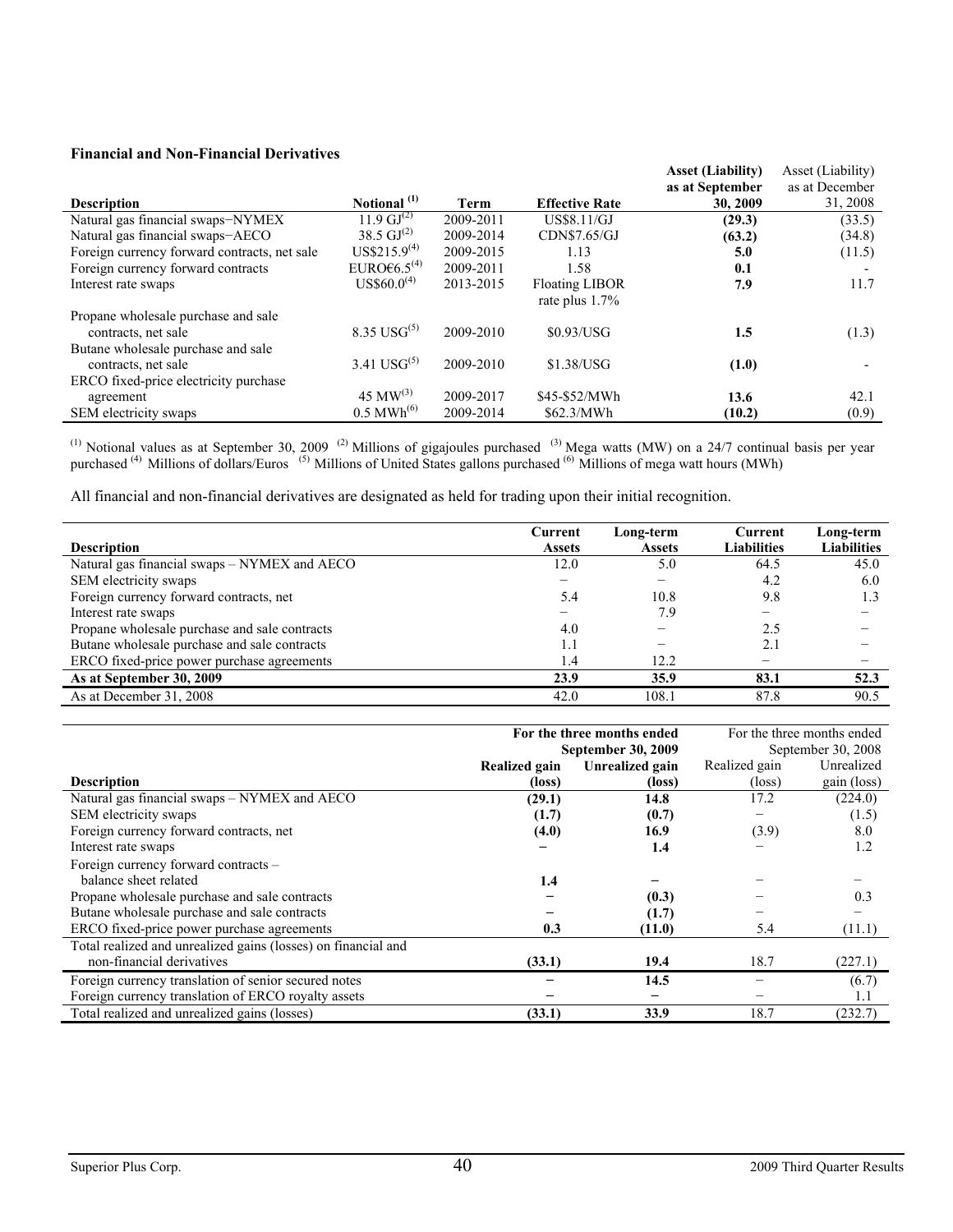#### **Financial and Non-Financial Derivatives**

|                                              |                          |           |                       | <b>Asset (Liability)</b> | Asset (Liability) |
|----------------------------------------------|--------------------------|-----------|-----------------------|--------------------------|-------------------|
|                                              |                          |           |                       | as at September          | as at December    |
| <b>Description</b>                           | Notional <sup>(1)</sup>  | Term      | <b>Effective Rate</b> | 30, 2009                 | 31, 2008          |
| Natural gas financial swaps-NYMEX            | 11.9 $\mathrm{GJ}^{(2)}$ | 2009-2011 | <b>US\$8.11/GJ</b>    | (29.3)                   | (33.5)            |
| Natural gas financial swaps-AECO             | 38.5 $\mathrm{GJ}^{(2)}$ | 2009-2014 | CDN\$7.65/GJ          | (63.2)                   | (34.8)            |
| Foreign currency forward contracts, net sale | $US$215.9^{(4)}$         | 2009-2015 | 1.13                  | 5.0                      | (11.5)            |
| Foreign currency forward contracts           | EURO€6.5 <sup>(4)</sup>  | 2009-2011 | 1.58                  | 0.1                      |                   |
| Interest rate swaps                          | $USS60.0^{(4)}$          | 2013-2015 | <b>Floating LIBOR</b> | 7.9                      | 11.7              |
|                                              |                          |           | rate plus $1.7\%$     |                          |                   |
| Propane wholesale purchase and sale          |                          |           |                       |                          |                   |
| contracts, net sale                          | 8.35 USG <sup>(5)</sup>  | 2009-2010 | \$0.93/USG            | 1.5                      | (1.3)             |
| Butane wholesale purchase and sale           |                          |           |                       |                          |                   |
| contracts, net sale                          | 3.41 $USG^{(5)}$         | 2009-2010 | \$1.38/USG            | (1.0)                    |                   |
| ERCO fixed-price electricity purchase        |                          |           |                       |                          |                   |
| agreement                                    | 45 MW <sup>(3)</sup>     | 2009-2017 | \$45-\$52/MWh         | 13.6                     | 42.1              |
| SEM electricity swaps                        | $0.5 \text{ MWh}^{(6)}$  | 2009-2014 | \$62.3/MWh            | (10.2)                   | (0.9)             |

<sup>(1)</sup> Notional values as at September 30, 2009<sup>(2)</sup> Millions of gigajoules purchased<sup>(3)</sup> Mega watts (MW) on a 24/7 continual basis per year purchased <sup>(4)</sup> Millions of dollars/Euros <sup>(5)</sup> Millions of United States gallons purchased <sup>(6)</sup> Millions of mega watt hours (MWh)

All financial and non-financial derivatives are designated as held for trading upon their initial recognition.

| <b>Description</b>                            | Current<br><b>Assets</b> | Long-term<br><b>Assets</b> | Current<br><b>Liabilities</b> | Long-term<br><b>Liabilities</b> |
|-----------------------------------------------|--------------------------|----------------------------|-------------------------------|---------------------------------|
| Natural gas financial swaps - NYMEX and AECO  | 12.0                     | 5.0                        | 64.5                          | 45.0                            |
| SEM electricity swaps                         |                          |                            | 4.2                           | 6.0                             |
| Foreign currency forward contracts, net       | 5.4                      | 10.8                       | 9.8                           |                                 |
| Interest rate swaps                           |                          | 7.9                        | -                             |                                 |
| Propane wholesale purchase and sale contracts | 4.0                      |                            | 2.5                           |                                 |
| Butane wholesale purchase and sale contracts  | 1.1                      |                            | 2.1                           |                                 |
| ERCO fixed-price power purchase agreements    | 1.4                      | 12.2                       |                               |                                 |
| As at September 30, 2009                      | 23.9                     | 35.9                       | 83.1                          | 52.3                            |
| As at December 31, 2008                       | 42.0                     | 108.1                      | 87.8                          | 90.5                            |

|                                                               |               | For the three months ended | For the three months ended |             |  |
|---------------------------------------------------------------|---------------|----------------------------|----------------------------|-------------|--|
|                                                               |               | <b>September 30, 2009</b>  | September 30, 2008         |             |  |
|                                                               | Realized gain | Unrealized gain            | Realized gain              | Unrealized  |  |
| <b>Description</b>                                            | (loss)        | (loss)                     | $(\text{loss})$            | gain (loss) |  |
| Natural gas financial swaps - NYMEX and AECO                  | (29.1)        | 14.8                       | 17.2                       | (224.0)     |  |
| SEM electricity swaps                                         | (1.7)         | (0.7)                      |                            | (1.5)       |  |
| Foreign currency forward contracts, net                       | (4.0)         | 16.9                       | (3.9)                      | 8.0         |  |
| Interest rate swaps                                           |               | 1.4                        |                            | 1.2         |  |
| Foreign currency forward contracts –                          |               |                            |                            |             |  |
| balance sheet related                                         | 1.4           |                            |                            |             |  |
| Propane wholesale purchase and sale contracts                 |               | (0.3)                      |                            | 0.3         |  |
| Butane wholesale purchase and sale contracts                  |               | (1.7)                      |                            |             |  |
| ERCO fixed-price power purchase agreements                    | 0.3           | (11.0)                     | 5.4                        | (11.1)      |  |
| Total realized and unrealized gains (losses) on financial and |               |                            |                            |             |  |
| non-financial derivatives                                     | (33.1)        | 19.4                       | 18.7                       | (227.1)     |  |
| Foreign currency translation of senior secured notes          |               | 14.5                       |                            | (6.7)       |  |
| Foreign currency translation of ERCO royalty assets           |               |                            |                            | 1.1         |  |
| Total realized and unrealized gains (losses)                  | (33.1)        | 33.9                       | 18.7                       | (232.7)     |  |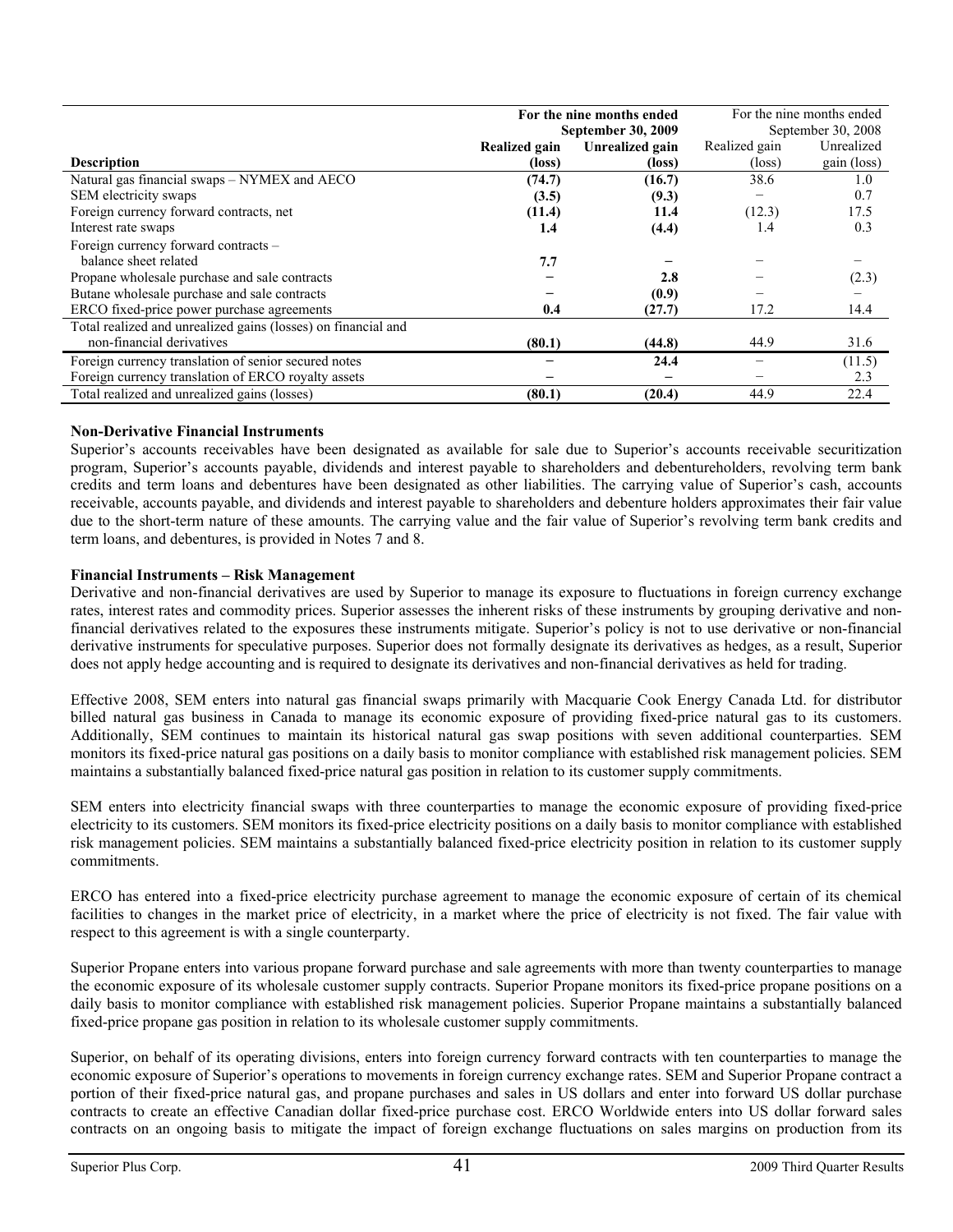|                                                               |               | For the nine months ended | For the nine months ended |             |  |
|---------------------------------------------------------------|---------------|---------------------------|---------------------------|-------------|--|
|                                                               |               | <b>September 30, 2009</b> | September 30, 2008        |             |  |
|                                                               | Realized gain | <b>Unrealized gain</b>    | Realized gain             | Unrealized  |  |
| <b>Description</b>                                            | (loss)        | (loss)                    | $(\text{loss})$           | gain (loss) |  |
| Natural gas financial swaps - NYMEX and AECO                  | (74.7)        | (16.7)                    | 38.6                      | 1.0         |  |
| SEM electricity swaps                                         | (3.5)         | (9.3)                     |                           | 0.7         |  |
| Foreign currency forward contracts, net                       | (11.4)        | 11.4                      | (12.3)                    | 17.5        |  |
| Interest rate swaps                                           | 1.4           | (4.4)                     | 1.4                       | 0.3         |  |
| Foreign currency forward contracts –                          |               |                           |                           |             |  |
| balance sheet related                                         | 7.7           |                           |                           |             |  |
| Propane wholesale purchase and sale contracts                 |               | 2.8                       |                           | (2.3)       |  |
| Butane wholesale purchase and sale contracts                  |               | (0.9)                     |                           |             |  |
| ERCO fixed-price power purchase agreements                    | 0.4           | (27.7)                    | 17.2                      | 14.4        |  |
| Total realized and unrealized gains (losses) on financial and |               |                           |                           |             |  |
| non-financial derivatives                                     | (80.1)        | (44.8)                    | 44.9                      | 31.6        |  |
| Foreign currency translation of senior secured notes          |               | 24.4                      |                           | (11.5)      |  |
| Foreign currency translation of ERCO royalty assets           |               |                           |                           | 2.3         |  |
| Total realized and unrealized gains (losses)                  | (80.1)        | (20.4)                    | 44.9                      | 22.4        |  |

#### **Non-Derivative Financial Instruments**

Superior's accounts receivables have been designated as available for sale due to Superior's accounts receivable securitization program, Superior's accounts payable, dividends and interest payable to shareholders and debentureholders, revolving term bank credits and term loans and debentures have been designated as other liabilities. The carrying value of Superior's cash, accounts receivable, accounts payable, and dividends and interest payable to shareholders and debenture holders approximates their fair value due to the short-term nature of these amounts. The carrying value and the fair value of Superior's revolving term bank credits and term loans, and debentures, is provided in Notes 7 and 8.

#### **Financial Instruments – Risk Management**

Derivative and non-financial derivatives are used by Superior to manage its exposure to fluctuations in foreign currency exchange rates, interest rates and commodity prices. Superior assesses the inherent risks of these instruments by grouping derivative and nonfinancial derivatives related to the exposures these instruments mitigate. Superior's policy is not to use derivative or non-financial derivative instruments for speculative purposes. Superior does not formally designate its derivatives as hedges, as a result, Superior does not apply hedge accounting and is required to designate its derivatives and non-financial derivatives as held for trading.

Effective 2008, SEM enters into natural gas financial swaps primarily with Macquarie Cook Energy Canada Ltd. for distributor billed natural gas business in Canada to manage its economic exposure of providing fixed-price natural gas to its customers. Additionally, SEM continues to maintain its historical natural gas swap positions with seven additional counterparties. SEM monitors its fixed-price natural gas positions on a daily basis to monitor compliance with established risk management policies. SEM maintains a substantially balanced fixed-price natural gas position in relation to its customer supply commitments.

SEM enters into electricity financial swaps with three counterparties to manage the economic exposure of providing fixed-price electricity to its customers. SEM monitors its fixed-price electricity positions on a daily basis to monitor compliance with established risk management policies. SEM maintains a substantially balanced fixed-price electricity position in relation to its customer supply commitments.

ERCO has entered into a fixed-price electricity purchase agreement to manage the economic exposure of certain of its chemical facilities to changes in the market price of electricity, in a market where the price of electricity is not fixed. The fair value with respect to this agreement is with a single counterparty.

Superior Propane enters into various propane forward purchase and sale agreements with more than twenty counterparties to manage the economic exposure of its wholesale customer supply contracts. Superior Propane monitors its fixed-price propane positions on a daily basis to monitor compliance with established risk management policies. Superior Propane maintains a substantially balanced fixed-price propane gas position in relation to its wholesale customer supply commitments.

Superior, on behalf of its operating divisions, enters into foreign currency forward contracts with ten counterparties to manage the economic exposure of Superior's operations to movements in foreign currency exchange rates. SEM and Superior Propane contract a portion of their fixed-price natural gas, and propane purchases and sales in US dollars and enter into forward US dollar purchase contracts to create an effective Canadian dollar fixed-price purchase cost. ERCO Worldwide enters into US dollar forward sales contracts on an ongoing basis to mitigate the impact of foreign exchange fluctuations on sales margins on production from its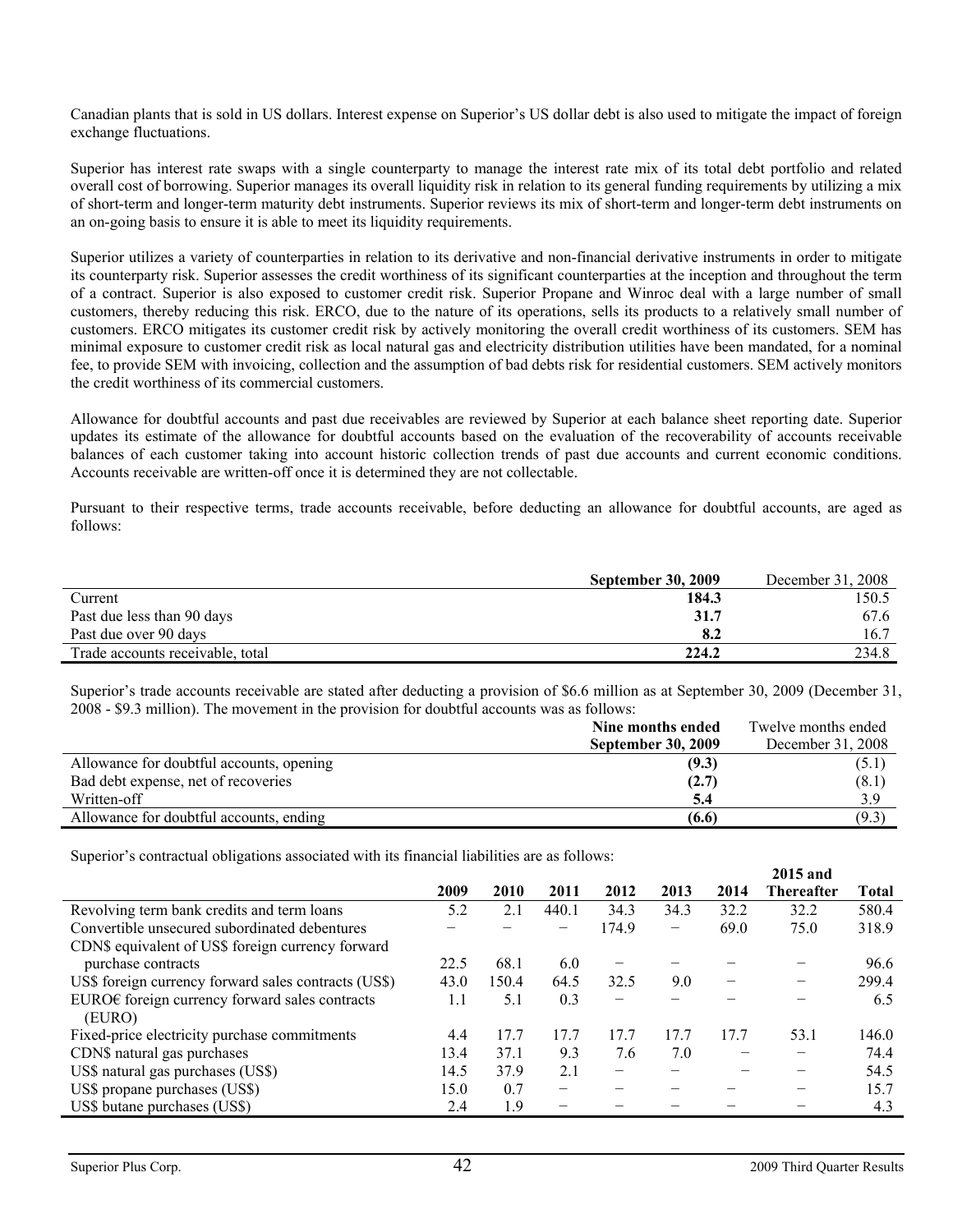Canadian plants that is sold in US dollars. Interest expense on Superior's US dollar debt is also used to mitigate the impact of foreign exchange fluctuations.

Superior has interest rate swaps with a single counterparty to manage the interest rate mix of its total debt portfolio and related overall cost of borrowing. Superior manages its overall liquidity risk in relation to its general funding requirements by utilizing a mix of short-term and longer-term maturity debt instruments. Superior reviews its mix of short-term and longer-term debt instruments on an on-going basis to ensure it is able to meet its liquidity requirements.

Superior utilizes a variety of counterparties in relation to its derivative and non-financial derivative instruments in order to mitigate its counterparty risk. Superior assesses the credit worthiness of its significant counterparties at the inception and throughout the term of a contract. Superior is also exposed to customer credit risk. Superior Propane and Winroc deal with a large number of small customers, thereby reducing this risk. ERCO, due to the nature of its operations, sells its products to a relatively small number of customers. ERCO mitigates its customer credit risk by actively monitoring the overall credit worthiness of its customers. SEM has minimal exposure to customer credit risk as local natural gas and electricity distribution utilities have been mandated, for a nominal fee, to provide SEM with invoicing, collection and the assumption of bad debts risk for residential customers. SEM actively monitors the credit worthiness of its commercial customers.

Allowance for doubtful accounts and past due receivables are reviewed by Superior at each balance sheet reporting date. Superior updates its estimate of the allowance for doubtful accounts based on the evaluation of the recoverability of accounts receivable balances of each customer taking into account historic collection trends of past due accounts and current economic conditions. Accounts receivable are written-off once it is determined they are not collectable.

Pursuant to their respective terms, trade accounts receivable, before deducting an allowance for doubtful accounts, are aged as follows:

|                                  | <b>September 30, 2009</b> | December 31, 2008 |
|----------------------------------|---------------------------|-------------------|
| Current                          | 184.3                     | 150.5             |
| Past due less than 90 days       | 31.7                      | 67.6              |
| Past due over 90 days            | 8.2                       | 16.7              |
| Trade accounts receivable, total | 224.2                     | 234.8             |

Superior's trade accounts receivable are stated after deducting a provision of \$6.6 million as at September 30, 2009 (December 31, 2008 - \$9.3 million). The movement in the provision for doubtful accounts was as follows:

|                                          | Nine months ended         | Twelve months ended |
|------------------------------------------|---------------------------|---------------------|
|                                          | <b>September 30, 2009</b> | December 31, 2008   |
| Allowance for doubtful accounts, opening | (9.3)                     | (5.1)               |
| Bad debt expense, net of recoveries      | (2.7)                     | (8.1)               |
| Written-off                              |                           | 3.9                 |
| Allowance for doubtful accounts, ending  | (6.6)                     | (9.3)               |

Superior's contractual obligations associated with its financial liabilities are as follows:

|                                                          |      |       |                          |                          |                   |      | 2015 and   |              |
|----------------------------------------------------------|------|-------|--------------------------|--------------------------|-------------------|------|------------|--------------|
|                                                          | 2009 | 2010  | 2011                     | 2012                     | 2013              | 2014 | Thereafter | <b>Total</b> |
| Revolving term bank credits and term loans               | 5.2  | 2.1   | 440.1                    | 34.3                     | 34.3              | 32.2 | 32.2       | 580.4        |
| Convertible unsecured subordinated debentures            |      |       | –                        | 174.9                    | $\qquad \qquad -$ | 69.0 | 75.0       | 318.9        |
| CDN\$ equivalent of US\$ foreign currency forward        |      |       |                          |                          |                   |      |            |              |
| purchase contracts                                       | 22.5 | 68.1  | 6.0                      |                          |                   |      |            | 96.6         |
| US\$ foreign currency forward sales contracts (US\$)     | 43.0 | 150.4 | 64.5                     | 32.5                     | 9.0               |      |            | 299.4        |
| EURO $\epsilon$ foreign currency forward sales contracts | 1.1  | 5.1   | 0.3                      | $\overline{\phantom{0}}$ |                   |      |            | 6.5          |
| (EURO)                                                   |      |       |                          |                          |                   |      |            |              |
| Fixed-price electricity purchase commitments             | 4.4  | 17.7  | 17.7                     | 17.7                     | 17.7              | 17.7 | 53.1       | 146.0        |
| CDN\$ natural gas purchases                              | 13.4 | 37.1  | 9.3                      | 7.6                      | 7.0               |      |            | 74.4         |
| US\$ natural gas purchases (US\$)                        | 14.5 | 37.9  | 2.1                      | $\overline{\phantom{0}}$ |                   |      |            | 54.5         |
| US\$ propane purchases (US\$)                            | 15.0 | 0.7   | $\overline{\phantom{0}}$ |                          |                   |      |            | 15.7         |
| US\$ butane purchases (US\$)                             | 2.4  | 1.9   | $\overline{\phantom{0}}$ |                          |                   |      |            | 4.3          |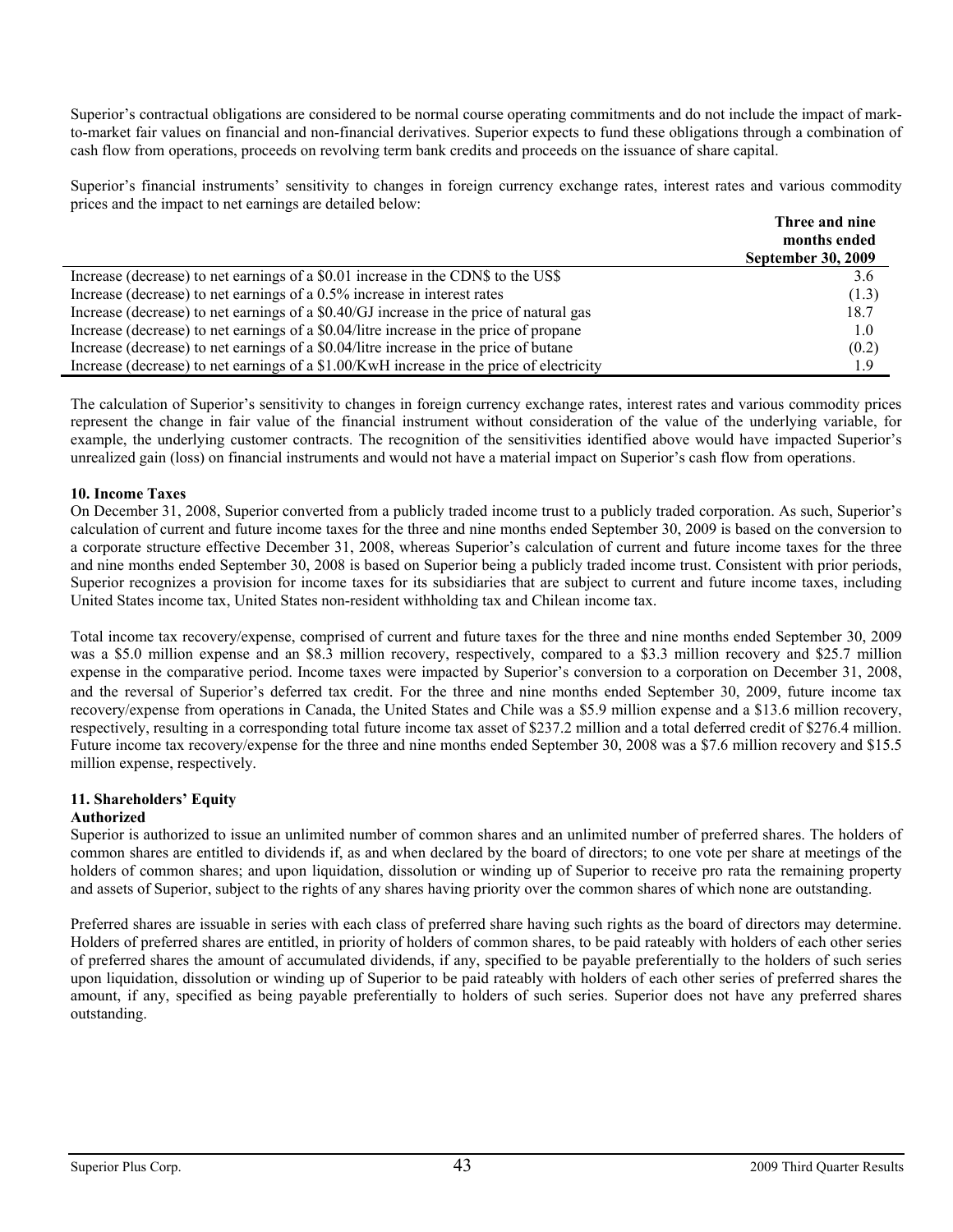Superior's contractual obligations are considered to be normal course operating commitments and do not include the impact of markto-market fair values on financial and non-financial derivatives. Superior expects to fund these obligations through a combination of cash flow from operations, proceeds on revolving term bank credits and proceeds on the issuance of share capital.

Superior's financial instruments' sensitivity to changes in foreign currency exchange rates, interest rates and various commodity prices and the impact to net earnings are detailed below:

|                                                                                          | Three and nine            |
|------------------------------------------------------------------------------------------|---------------------------|
|                                                                                          | months ended              |
|                                                                                          | <b>September 30, 2009</b> |
| Increase (decrease) to net earnings of a \$0.01 increase in the CDN\$ to the US\$        | 3.6                       |
| Increase (decrease) to net earnings of a 0.5% increase in interest rates                 | (1.3)                     |
| Increase (decrease) to net earnings of a \$0.40/GJ increase in the price of natural gas  | 18.7                      |
| Increase (decrease) to net earnings of a \$0.04/litre increase in the price of propane   | 1.0                       |
| Increase (decrease) to net earnings of a \$0.04/litre increase in the price of butane    | (0.2)                     |
| Increase (decrease) to net earnings of a \$1.00/KwH increase in the price of electricity | 19                        |

The calculation of Superior's sensitivity to changes in foreign currency exchange rates, interest rates and various commodity prices represent the change in fair value of the financial instrument without consideration of the value of the underlying variable, for example, the underlying customer contracts. The recognition of the sensitivities identified above would have impacted Superior's unrealized gain (loss) on financial instruments and would not have a material impact on Superior's cash flow from operations.

#### **10. Income Taxes**

On December 31, 2008, Superior converted from a publicly traded income trust to a publicly traded corporation. As such, Superior's calculation of current and future income taxes for the three and nine months ended September 30, 2009 is based on the conversion to a corporate structure effective December 31, 2008, whereas Superior's calculation of current and future income taxes for the three and nine months ended September 30, 2008 is based on Superior being a publicly traded income trust. Consistent with prior periods, Superior recognizes a provision for income taxes for its subsidiaries that are subject to current and future income taxes, including United States income tax, United States non-resident withholding tax and Chilean income tax.

Total income tax recovery/expense, comprised of current and future taxes for the three and nine months ended September 30, 2009 was a \$5.0 million expense and an \$8.3 million recovery, respectively, compared to a \$3.3 million recovery and \$25.7 million expense in the comparative period. Income taxes were impacted by Superior's conversion to a corporation on December 31, 2008, and the reversal of Superior's deferred tax credit. For the three and nine months ended September 30, 2009, future income tax recovery/expense from operations in Canada, the United States and Chile was a \$5.9 million expense and a \$13.6 million recovery, respectively, resulting in a corresponding total future income tax asset of \$237.2 million and a total deferred credit of \$276.4 million. Future income tax recovery/expense for the three and nine months ended September 30, 2008 was a \$7.6 million recovery and \$15.5 million expense, respectively.

### **11. Shareholders' Equity**

### **Authorized**

Superior is authorized to issue an unlimited number of common shares and an unlimited number of preferred shares. The holders of common shares are entitled to dividends if, as and when declared by the board of directors; to one vote per share at meetings of the holders of common shares; and upon liquidation, dissolution or winding up of Superior to receive pro rata the remaining property and assets of Superior, subject to the rights of any shares having priority over the common shares of which none are outstanding.

Preferred shares are issuable in series with each class of preferred share having such rights as the board of directors may determine. Holders of preferred shares are entitled, in priority of holders of common shares, to be paid rateably with holders of each other series of preferred shares the amount of accumulated dividends, if any, specified to be payable preferentially to the holders of such series upon liquidation, dissolution or winding up of Superior to be paid rateably with holders of each other series of preferred shares the amount, if any, specified as being payable preferentially to holders of such series. Superior does not have any preferred shares outstanding.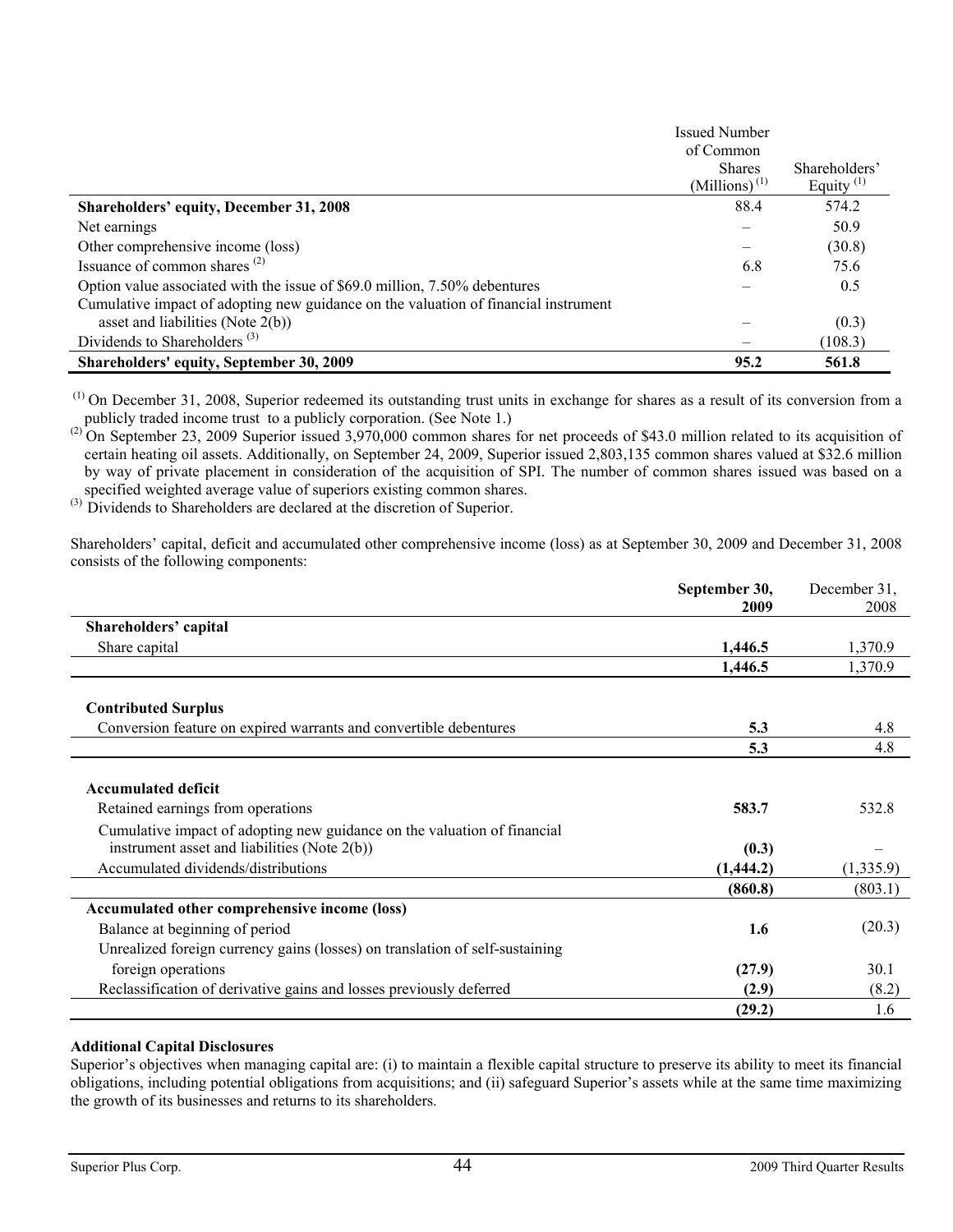|                                                                                     | <b>Issued Number</b>        |               |
|-------------------------------------------------------------------------------------|-----------------------------|---------------|
|                                                                                     | of Common                   |               |
|                                                                                     | <b>Shares</b>               | Shareholders' |
|                                                                                     | $(Millions)$ <sup>(1)</sup> | Equity $(1)$  |
| <b>Shareholders' equity, December 31, 2008</b>                                      | 88.4                        | 574.2         |
| Net earnings                                                                        |                             | 50.9          |
| Other comprehensive income (loss)                                                   |                             | (30.8)        |
| Issuance of common shares $(2)$                                                     | 6.8                         | 75.6          |
| Option value associated with the issue of \$69.0 million, 7.50% debentures          |                             | 0.5           |
| Cumulative impact of adopting new guidance on the valuation of financial instrument |                             |               |
| asset and liabilities (Note $2(b)$ )                                                |                             | (0.3)         |
| Dividends to Shareholders <sup><math>(3)</math></sup>                               |                             | (108.3)       |
| <b>Shareholders' equity, September 30, 2009</b>                                     | 95.2                        | 561.8         |

<sup>(1)</sup> On December 31, 2008, Superior redeemed its outstanding trust units in exchange for shares as a result of its conversion from a publicly traded income trust to a publicly corporation. (See Note 1.)

(2) On September 23, 2009 Superior issued 3,970,000 common shares for net proceeds of \$43.0 million related to its acquisition of certain heating oil assets. Additionally, on September 24, 2009, Superior issued 2,803,135 common shares valued at \$32.6 million by way of private placement in consideration of the acquisition of SPI. The number of common shares issued was based on a specified weighted average value of superiors existing common shares.

<sup>(3)</sup> Dividends to Shareholders are declared at the discretion of Superior.

Shareholders' capital, deficit and accumulated other comprehensive income (loss) as at September 30, 2009 and December 31, 2008 consists of the following components:

|                                                                              | September 30, | December 31, |
|------------------------------------------------------------------------------|---------------|--------------|
|                                                                              | 2009          | 2008         |
| Shareholders' capital                                                        |               |              |
| Share capital                                                                | 1,446.5       | 1,370.9      |
|                                                                              | 1,446.5       | 1,370.9      |
| <b>Contributed Surplus</b>                                                   |               |              |
| Conversion feature on expired warrants and convertible debentures            | 5.3           | 4.8          |
|                                                                              | 5.3           | 4.8          |
| <b>Accumulated deficit</b>                                                   |               |              |
| Retained earnings from operations                                            | 583.7         | 532.8        |
| Cumulative impact of adopting new guidance on the valuation of financial     |               |              |
| instrument asset and liabilities (Note $2(b)$ )                              | (0.3)         |              |
| Accumulated dividends/distributions                                          | (1,444.2)     | (1,335.9)    |
|                                                                              | (860.8)       | (803.1)      |
| Accumulated other comprehensive income (loss)                                |               |              |
| Balance at beginning of period                                               | 1.6           | (20.3)       |
| Unrealized foreign currency gains (losses) on translation of self-sustaining |               |              |
| foreign operations                                                           | (27.9)        | 30.1         |
| Reclassification of derivative gains and losses previously deferred          | (2.9)         | (8.2)        |
|                                                                              | (29.2)        | 1.6          |

### **Additional Capital Disclosures**

Superior's objectives when managing capital are: (i) to maintain a flexible capital structure to preserve its ability to meet its financial obligations, including potential obligations from acquisitions; and (ii) safeguard Superior's assets while at the same time maximizing the growth of its businesses and returns to its shareholders.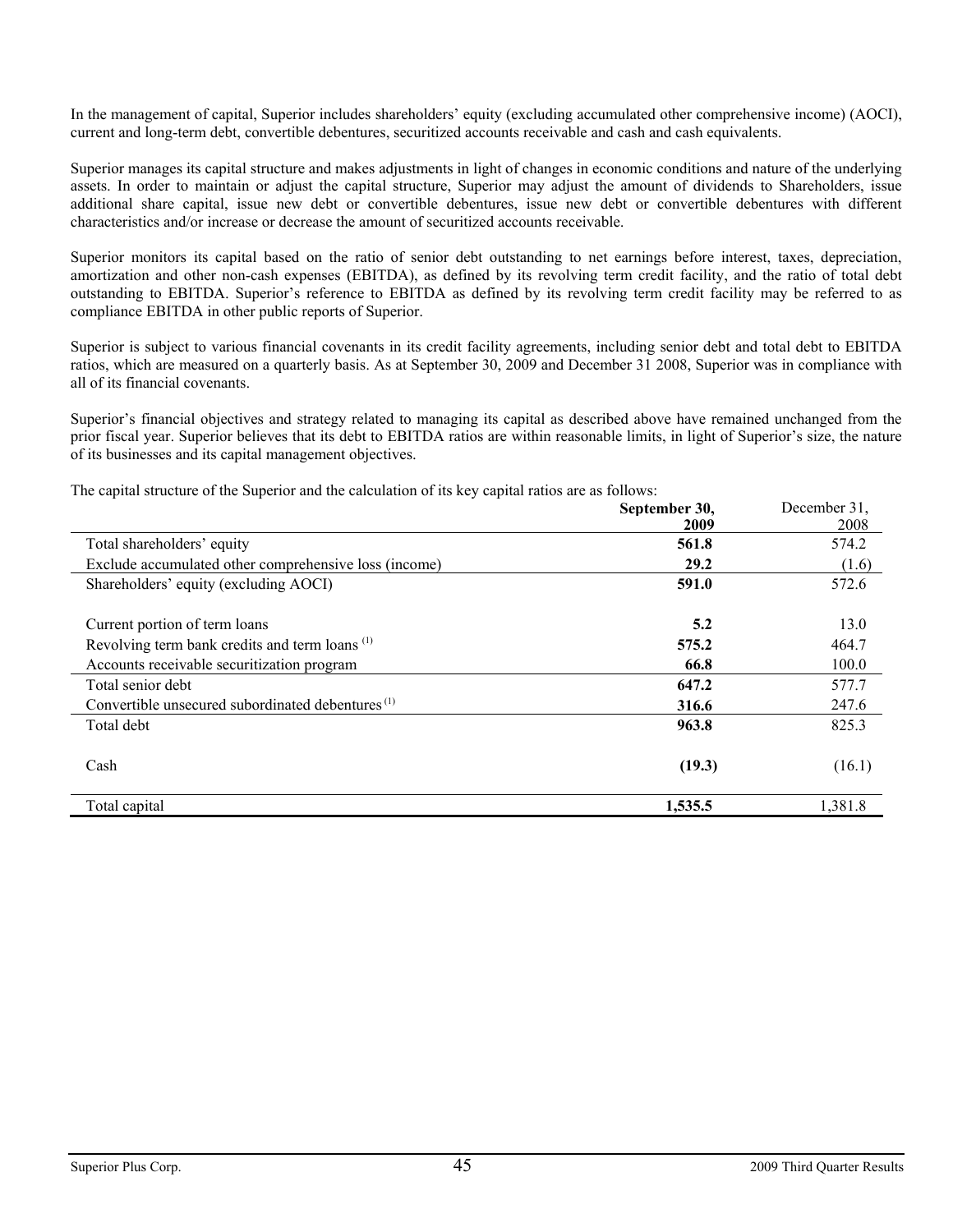In the management of capital, Superior includes shareholders' equity (excluding accumulated other comprehensive income) (AOCI), current and long-term debt, convertible debentures, securitized accounts receivable and cash and cash equivalents.

Superior manages its capital structure and makes adjustments in light of changes in economic conditions and nature of the underlying assets. In order to maintain or adjust the capital structure, Superior may adjust the amount of dividends to Shareholders, issue additional share capital, issue new debt or convertible debentures, issue new debt or convertible debentures with different characteristics and/or increase or decrease the amount of securitized accounts receivable.

Superior monitors its capital based on the ratio of senior debt outstanding to net earnings before interest, taxes, depreciation, amortization and other non-cash expenses (EBITDA), as defined by its revolving term credit facility, and the ratio of total debt outstanding to EBITDA. Superior's reference to EBITDA as defined by its revolving term credit facility may be referred to as compliance EBITDA in other public reports of Superior.

Superior is subject to various financial covenants in its credit facility agreements, including senior debt and total debt to EBITDA ratios, which are measured on a quarterly basis. As at September 30, 2009 and December 31 2008, Superior was in compliance with all of its financial covenants.

Superior's financial objectives and strategy related to managing its capital as described above have remained unchanged from the prior fiscal year. Superior believes that its debt to EBITDA ratios are within reasonable limits, in light of Superior's size, the nature of its businesses and its capital management objectives.

|                                                              | September 30, | December 31, |
|--------------------------------------------------------------|---------------|--------------|
|                                                              | 2009          | 2008         |
| Total shareholders' equity                                   | 561.8         | 574.2        |
| Exclude accumulated other comprehensive loss (income)        | 29.2          | (1.6)        |
| Shareholders' equity (excluding AOCI)                        | 591.0         | 572.6        |
| Current portion of term loans                                | 5.2           | 13.0         |
|                                                              |               |              |
| Revolving term bank credits and term loans <sup>(1)</sup>    | 575.2         | 464.7        |
| Accounts receivable securitization program                   | 66.8          | 100.0        |
| Total senior debt                                            | 647.2         | 577.7        |
| Convertible unsecured subordinated debentures <sup>(1)</sup> | 316.6         | 247.6        |
| Total debt                                                   | 963.8         | 825.3        |
| Cash                                                         | (19.3)        | (16.1)       |
| Total capital                                                | 1,535.5       | 1,381.8      |

The capital structure of the Superior and the calculation of its key capital ratios are as follows: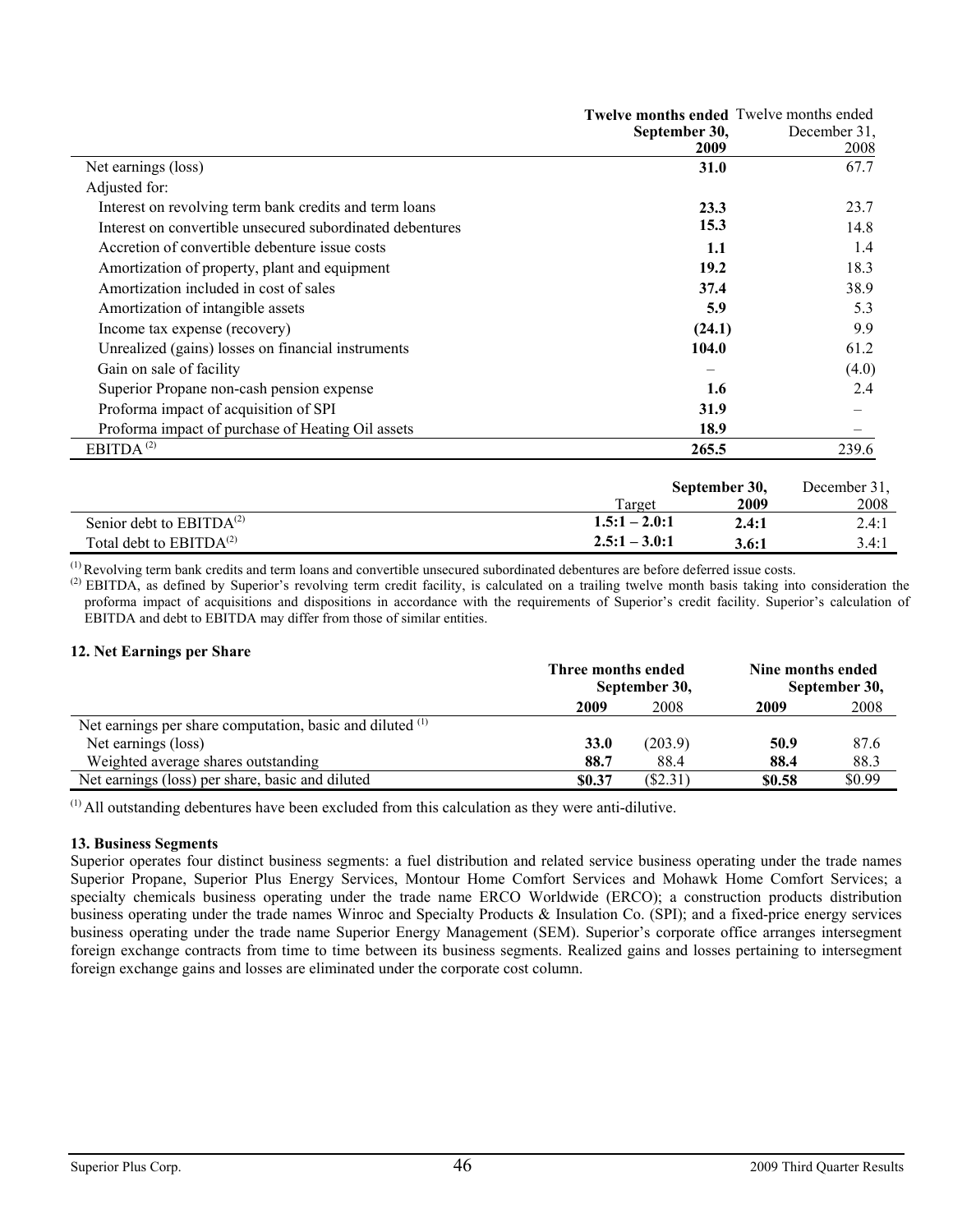|                                                           | Twelve months ended Twelve months ended |              |
|-----------------------------------------------------------|-----------------------------------------|--------------|
|                                                           | September 30,                           | December 31, |
|                                                           | 2009                                    | 2008         |
| Net earnings (loss)                                       | 31.0                                    | 67.7         |
| Adjusted for:                                             |                                         |              |
| Interest on revolving term bank credits and term loans    | 23.3                                    | 23.7         |
| Interest on convertible unsecured subordinated debentures | 15.3                                    | 14.8         |
| Accretion of convertible debenture issue costs            | 1.1                                     | 1.4          |
| Amortization of property, plant and equipment             | 19.2                                    | 18.3         |
| Amortization included in cost of sales                    | 37.4                                    | 38.9         |
| Amortization of intangible assets                         | 5.9                                     | 5.3          |
| Income tax expense (recovery)                             | (24.1)                                  | 9.9          |
| Unrealized (gains) losses on financial instruments        | 104.0                                   | 61.2         |
| Gain on sale of facility                                  |                                         | (4.0)        |
| Superior Propane non-cash pension expense                 | 1.6                                     | 2.4          |
| Proforma impact of acquisition of SPI                     | 31.9                                    |              |
| Proforma impact of purchase of Heating Oil assets         | 18.9                                    |              |
| EBITDA <sup>(2)</sup>                                     | 265.5                                   | 239.6        |

|                            |                 | September 30, |       |
|----------------------------|-----------------|---------------|-------|
|                            | Target          | 2009          | 2008  |
| Senior debt to $EBITDA(2)$ | $1.5:1 - 2.0:1$ | 2.4:1         | 2.4:1 |
| Total debt to $EBITDA(2)$  | $2.5:1 - 3.0:1$ | 3.6:1         | 3.4:1 |

(1) Revolving term bank credits and term loans and convertible unsecured subordinated debentures are before deferred issue costs.

 $^{(2)}$  EBITDA, as defined by Superior's revolving term credit facility, is calculated on a trailing twelve month basis taking into consideration the proforma impact of acquisitions and dispositions in accordance with the requirements of Superior's credit facility. Superior's calculation of EBITDA and debt to EBITDA may differ from those of similar entities.

#### **12. Net Earnings per Share**

|                                                                      | Three months ended<br>September 30, |         | Nine months ended<br>September 30, |        |
|----------------------------------------------------------------------|-------------------------------------|---------|------------------------------------|--------|
|                                                                      | 2009                                | 2008    | 2009                               | 2008   |
| Net earnings per share computation, basic and diluted <sup>(1)</sup> |                                     |         |                                    |        |
| Net earnings (loss)                                                  | <b>33.0</b>                         | (203.9) | 50.9                               | 87.6   |
| Weighted average shares outstanding                                  | 88.7                                | 88.4    | 88.4                               | 88.3   |
| Net earnings (loss) per share, basic and diluted                     | \$0.37                              | (S2.31) | \$0.58                             | \$0.99 |

 $<sup>(1)</sup>$  All outstanding debentures have been excluded from this calculation as they were anti-dilutive.</sup>

#### **13. Business Segments**

Superior operates four distinct business segments: a fuel distribution and related service business operating under the trade names Superior Propane, Superior Plus Energy Services, Montour Home Comfort Services and Mohawk Home Comfort Services; a specialty chemicals business operating under the trade name ERCO Worldwide (ERCO); a construction products distribution business operating under the trade names Winroc and Specialty Products & Insulation Co. (SPI); and a fixed-price energy services business operating under the trade name Superior Energy Management (SEM). Superior's corporate office arranges intersegment foreign exchange contracts from time to time between its business segments. Realized gains and losses pertaining to intersegment foreign exchange gains and losses are eliminated under the corporate cost column.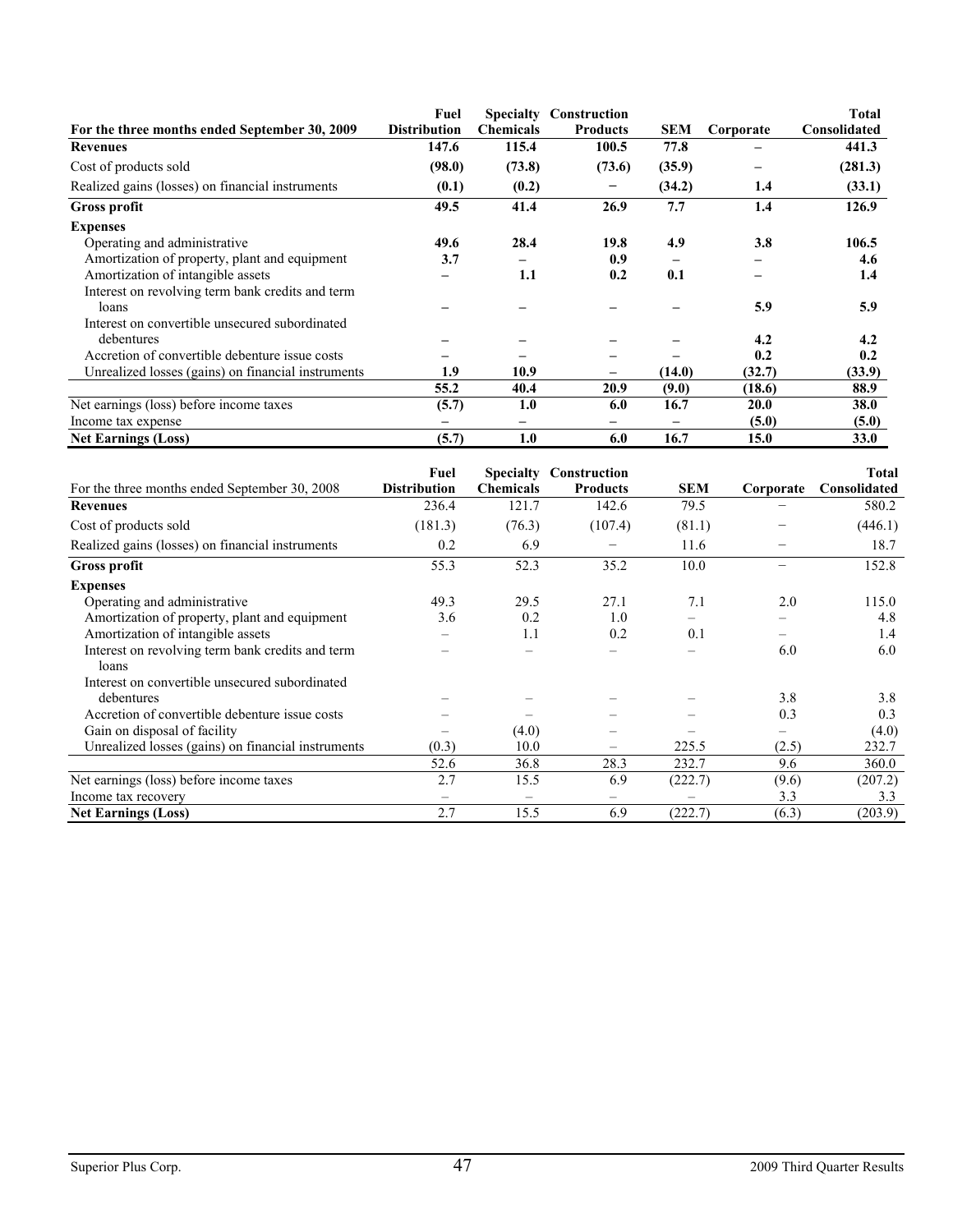|                                                    | Fuel                |                  | <b>Specialty Construction</b> |                          |             | <b>Total</b> |
|----------------------------------------------------|---------------------|------------------|-------------------------------|--------------------------|-------------|--------------|
| For the three months ended September 30, 2009      | <b>Distribution</b> | <b>Chemicals</b> | <b>Products</b>               | <b>SEM</b>               | Corporate   | Consolidated |
| <b>Revenues</b>                                    | 147.6               | 115.4            | 100.5                         | 77.8                     |             | 441.3        |
| Cost of products sold                              | (98.0)              | (73.8)           | (73.6)                        | (35.9)                   |             | (281.3)      |
| Realized gains (losses) on financial instruments   | (0.1)               | (0.2)            | -                             | (34.2)                   | 1.4         | (33.1)       |
| <b>Gross profit</b>                                | 49.5                | 41.4             | 26.9                          | 7.7                      | 1.4         | 126.9        |
| <b>Expenses</b>                                    |                     |                  |                               |                          |             |              |
| Operating and administrative                       | 49.6                | 28.4             | 19.8                          | 4.9                      | 3.8         | 106.5        |
| Amortization of property, plant and equipment      | 3.7                 |                  | 0.9                           |                          |             | 4.6          |
| Amortization of intangible assets                  |                     | 1.1              | 0.2                           | 0.1                      |             | 1.4          |
| Interest on revolving term bank credits and term   |                     |                  |                               |                          |             |              |
| loans                                              |                     |                  |                               |                          | 5.9         | 5.9          |
| Interest on convertible unsecured subordinated     |                     |                  |                               |                          |             |              |
| debentures                                         |                     |                  |                               |                          | 4.2         | 4.2          |
| Accretion of convertible debenture issue costs     |                     |                  |                               |                          | 0.2         | 0.2          |
| Unrealized losses (gains) on financial instruments | 1.9                 | 10.9             | —                             | (14.0)                   | (32.7)      | (33.9)       |
|                                                    | 55.2                | 40.4             | 20.9                          | (9.0)                    | (18.6)      | 88.9         |
| Net earnings (loss) before income taxes            | (5.7)               | 1.0              | 6.0                           | 16.7                     | <b>20.0</b> | <b>38.0</b>  |
| Income tax expense                                 | —                   | —                |                               | $\overline{\phantom{0}}$ | (5.0)       | (5.0)        |
| <b>Net Earnings (Loss)</b>                         | (5.7)               | 1.0              | 6.0                           | 16.7                     | 15.0        | <b>33.0</b>  |

|                                                    | Fuel                |                  | <b>Specialty Construction</b> |            |           | <b>Total</b> |
|----------------------------------------------------|---------------------|------------------|-------------------------------|------------|-----------|--------------|
| For the three months ended September 30, 2008      | <b>Distribution</b> | <b>Chemicals</b> | <b>Products</b>               | <b>SEM</b> | Corporate | Consolidated |
| <b>Revenues</b>                                    | 236.4               | 121.7            | 142.6                         | 79.5       |           | 580.2        |
| Cost of products sold                              | (181.3)             | (76.3)           | (107.4)                       | (81.1)     |           | (446.1)      |
| Realized gains (losses) on financial instruments   | 0.2                 | 6.9              |                               | 11.6       |           | 18.7         |
| Gross profit                                       | 55.3                | 52.3             | 35.2                          | 10.0       | -         | 152.8        |
| <b>Expenses</b>                                    |                     |                  |                               |            |           |              |
| Operating and administrative                       | 49.3                | 29.5             | 27.1                          | 7.1        | 2.0       | 115.0        |
| Amortization of property, plant and equipment      | 3.6                 | 0.2              | 1.0                           |            |           | 4.8          |
| Amortization of intangible assets                  |                     | 1.1              | 0.2                           | 0.1        |           | 1.4          |
| Interest on revolving term bank credits and term   |                     |                  |                               |            | 6.0       | 6.0          |
| loans                                              |                     |                  |                               |            |           |              |
| Interest on convertible unsecured subordinated     |                     |                  |                               |            |           |              |
| debentures                                         |                     |                  |                               |            | 3.8       | 3.8          |
| Accretion of convertible debenture issue costs     |                     |                  |                               |            | 0.3       | 0.3          |
| Gain on disposal of facility                       |                     | (4.0)            |                               |            |           | (4.0)        |
| Unrealized losses (gains) on financial instruments | (0.3)               | 10.0             |                               | 225.5      | (2.5)     | 232.7        |
|                                                    | 52.6                | 36.8             | 28.3                          | 232.7      | 9.6       | 360.0        |
| Net earnings (loss) before income taxes            | 2.7                 | 15.5             | 6.9                           | (222.7)    | (9.6)     | (207.2)      |
| Income tax recovery                                |                     | —                |                               |            | 3.3       | 3.3          |
| <b>Net Earnings (Loss)</b>                         | 2.7                 | 15.5             | 6.9                           | (222.7)    | (6.3)     | (203.9)      |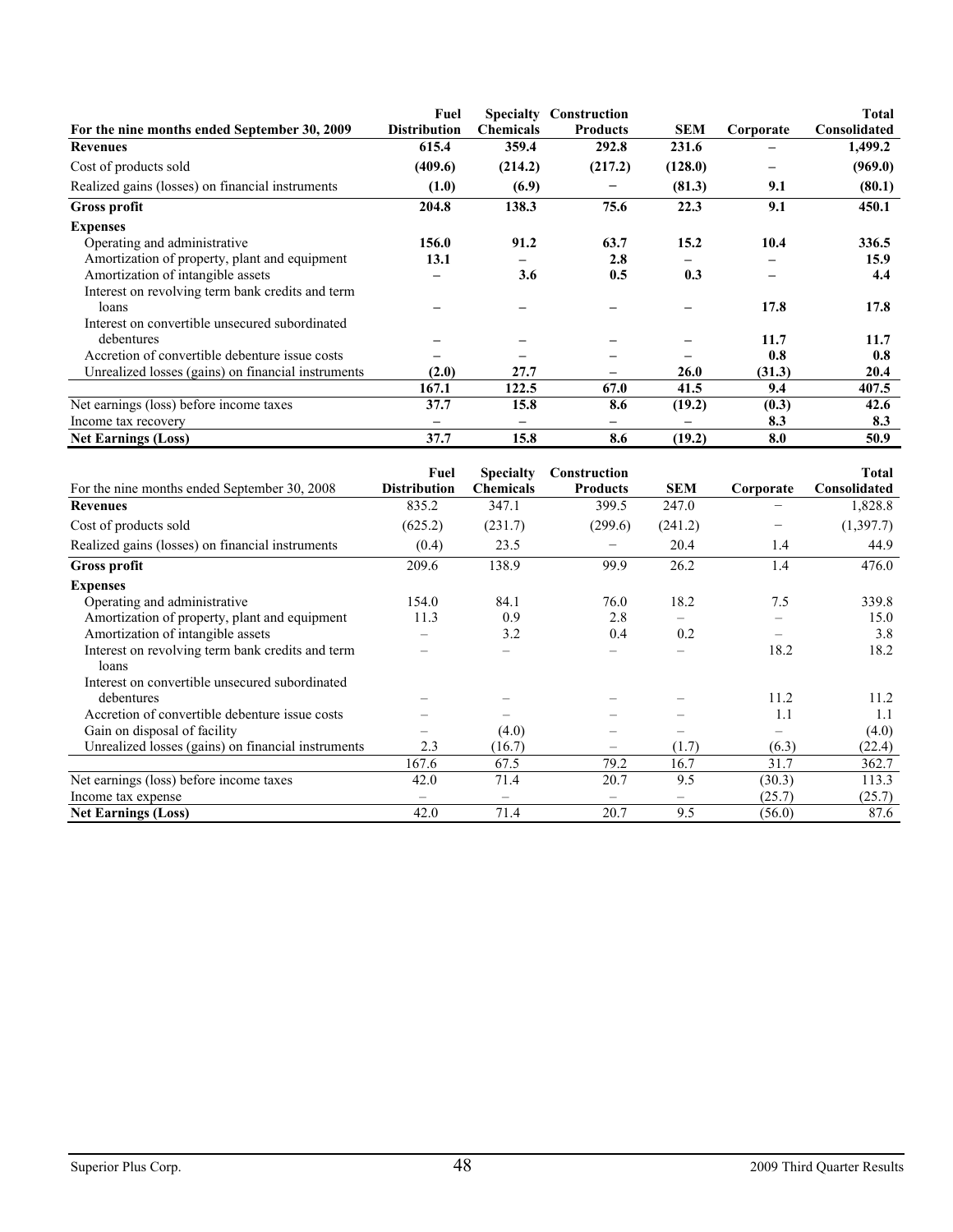|                                                    | Fuel                |                  | <b>Specialty Construction</b> |            |           | <b>Total</b> |
|----------------------------------------------------|---------------------|------------------|-------------------------------|------------|-----------|--------------|
| For the nine months ended September 30, 2009       | <b>Distribution</b> | <b>Chemicals</b> | <b>Products</b>               | <b>SEM</b> | Corporate | Consolidated |
| <b>Revenues</b>                                    | 615.4               | 359.4            | 292.8                         | 231.6      |           | 1,499.2      |
| Cost of products sold                              | (409.6)             | (214.2)          | (217.2)                       | (128.0)    |           | (969.0)      |
| Realized gains (losses) on financial instruments   | (1.0)               | (6.9)            |                               | (81.3)     | 9.1       | (80.1)       |
| <b>Gross profit</b>                                | 204.8               | 138.3            | 75.6                          | 22.3       | 9.1       | 450.1        |
| <b>Expenses</b>                                    |                     |                  |                               |            |           |              |
| Operating and administrative                       | 156.0               | 91.2             | 63.7                          | 15.2       | 10.4      | 336.5        |
| Amortization of property, plant and equipment      | 13.1                |                  | 2.8                           |            |           | 15.9         |
| Amortization of intangible assets                  |                     | 3.6              | 0.5                           | 0.3        |           | 4.4          |
| Interest on revolving term bank credits and term   |                     |                  |                               |            |           |              |
| loans                                              |                     |                  |                               |            | 17.8      | 17.8         |
| Interest on convertible unsecured subordinated     |                     |                  |                               |            |           |              |
| debentures                                         |                     |                  |                               |            | 11.7      | 11.7         |
| Accretion of convertible debenture issue costs     |                     |                  |                               |            | 0.8       | 0.8          |
| Unrealized losses (gains) on financial instruments | (2.0)               | 27.7             |                               | 26.0       | (31.3)    | 20.4         |
|                                                    | 167.1               | 122.5            | 67.0                          | 41.5       | 9.4       | 407.5        |
| Net earnings (loss) before income taxes            | 37.7                | 15.8             | 8.6                           | (19.2)     | (0.3)     | 42.6         |
| Income tax recovery                                |                     |                  |                               |            | 8.3       | 8.3          |
| <b>Net Earnings (Loss)</b>                         | 37.7                | 15.8             | 8.6                           | (19.2)     | 8.0       | 50.9         |

|                                                    | Fuel                | <b>Specialty</b>         | Construction             |                          |           | <b>Total</b> |
|----------------------------------------------------|---------------------|--------------------------|--------------------------|--------------------------|-----------|--------------|
| For the nine months ended September 30, 2008       | <b>Distribution</b> | <b>Chemicals</b>         | <b>Products</b>          | <b>SEM</b>               | Corporate | Consolidated |
| <b>Revenues</b>                                    | 835.2               | 347.1                    | 399.5                    | 247.0                    |           | 1,828.8      |
| Cost of products sold                              | (625.2)             | (231.7)                  | (299.6)                  | (241.2)                  |           | (1,397.7)    |
| Realized gains (losses) on financial instruments   | (0.4)               | 23.5                     |                          | 20.4                     | 1.4       | 44.9         |
| Gross profit                                       | 209.6               | 138.9                    | 99.9                     | 26.2                     | 1.4       | 476.0        |
| <b>Expenses</b>                                    |                     |                          |                          |                          |           |              |
| Operating and administrative                       | 154.0               | 84.1                     | 76.0                     | 18.2                     | 7.5       | 339.8        |
| Amortization of property, plant and equipment      | 11.3                | 0.9                      | 2.8                      |                          |           | 15.0         |
| Amortization of intangible assets                  |                     | 3.2                      | 0.4                      | 0.2                      |           | 3.8          |
| Interest on revolving term bank credits and term   |                     |                          | $\overline{\phantom{0}}$ | $\overline{\phantom{0}}$ | 18.2      | 18.2         |
| loans                                              |                     |                          |                          |                          |           |              |
| Interest on convertible unsecured subordinated     |                     |                          |                          |                          |           |              |
| debentures                                         |                     |                          |                          |                          | 11.2      | 11.2         |
| Accretion of convertible debenture issue costs     |                     |                          |                          |                          | 1.1       | 1.1          |
| Gain on disposal of facility                       |                     | (4.0)                    | -                        |                          |           | (4.0)        |
| Unrealized losses (gains) on financial instruments | 2.3                 | (16.7)                   |                          | (1.7)                    | (6.3)     | (22.4)       |
|                                                    | 167.6               | 67.5                     | 79.2                     | 16.7                     | 31.7      | 362.7        |
| Net earnings (loss) before income taxes            | 42.0                | 71.4                     | 20.7                     | 9.5                      | (30.3)    | 113.3        |
| Income tax expense                                 |                     | $\overline{\phantom{0}}$ | -                        | $\overline{\phantom{0}}$ | (25.7)    | (25.7)       |
| <b>Net Earnings (Loss)</b>                         | 42.0                | 71.4                     | 20.7                     | 9.5                      | (56.0)    | 87.6         |